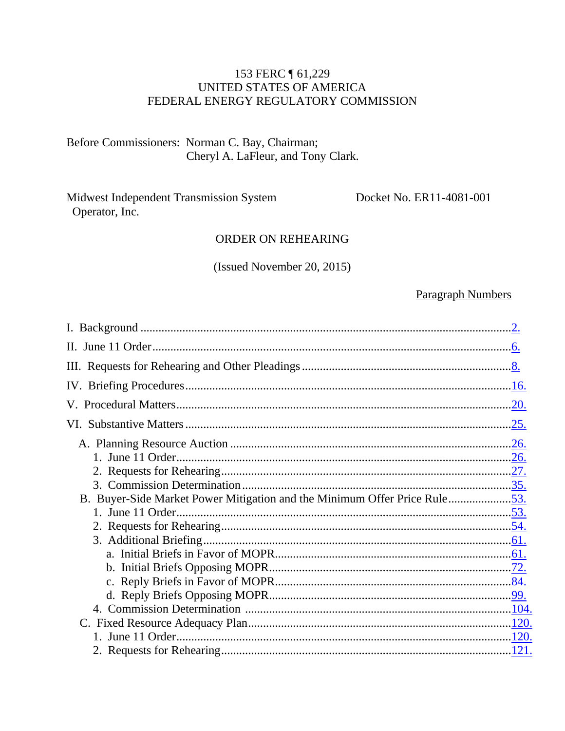#### 153 FERC 161,229 UNITED STATES OF AMERICA FEDERAL ENERGY REGULATORY COMMISSION

#### Before Commissioners: Norman C. Bay, Chairman; Cheryl A. LaFleur, and Tony Clark.

Midwest Independent Transmission System Operator, Inc.

Docket No. ER11-4081-001

#### **ORDER ON REHEARING**

(Issued November 20, 2015)

#### **Paragraph Numbers**

| B. Buyer-Side Market Power Mitigation and the Minimum Offer Price Rule53. |  |
|---------------------------------------------------------------------------|--|
|                                                                           |  |
|                                                                           |  |
|                                                                           |  |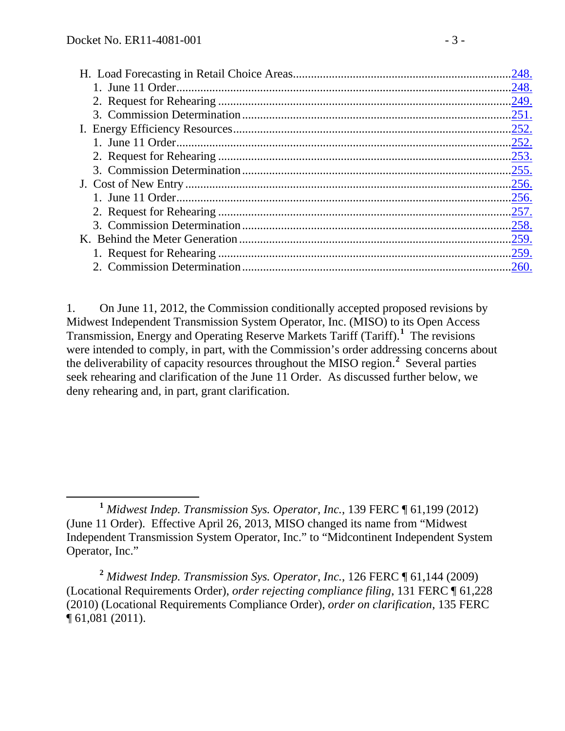1. On June 11, 2012, the Commission conditionally accepted proposed revisions by Midwest Independent Transmission System Operator, Inc. (MISO) to its Open Access Transmission, Energy and Operating Reserve Markets Tariff (Tariff).**[1](#page-2-0)** The revisions were intended to comply, in part, with the Commission's order addressing concerns about the deliverability of capacity resources throughout the MISO region.**[2](#page-2-1)** Several parties seek rehearing and clarification of the June 11 Order. As discussed further below, we deny rehearing and, in part, grant clarification.

<span id="page-2-0"></span>**<sup>1</sup>** *Midwest Indep. Transmission Sys. Operator, Inc.*, 139 FERC ¶ 61,199 (2012) (June 11 Order). Effective April 26, 2013, MISO changed its name from "Midwest Independent Transmission System Operator, Inc." to "Midcontinent Independent System Operator, Inc."

<span id="page-2-1"></span>**<sup>2</sup>** *Midwest Indep. Transmission Sys. Operator, Inc.*, 126 FERC ¶ 61,144 (2009) (Locational Requirements Order), *order rejecting compliance filing*, 131 FERC ¶ 61,228 (2010) (Locational Requirements Compliance Order), *order on clarification*, 135 FERC ¶ 61,081 (2011).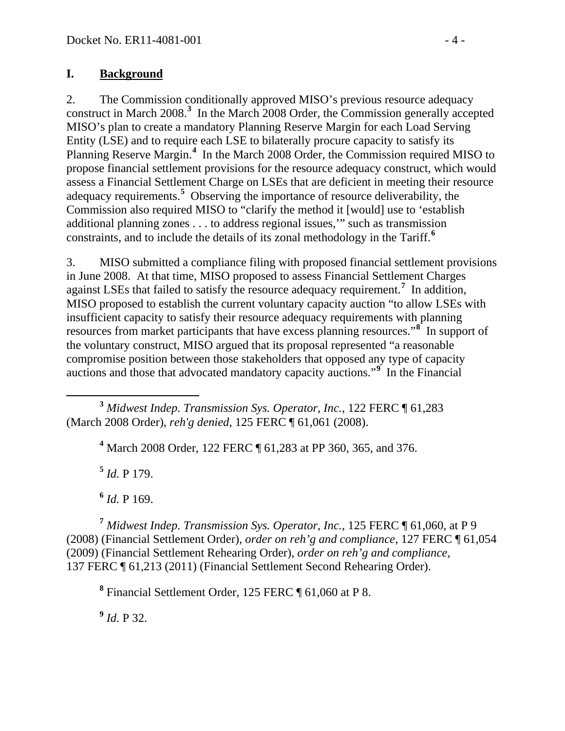#### <span id="page-3-0"></span>**I. Background**

2. The Commission conditionally approved MISO's previous resource adequacy construct in March 2008.**[3](#page-3-1)** In the March 2008 Order, the Commission generally accepted MISO's plan to create a mandatory Planning Reserve Margin for each Load Serving Entity (LSE) and to require each LSE to bilaterally procure capacity to satisfy its Planning Reserve Margin.**[4](#page-3-2)** In the March 2008 Order, the Commission required MISO to propose financial settlement provisions for the resource adequacy construct, which would assess a Financial Settlement Charge on LSEs that are deficient in meeting their resource adequacy requirements.**[5](#page-3-3)** Observing the importance of resource deliverability, the Commission also required MISO to "clarify the method it [would] use to 'establish additional planning zones . . . to address regional issues,'" such as transmission constraints, and to include the details of its zonal methodology in the Tariff.**[6](#page-3-4)**

3. MISO submitted a compliance filing with proposed financial settlement provisions in June 2008. At that time, MISO proposed to assess Financial Settlement Charges against LSEs that failed to satisfy the resource adequacy requirement.**[7](#page-3-5)** In addition, MISO proposed to establish the current voluntary capacity auction "to allow LSEs with insufficient capacity to satisfy their resource adequacy requirements with planning resources from market participants that have excess planning resources."<sup>[8](#page-3-6)</sup> In support of the voluntary construct, MISO argued that its proposal represented "a reasonable compromise position between those stakeholders that opposed any type of capacity auctions and those that advocated mandatory capacity auctions."**[9](#page-3-7)** In the Financial

<span id="page-3-2"></span><span id="page-3-1"></span> **<sup>3</sup>** *Midwest Indep. Transmission Sys. Operator, Inc.*, 122 FERC ¶ 61,283 (March 2008 Order), *reh'g denied*, 125 FERC ¶ 61,061 (2008).

**<sup>4</sup>** March 2008 Order, 122 FERC ¶ 61,283 at PP 360, 365, and 376.

**<sup>5</sup>** *Id.* P 179.

 $^{6}$  *Id.* P 169.

<span id="page-3-6"></span><span id="page-3-5"></span><span id="page-3-4"></span><span id="page-3-3"></span>**<sup>7</sup>** *Midwest Indep. Transmission Sys. Operator, Inc.*, 125 FERC ¶ 61,060, at P 9 (2008) (Financial Settlement Order), *order on reh'g and compliance*, 127 FERC ¶ 61,054 (2009) (Financial Settlement Rehearing Order), *order on reh'g and compliance*, 137 FERC ¶ 61,213 (2011) (Financial Settlement Second Rehearing Order).

**<sup>8</sup>** Financial Settlement Order, 125 FERC ¶ 61,060 at P 8.

<span id="page-3-7"></span>**<sup>9</sup>** *Id.* P 32.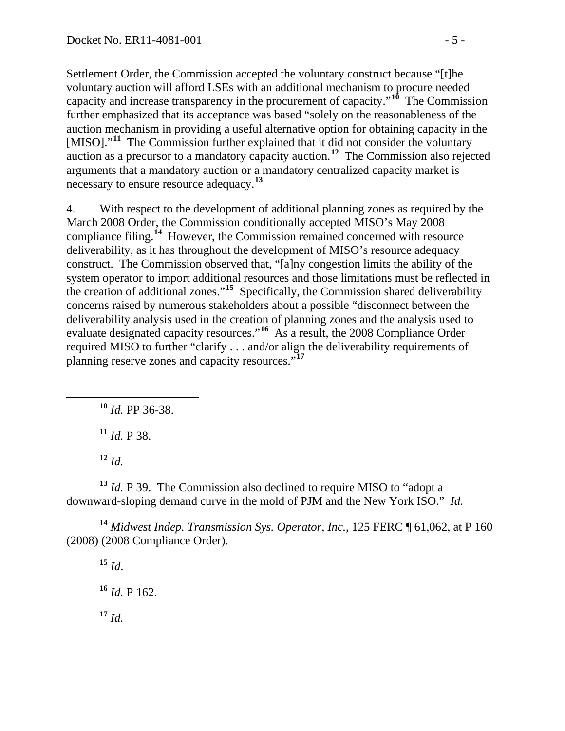Settlement Order, the Commission accepted the voluntary construct because "[t]he voluntary auction will afford LSEs with an additional mechanism to procure needed capacity and increase transparency in the procurement of capacity."**[10](#page-4-0)** The Commission further emphasized that its acceptance was based "solely on the reasonableness of the auction mechanism in providing a useful alternative option for obtaining capacity in the [MISO]."<sup>[11](#page-4-1)</sup> The Commission further explained that it did not consider the voluntary auction as a precursor to a mandatory capacity auction.**[12](#page-4-2)** The Commission also rejected arguments that a mandatory auction or a mandatory centralized capacity market is necessary to ensure resource adequacy.**[13](#page-4-3)**

4. With respect to the development of additional planning zones as required by the March 2008 Order, the Commission conditionally accepted MISO's May 2008 compliance filing.**[14](#page-4-4)** However, the Commission remained concerned with resource deliverability, as it has throughout the development of MISO's resource adequacy construct. The Commission observed that, "[a]ny congestion limits the ability of the system operator to import additional resources and those limitations must be reflected in the creation of additional zones."**[15](#page-4-5)** Specifically, the Commission shared deliverability concerns raised by numerous stakeholders about a possible "disconnect between the deliverability analysis used in the creation of planning zones and the analysis used to evaluate designated capacity resources."**[16](#page-4-6)** As a result, the 2008 Compliance Order required MISO to further "clarify . . . and/or align the deliverability requirements of planning reserve zones and capacity resources."**[17](#page-4-7)**

<span id="page-4-0"></span>**<sup>10</sup>** *Id.* PP 36-38.

**<sup>11</sup>** *Id.* P 38.

**<sup>12</sup>** *Id.*

<span id="page-4-3"></span><span id="page-4-2"></span><span id="page-4-1"></span>**<sup>13</sup>** *Id.* P 39. The Commission also declined to require MISO to "adopt a downward-sloping demand curve in the mold of PJM and the New York ISO." *Id.*

<span id="page-4-6"></span><span id="page-4-5"></span><span id="page-4-4"></span>**<sup>14</sup>** *Midwest Indep. Transmission Sys. Operator, Inc.*, 125 FERC ¶ 61,062, at P 160 (2008) (2008 Compliance Order).

<span id="page-4-7"></span> $15 \, Id.$ **<sup>16</sup>** *Id.* P 162. **<sup>17</sup>** *Id.*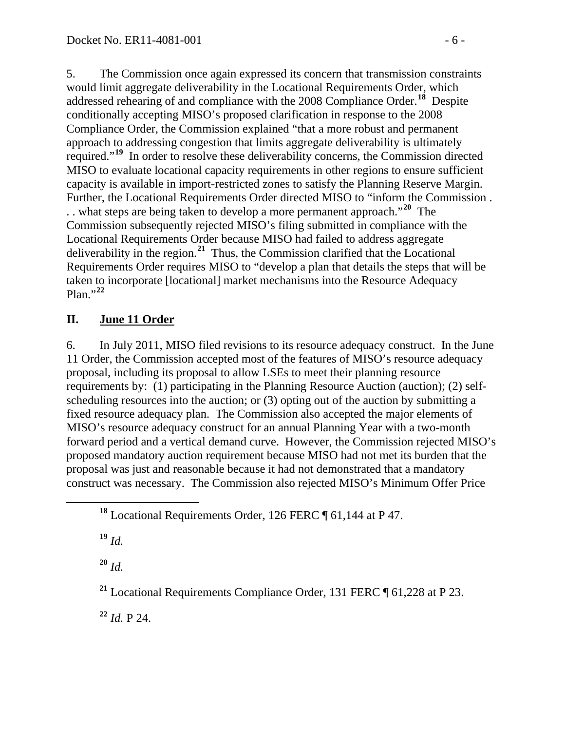5. The Commission once again expressed its concern that transmission constraints would limit aggregate deliverability in the Locational Requirements Order, which addressed rehearing of and compliance with the 2008 Compliance Order.**[18](#page-5-1)** Despite conditionally accepting MISO's proposed clarification in response to the 2008 Compliance Order, the Commission explained "that a more robust and permanent approach to addressing congestion that limits aggregate deliverability is ultimately required."**[19](#page-5-2)** In order to resolve these deliverability concerns, the Commission directed MISO to evaluate locational capacity requirements in other regions to ensure sufficient capacity is available in import-restricted zones to satisfy the Planning Reserve Margin. Further, the Locational Requirements Order directed MISO to "inform the Commission . . . what steps are being taken to develop a more permanent approach."**[20](#page-5-3)** The Commission subsequently rejected MISO's filing submitted in compliance with the Locational Requirements Order because MISO had failed to address aggregate deliverability in the region.**[21](#page-5-4)** Thus, the Commission clarified that the Locational Requirements Order requires MISO to "develop a plan that details the steps that will be taken to incorporate [locational] market mechanisms into the Resource Adequacy Plan."**[22](#page-5-5)**

#### <span id="page-5-0"></span>**II. June 11 Order**

6. In July 2011, MISO filed revisions to its resource adequacy construct. In the June 11 Order, the Commission accepted most of the features of MISO's resource adequacy proposal, including its proposal to allow LSEs to meet their planning resource requirements by: (1) participating in the Planning Resource Auction (auction); (2) selfscheduling resources into the auction; or (3) opting out of the auction by submitting a fixed resource adequacy plan. The Commission also accepted the major elements of MISO's resource adequacy construct for an annual Planning Year with a two-month forward period and a vertical demand curve. However, the Commission rejected MISO's proposed mandatory auction requirement because MISO had not met its burden that the proposal was just and reasonable because it had not demonstrated that a mandatory construct was necessary. The Commission also rejected MISO's Minimum Offer Price

<span id="page-5-2"></span>**<sup>19</sup>** *Id.*

<span id="page-5-3"></span>**<sup>20</sup>** *Id.*

<span id="page-5-4"></span>**<sup>21</sup>** Locational Requirements Compliance Order, 131 FERC ¶ 61,228 at P 23.

<span id="page-5-5"></span>**<sup>22</sup>** *Id.* P 24.

<span id="page-5-1"></span>**<sup>18</sup>** Locational Requirements Order, 126 FERC ¶ 61,144 at P 47.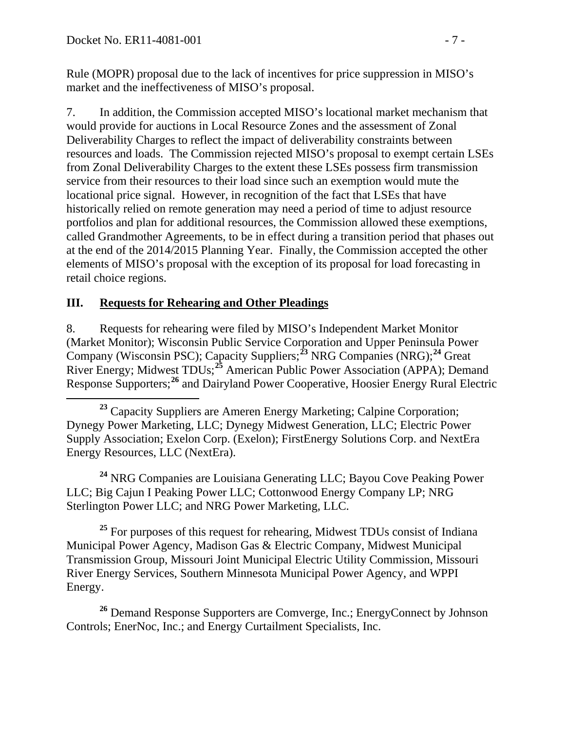Rule (MOPR) proposal due to the lack of incentives for price suppression in MISO's market and the ineffectiveness of MISO's proposal.

7. In addition, the Commission accepted MISO's locational market mechanism that would provide for auctions in Local Resource Zones and the assessment of Zonal Deliverability Charges to reflect the impact of deliverability constraints between resources and loads. The Commission rejected MISO's proposal to exempt certain LSEs from Zonal Deliverability Charges to the extent these LSEs possess firm transmission service from their resources to their load since such an exemption would mute the locational price signal. However, in recognition of the fact that LSEs that have historically relied on remote generation may need a period of time to adjust resource portfolios and plan for additional resources, the Commission allowed these exemptions, called Grandmother Agreements, to be in effect during a transition period that phases out at the end of the 2014/2015 Planning Year. Finally, the Commission accepted the other elements of MISO's proposal with the exception of its proposal for load forecasting in retail choice regions.

### <span id="page-6-0"></span>**III. Requests for Rehearing and Other Pleadings**

8. Requests for rehearing were filed by MISO's Independent Market Monitor (Market Monitor); Wisconsin Public Service Corporation and Upper Peninsula Power Company (Wisconsin PSC); Capacity Suppliers;**[23](#page-6-1)** NRG Companies (NRG);**[24](#page-6-2)** Great River Energy; Midwest TDUs;<sup>[25](#page-6-3)</sup> American Public Power Association (APPA); Demand Response Supporters;**[26](#page-6-4)** and Dairyland Power Cooperative, Hoosier Energy Rural Electric

<span id="page-6-2"></span>**<sup>24</sup>** NRG Companies are Louisiana Generating LLC; Bayou Cove Peaking Power LLC; Big Cajun I Peaking Power LLC; Cottonwood Energy Company LP; NRG Sterlington Power LLC; and NRG Power Marketing, LLC.

<span id="page-6-3"></span><sup>25</sup> For purposes of this request for rehearing, Midwest TDUs consist of Indiana Municipal Power Agency, Madison Gas & Electric Company, Midwest Municipal Transmission Group, Missouri Joint Municipal Electric Utility Commission, Missouri River Energy Services, Southern Minnesota Municipal Power Agency, and WPPI Energy.

<span id="page-6-4"></span>**<sup>26</sup>** Demand Response Supporters are Comverge, Inc.; EnergyConnect by Johnson Controls; EnerNoc, Inc.; and Energy Curtailment Specialists, Inc.

<span id="page-6-1"></span><sup>&</sup>lt;sup>23</sup> Capacity Suppliers are Ameren Energy Marketing; Calpine Corporation; Dynegy Power Marketing, LLC; Dynegy Midwest Generation, LLC; Electric Power Supply Association; Exelon Corp. (Exelon); FirstEnergy Solutions Corp. and NextEra Energy Resources, LLC (NextEra).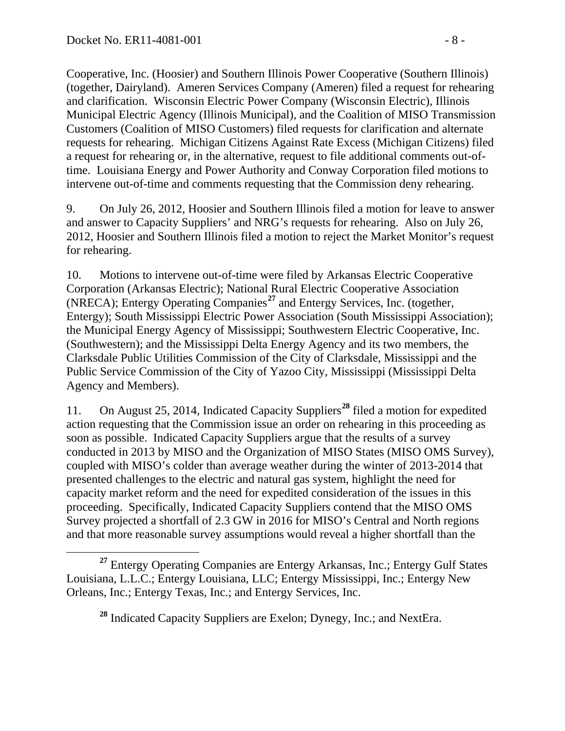Cooperative, Inc. (Hoosier) and Southern Illinois Power Cooperative (Southern Illinois) (together, Dairyland). Ameren Services Company (Ameren) filed a request for rehearing and clarification. Wisconsin Electric Power Company (Wisconsin Electric), Illinois Municipal Electric Agency (Illinois Municipal), and the Coalition of MISO Transmission Customers (Coalition of MISO Customers) filed requests for clarification and alternate requests for rehearing. Michigan Citizens Against Rate Excess (Michigan Citizens) filed a request for rehearing or, in the alternative, request to file additional comments out-oftime. Louisiana Energy and Power Authority and Conway Corporation filed motions to intervene out-of-time and comments requesting that the Commission deny rehearing.

9. On July 26, 2012, Hoosier and Southern Illinois filed a motion for leave to answer and answer to Capacity Suppliers' and NRG's requests for rehearing. Also on July 26, 2012, Hoosier and Southern Illinois filed a motion to reject the Market Monitor's request for rehearing.

10. Motions to intervene out-of-time were filed by Arkansas Electric Cooperative Corporation (Arkansas Electric); National Rural Electric Cooperative Association (NRECA); Entergy Operating Companies**[27](#page-7-0)** and Entergy Services, Inc. (together, Entergy); South Mississippi Electric Power Association (South Mississippi Association); the Municipal Energy Agency of Mississippi; Southwestern Electric Cooperative, Inc. (Southwestern); and the Mississippi Delta Energy Agency and its two members, the Clarksdale Public Utilities Commission of the City of Clarksdale, Mississippi and the Public Service Commission of the City of Yazoo City, Mississippi (Mississippi Delta Agency and Members).

11. On August 25, 2014, Indicated Capacity Suppliers**[28](#page-7-1)** filed a motion for expedited action requesting that the Commission issue an order on rehearing in this proceeding as soon as possible. Indicated Capacity Suppliers argue that the results of a survey conducted in 2013 by MISO and the Organization of MISO States (MISO OMS Survey), coupled with MISO's colder than average weather during the winter of 2013-2014 that presented challenges to the electric and natural gas system, highlight the need for capacity market reform and the need for expedited consideration of the issues in this proceeding. Specifically, Indicated Capacity Suppliers contend that the MISO OMS Survey projected a shortfall of 2.3 GW in 2016 for MISO's Central and North regions and that more reasonable survey assumptions would reveal a higher shortfall than the

<span id="page-7-1"></span><span id="page-7-0"></span>**<sup>27</sup>** Entergy Operating Companies are Entergy Arkansas, Inc.; Entergy Gulf States Louisiana, L.L.C.; Entergy Louisiana, LLC; Entergy Mississippi, Inc.; Entergy New Orleans, Inc.; Entergy Texas, Inc.; and Entergy Services, Inc.

**<sup>28</sup>** Indicated Capacity Suppliers are Exelon; Dynegy, Inc.; and NextEra.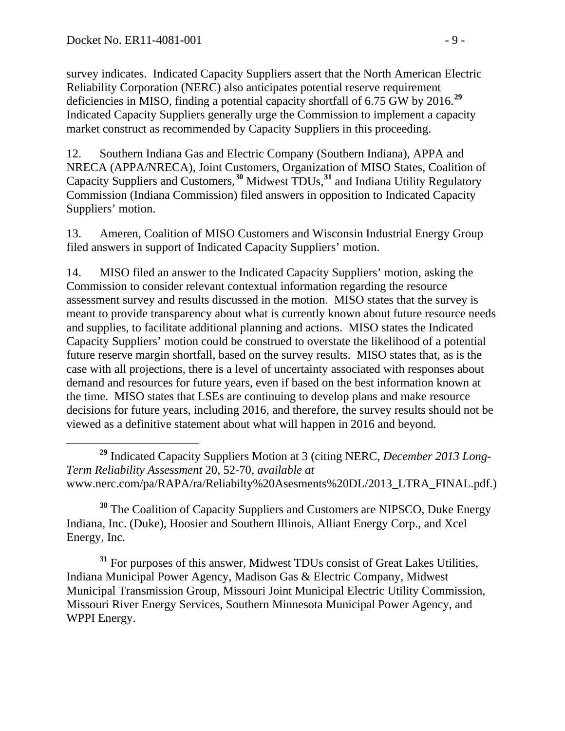survey indicates. Indicated Capacity Suppliers assert that the North American Electric Reliability Corporation (NERC) also anticipates potential reserve requirement deficiencies in MISO, finding a potential capacity shortfall of 6.75 GW by 2016.**[29](#page-8-0)** Indicated Capacity Suppliers generally urge the Commission to implement a capacity market construct as recommended by Capacity Suppliers in this proceeding.

12. Southern Indiana Gas and Electric Company (Southern Indiana), APPA and NRECA (APPA/NRECA), Joint Customers, Organization of MISO States, Coalition of Capacity Suppliers and Customers,**[30](#page-8-1)** Midwest TDUs,**[31](#page-8-2)** and Indiana Utility Regulatory Commission (Indiana Commission) filed answers in opposition to Indicated Capacity Suppliers' motion.

13. Ameren, Coalition of MISO Customers and Wisconsin Industrial Energy Group filed answers in support of Indicated Capacity Suppliers' motion.

14. MISO filed an answer to the Indicated Capacity Suppliers' motion, asking the Commission to consider relevant contextual information regarding the resource assessment survey and results discussed in the motion. MISO states that the survey is meant to provide transparency about what is currently known about future resource needs and supplies, to facilitate additional planning and actions. MISO states the Indicated Capacity Suppliers' motion could be construed to overstate the likelihood of a potential future reserve margin shortfall, based on the survey results. MISO states that, as is the case with all projections, there is a level of uncertainty associated with responses about demand and resources for future years, even if based on the best information known at the time. MISO states that LSEs are continuing to develop plans and make resource decisions for future years, including 2016, and therefore, the survey results should not be viewed as a definitive statement about what will happen in 2016 and beyond.

<span id="page-8-1"></span>**<sup>30</sup>** The Coalition of Capacity Suppliers and Customers are NIPSCO, Duke Energy Indiana, Inc. (Duke), Hoosier and Southern Illinois, Alliant Energy Corp., and Xcel Energy, Inc.

<span id="page-8-2"></span>**<sup>31</sup>** For purposes of this answer, Midwest TDUs consist of Great Lakes Utilities, Indiana Municipal Power Agency, Madison Gas & Electric Company, Midwest Municipal Transmission Group, Missouri Joint Municipal Electric Utility Commission, Missouri River Energy Services, Southern Minnesota Municipal Power Agency, and WPPI Energy.

<span id="page-8-0"></span>**<sup>29</sup>** Indicated Capacity Suppliers Motion at 3 (citing NERC, *December 2013 Long-Term Reliability Assessment* 20, 52-70, *available at* www.nerc.com/pa/RAPA/ra/Reliabilty%20Asesments%20DL/2013\_LTRA\_FINAL.pdf.)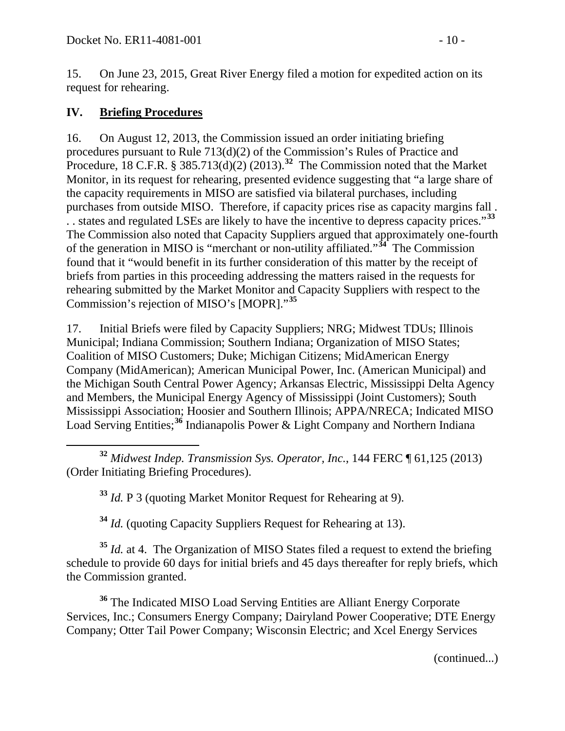15. On June 23, 2015, Great River Energy filed a motion for expedited action on its request for rehearing.

#### <span id="page-9-0"></span>**IV. Briefing Procedures**

16. On August 12, 2013, the Commission issued an order initiating briefing procedures pursuant to Rule 713(d)(2) of the Commission's Rules of Practice and Procedure, 18 C.F.R. § 385.713(d)(2) (2013).<sup>[32](#page-9-1)</sup> The Commission noted that the Market Monitor, in its request for rehearing, presented evidence suggesting that "a large share of the capacity requirements in MISO are satisfied via bilateral purchases, including purchases from outside MISO. Therefore, if capacity prices rise as capacity margins fall . . . states and regulated LSEs are likely to have the incentive to depress capacity prices."**[33](#page-9-2)** The Commission also noted that Capacity Suppliers argued that approximately one-fourth of the generation in MISO is "merchant or non-utility affiliated."**[34](#page-9-3)** The Commission found that it "would benefit in its further consideration of this matter by the receipt of briefs from parties in this proceeding addressing the matters raised in the requests for rehearing submitted by the Market Monitor and Capacity Suppliers with respect to the Commission's rejection of MISO's [MOPR]."**[35](#page-9-4)**

17. Initial Briefs were filed by Capacity Suppliers; NRG; Midwest TDUs; Illinois Municipal; Indiana Commission; Southern Indiana; Organization of MISO States; Coalition of MISO Customers; Duke; Michigan Citizens; MidAmerican Energy Company (MidAmerican); American Municipal Power, Inc. (American Municipal) and the Michigan South Central Power Agency; Arkansas Electric, Mississippi Delta Agency and Members, the Municipal Energy Agency of Mississippi (Joint Customers); South Mississippi Association; Hoosier and Southern Illinois; APPA/NRECA; Indicated MISO Load Serving Entities;**[36](#page-9-5)** Indianapolis Power & Light Company and Northern Indiana

<span id="page-9-2"></span><span id="page-9-1"></span> **<sup>32</sup>** *Midwest Indep. Transmission Sys. Operator, Inc.*, 144 FERC ¶ 61,125 (2013) (Order Initiating Briefing Procedures).

**<sup>33</sup>** *Id.* P 3 (quoting Market Monitor Request for Rehearing at 9).

**<sup>34</sup>** *Id.* (quoting Capacity Suppliers Request for Rehearing at 13).

<span id="page-9-4"></span><span id="page-9-3"></span>**<sup>35</sup>** *Id.* at 4. The Organization of MISO States filed a request to extend the briefing schedule to provide 60 days for initial briefs and 45 days thereafter for reply briefs, which the Commission granted.

<span id="page-9-5"></span>**<sup>36</sup>** The Indicated MISO Load Serving Entities are Alliant Energy Corporate Services, Inc.; Consumers Energy Company; Dairyland Power Cooperative; DTE Energy Company; Otter Tail Power Company; Wisconsin Electric; and Xcel Energy Services

(continued...)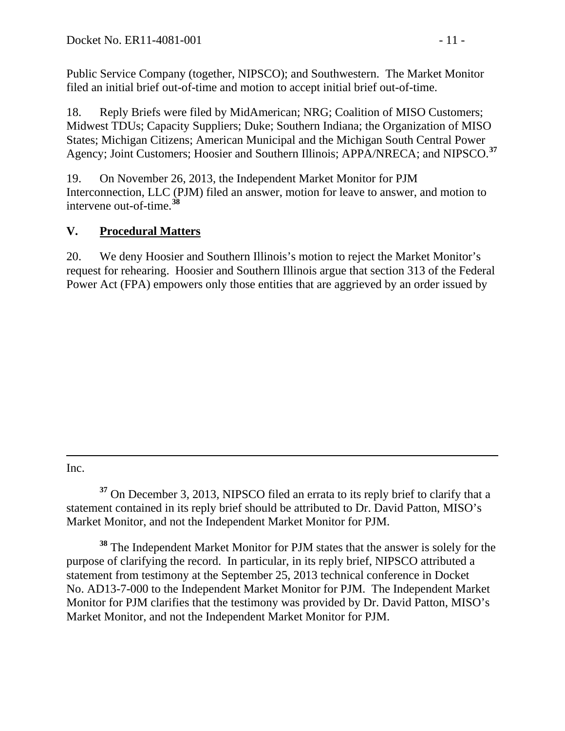Public Service Company (together, NIPSCO); and Southwestern. The Market Monitor filed an initial brief out-of-time and motion to accept initial brief out-of-time.

18. Reply Briefs were filed by MidAmerican; NRG; Coalition of MISO Customers; Midwest TDUs; Capacity Suppliers; Duke; Southern Indiana; the Organization of MISO States; Michigan Citizens; American Municipal and the Michigan South Central Power Agency; Joint Customers; Hoosier and Southern Illinois; APPA/NRECA; and NIPSCO.**[37](#page-10-1)**

19. On November 26, 2013, the Independent Market Monitor for PJM Interconnection, LLC (PJM) filed an answer, motion for leave to answer, and motion to intervene out-of-time.**[38](#page-10-2)**

## <span id="page-10-0"></span>**V. Procedural Matters**

20. We deny Hoosier and Southern Illinois's motion to reject the Market Monitor's request for rehearing. Hoosier and Southern Illinois argue that section 313 of the Federal Power Act (FPA) empowers only those entities that are aggrieved by an order issued by

 $\overline{a}$ Inc.

<span id="page-10-1"></span>**<sup>37</sup>** On December 3, 2013, NIPSCO filed an errata to its reply brief to clarify that a statement contained in its reply brief should be attributed to Dr. David Patton, MISO's Market Monitor, and not the Independent Market Monitor for PJM.

<span id="page-10-2"></span>**<sup>38</sup>** The Independent Market Monitor for PJM states that the answer is solely for the purpose of clarifying the record. In particular, in its reply brief, NIPSCO attributed a statement from testimony at the September 25, 2013 technical conference in Docket No. AD13-7-000 to the Independent Market Monitor for PJM. The Independent Market Monitor for PJM clarifies that the testimony was provided by Dr. David Patton, MISO's Market Monitor, and not the Independent Market Monitor for PJM.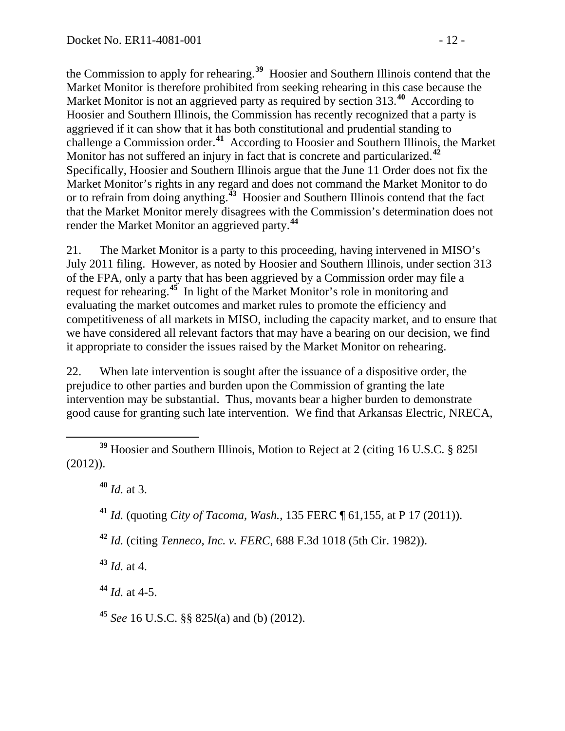the Commission to apply for rehearing.**[39](#page-11-0)** Hoosier and Southern Illinois contend that the Market Monitor is therefore prohibited from seeking rehearing in this case because the Market Monitor is not an aggrieved party as required by section 313.**[40](#page-11-1)** According to Hoosier and Southern Illinois, the Commission has recently recognized that a party is aggrieved if it can show that it has both constitutional and prudential standing to challenge a Commission order.**[41](#page-11-2)** According to Hoosier and Southern Illinois, the Market Monitor has not suffered an injury in fact that is concrete and particularized.**[42](#page-11-3)** Specifically, Hoosier and Southern Illinois argue that the June 11 Order does not fix the Market Monitor's rights in any regard and does not command the Market Monitor to do or to refrain from doing anything.**[43](#page-11-4)** Hoosier and Southern Illinois contend that the fact that the Market Monitor merely disagrees with the Commission's determination does not render the Market Monitor an aggrieved party.**[44](#page-11-5)**

21. The Market Monitor is a party to this proceeding, having intervened in MISO's July 2011 filing. However, as noted by Hoosier and Southern Illinois, under section 313 of the FPA, only a party that has been aggrieved by a Commission order may file a request for rehearing.**[45](#page-11-6)** In light of the Market Monitor's role in monitoring and evaluating the market outcomes and market rules to promote the efficiency and competitiveness of all markets in MISO, including the capacity market, and to ensure that we have considered all relevant factors that may have a bearing on our decision, we find it appropriate to consider the issues raised by the Market Monitor on rehearing.

22. When late intervention is sought after the issuance of a dispositive order, the prejudice to other parties and burden upon the Commission of granting the late intervention may be substantial. Thus, movants bear a higher burden to demonstrate good cause for granting such late intervention. We find that Arkansas Electric, NRECA,

<span id="page-11-4"></span>**<sup>43</sup>** *Id.* at 4.

<span id="page-11-5"></span> $44$  *Id.* at 4-5.

<span id="page-11-6"></span>**<sup>45</sup>** *See* 16 U.S.C. §§ 825*l*(a) and (b) (2012).

<span id="page-11-2"></span><span id="page-11-1"></span><span id="page-11-0"></span>**<sup>39</sup>** Hoosier and Southern Illinois, Motion to Reject at 2 (citing 16 U.S.C. § 825l (2012)).

**<sup>40</sup>** *Id.* at 3.

**<sup>41</sup>** *Id.* (quoting *City of Tacoma, Wash.*, 135 FERC ¶ 61,155, at P 17 (2011)).

<span id="page-11-3"></span>**<sup>42</sup>** *Id.* (citing *Tenneco, Inc. v. FERC*, 688 F.3d 1018 (5th Cir. 1982)).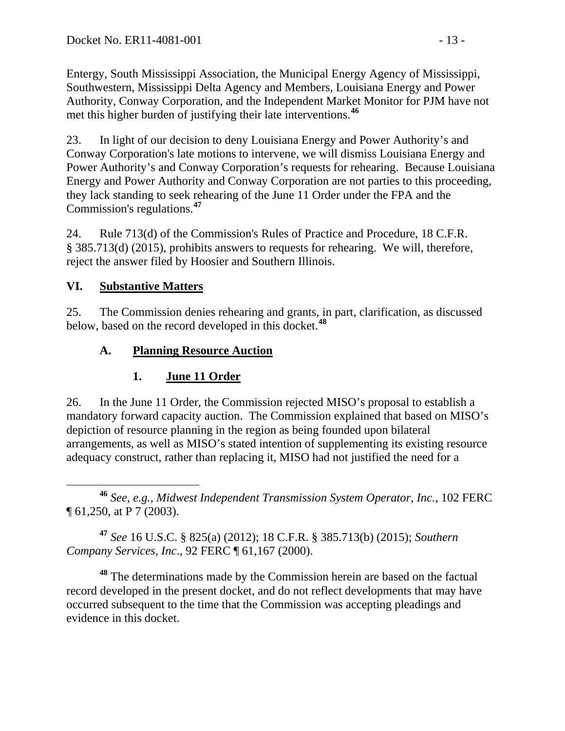Entergy, South Mississippi Association, the Municipal Energy Agency of Mississippi, Southwestern, Mississippi Delta Agency and Members, Louisiana Energy and Power Authority, Conway Corporation, and the Independent Market Monitor for PJM have not met this higher burden of justifying their late interventions.**[46](#page-12-3)**

23. In light of our decision to deny Louisiana Energy and Power Authority's and Conway Corporation's late motions to intervene, we will dismiss Louisiana Energy and Power Authority's and Conway Corporation's requests for rehearing. Because Louisiana Energy and Power Authority and Conway Corporation are not parties to this proceeding, they lack standing to seek rehearing of the June 11 Order under the FPA and the Commission's regulations.**[47](#page-12-4)**

24. Rule 713(d) of the Commission's Rules of Practice and Procedure, 18 C.F.R. § 385.713(d) (2015), prohibits answers to requests for rehearing. We will, therefore, reject the answer filed by Hoosier and Southern Illinois.

### **VI. Substantive Matters**

25. The Commission denies rehearing and grants, in part, clarification, as discussed below, based on the record developed in this docket.**[48](#page-12-5)**

## **A. Planning Resource Auction**

# <span id="page-12-2"></span><span id="page-12-1"></span><span id="page-12-0"></span>**1. June 11 Order**

26. In the June 11 Order, the Commission rejected MISO's proposal to establish a mandatory forward capacity auction. The Commission explained that based on MISO's depiction of resource planning in the region as being founded upon bilateral arrangements, as well as MISO's stated intention of supplementing its existing resource adequacy construct, rather than replacing it, MISO had not justified the need for a

<span id="page-12-3"></span> **<sup>46</sup>** *See, e.g., Midwest Independent Transmission System Operator, Inc.*, 102 FERC ¶ 61,250, at P 7 (2003).

<span id="page-12-4"></span>**<sup>47</sup>** *See* 16 U.S.C. § 825(a) (2012); 18 C.F.R. § 385.713(b) (2015); *Southern Company Services, Inc*., 92 FERC ¶ 61,167 (2000).

<span id="page-12-5"></span>**<sup>48</sup>** The determinations made by the Commission herein are based on the factual record developed in the present docket, and do not reflect developments that may have occurred subsequent to the time that the Commission was accepting pleadings and evidence in this docket.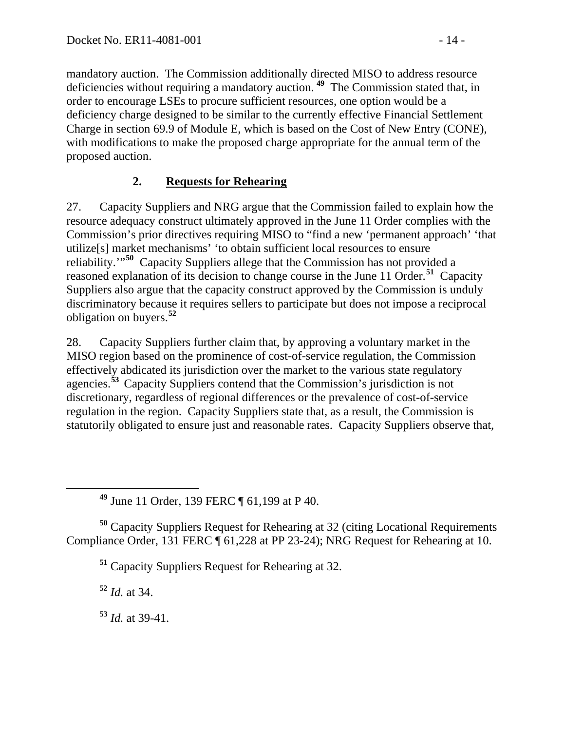mandatory auction. The Commission additionally directed MISO to address resource deficiencies without requiring a mandatory auction. **[49](#page-13-1)** The Commission stated that, in order to encourage LSEs to procure sufficient resources, one option would be a deficiency charge designed to be similar to the currently effective Financial Settlement Charge in section 69.9 of Module E, which is based on the Cost of New Entry (CONE), with modifications to make the proposed charge appropriate for the annual term of the proposed auction.

## <span id="page-13-0"></span>**2. Requests for Rehearing**

27. Capacity Suppliers and NRG argue that the Commission failed to explain how the resource adequacy construct ultimately approved in the June 11 Order complies with the Commission's prior directives requiring MISO to "find a new 'permanent approach' 'that utilize[s] market mechanisms' 'to obtain sufficient local resources to ensure reliability.'"**[50](#page-13-2)** Capacity Suppliers allege that the Commission has not provided a reasoned explanation of its decision to change course in the June 11 Order.**[51](#page-13-3)** Capacity Suppliers also argue that the capacity construct approved by the Commission is unduly discriminatory because it requires sellers to participate but does not impose a reciprocal obligation on buyers.**[52](#page-13-4)**

28. Capacity Suppliers further claim that, by approving a voluntary market in the MISO region based on the prominence of cost-of-service regulation, the Commission effectively abdicated its jurisdiction over the market to the various state regulatory agencies.**[53](#page-13-5)** Capacity Suppliers contend that the Commission's jurisdiction is not discretionary, regardless of regional differences or the prevalence of cost-of-service regulation in the region. Capacity Suppliers state that, as a result, the Commission is statutorily obligated to ensure just and reasonable rates. Capacity Suppliers observe that,

**<sup>49</sup>** June 11 Order, 139 FERC ¶ 61,199 at P 40.

<span id="page-13-4"></span><span id="page-13-3"></span><span id="page-13-2"></span><span id="page-13-1"></span>**<sup>50</sup>** Capacity Suppliers Request for Rehearing at 32 (citing Locational Requirements Compliance Order, 131 FERC ¶ 61,228 at PP 23-24); NRG Request for Rehearing at 10.

**<sup>51</sup>** Capacity Suppliers Request for Rehearing at 32.

**<sup>52</sup>** *Id.* at 34.

<span id="page-13-5"></span>**<sup>53</sup>** *Id.* at 39-41.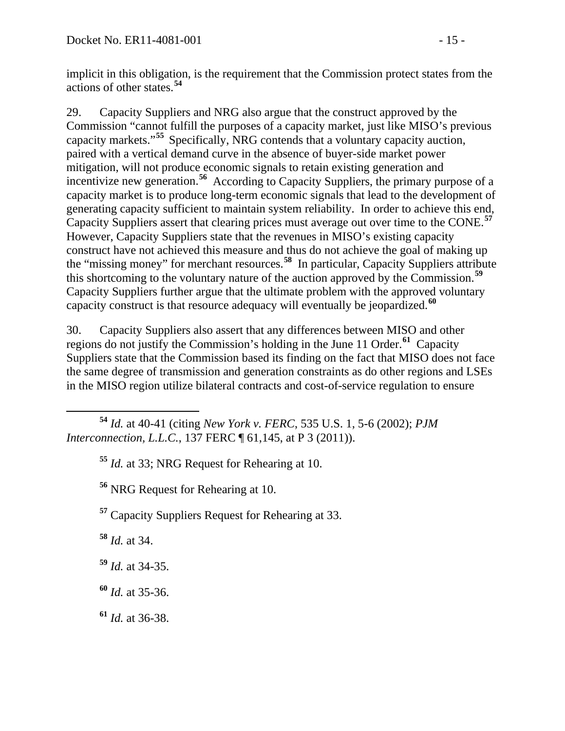implicit in this obligation, is the requirement that the Commission protect states from the actions of other states.**[54](#page-14-0)**

29. Capacity Suppliers and NRG also argue that the construct approved by the Commission "cannot fulfill the purposes of a capacity market, just like MISO's previous capacity markets."**[55](#page-14-1)** Specifically, NRG contends that a voluntary capacity auction, paired with a vertical demand curve in the absence of buyer-side market power mitigation, will not produce economic signals to retain existing generation and incentivize new generation.<sup>[56](#page-14-2)</sup> According to Capacity Suppliers, the primary purpose of a capacity market is to produce long-term economic signals that lead to the development of generating capacity sufficient to maintain system reliability. In order to achieve this end, Capacity Suppliers assert that clearing prices must average out over time to the CONE.**[57](#page-14-3)** However, Capacity Suppliers state that the revenues in MISO's existing capacity construct have not achieved this measure and thus do not achieve the goal of making up the "missing money" for merchant resources.**[58](#page-14-4)** In particular, Capacity Suppliers attribute this shortcoming to the voluntary nature of the auction approved by the Commission.**[59](#page-14-5)** Capacity Suppliers further argue that the ultimate problem with the approved voluntary capacity construct is that resource adequacy will eventually be jeopardized.**[60](#page-14-6)**

30. Capacity Suppliers also assert that any differences between MISO and other regions do not justify the Commission's holding in the June 11 Order.**[61](#page-14-7)** Capacity Suppliers state that the Commission based its finding on the fact that MISO does not face the same degree of transmission and generation constraints as do other regions and LSEs in the MISO region utilize bilateral contracts and cost-of-service regulation to ensure

**<sup>55</sup>** *Id.* at 33; NRG Request for Rehearing at 10.

**<sup>56</sup>** NRG Request for Rehearing at 10.

<span id="page-14-3"></span>**<sup>57</sup>** Capacity Suppliers Request for Rehearing at 33.

<span id="page-14-4"></span>**<sup>58</sup>** *Id.* at 34.

<span id="page-14-5"></span>**<sup>59</sup>** *Id.* at 34-35.

<span id="page-14-6"></span>**<sup>60</sup>** *Id.* at 35-36.

<span id="page-14-7"></span>**<sup>61</sup>** *Id.* at 36-38.

<span id="page-14-2"></span><span id="page-14-1"></span><span id="page-14-0"></span>**<sup>54</sup>** *Id.* at 40-41 (citing *New York v. FERC*, 535 U.S. 1, 5-6 (2002); *PJM Interconnection, L.L.C., 137 FERC* 161, 145, at P 3 (2011)).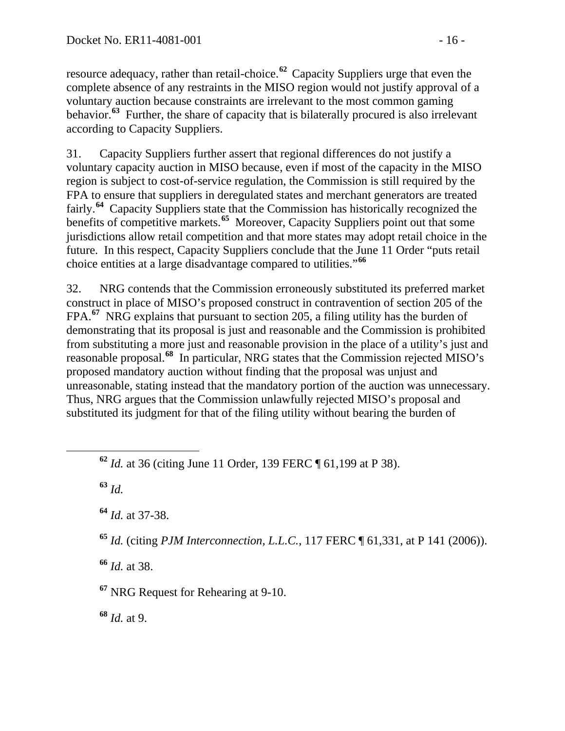resource adequacy, rather than retail-choice.**[62](#page-15-0)** Capacity Suppliers urge that even the complete absence of any restraints in the MISO region would not justify approval of a voluntary auction because constraints are irrelevant to the most common gaming behavior.**[63](#page-15-1)** Further, the share of capacity that is bilaterally procured is also irrelevant according to Capacity Suppliers.

31. Capacity Suppliers further assert that regional differences do not justify a voluntary capacity auction in MISO because, even if most of the capacity in the MISO region is subject to cost-of-service regulation, the Commission is still required by the FPA to ensure that suppliers in deregulated states and merchant generators are treated fairly.**[64](#page-15-2)** Capacity Suppliers state that the Commission has historically recognized the benefits of competitive markets.**[65](#page-15-3)** Moreover, Capacity Suppliers point out that some jurisdictions allow retail competition and that more states may adopt retail choice in the future. In this respect, Capacity Suppliers conclude that the June 11 Order "puts retail choice entities at a large disadvantage compared to utilities."**[66](#page-15-4)**

32. NRG contends that the Commission erroneously substituted its preferred market construct in place of MISO's proposed construct in contravention of section 205 of the FPA.**[67](#page-15-5)** NRG explains that pursuant to section 205, a filing utility has the burden of demonstrating that its proposal is just and reasonable and the Commission is prohibited from substituting a more just and reasonable provision in the place of a utility's just and reasonable proposal.**[68](#page-15-6)** In particular, NRG states that the Commission rejected MISO's proposed mandatory auction without finding that the proposal was unjust and unreasonable, stating instead that the mandatory portion of the auction was unnecessary. Thus, NRG argues that the Commission unlawfully rejected MISO's proposal and substituted its judgment for that of the filing utility without bearing the burden of

<span id="page-15-1"></span>**<sup>63</sup>** *Id.*

<span id="page-15-2"></span>**<sup>64</sup>** *Id.* at 37-38.

<span id="page-15-3"></span>**<sup>65</sup>** *Id.* (citing *PJM Interconnection, L.L.C.*, 117 FERC ¶ 61,331, at P 141 (2006)).

<span id="page-15-4"></span>**<sup>66</sup>** *Id.* at 38.

<span id="page-15-5"></span>**<sup>67</sup>** NRG Request for Rehearing at 9-10.

<span id="page-15-6"></span>**<sup>68</sup>** *Id.* at 9.

<span id="page-15-0"></span>**<sup>62</sup>** *Id.* at 36 (citing June 11 Order, 139 FERC ¶ 61,199 at P 38).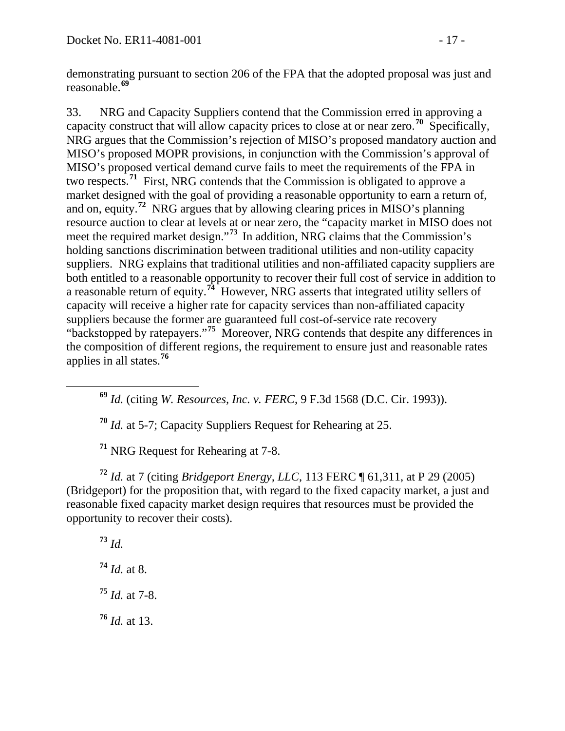demonstrating pursuant to section 206 of the FPA that the adopted proposal was just and reasonable.**[69](#page-16-0)**

33. NRG and Capacity Suppliers contend that the Commission erred in approving a capacity construct that will allow capacity prices to close at or near zero.**[70](#page-16-1)** Specifically, NRG argues that the Commission's rejection of MISO's proposed mandatory auction and MISO's proposed MOPR provisions, in conjunction with the Commission's approval of MISO's proposed vertical demand curve fails to meet the requirements of the FPA in two respects.**[71](#page-16-2)** First, NRG contends that the Commission is obligated to approve a market designed with the goal of providing a reasonable opportunity to earn a return of, and on, equity.**[72](#page-16-3)** NRG argues that by allowing clearing prices in MISO's planning resource auction to clear at levels at or near zero, the "capacity market in MISO does not meet the required market design."**[73](#page-16-4)** In addition, NRG claims that the Commission's holding sanctions discrimination between traditional utilities and non-utility capacity suppliers. NRG explains that traditional utilities and non-affiliated capacity suppliers are both entitled to a reasonable opportunity to recover their full cost of service in addition to a reasonable return of equity.**[74](#page-16-5)** However, NRG asserts that integrated utility sellers of capacity will receive a higher rate for capacity services than non-affiliated capacity suppliers because the former are guaranteed full cost-of-service rate recovery "backstopped by ratepayers."**[75](#page-16-6)** Moreover, NRG contends that despite any differences in the composition of different regions, the requirement to ensure just and reasonable rates applies in all states.**[76](#page-16-7)**

<span id="page-16-0"></span>**<sup>69</sup>** *Id.* (citing *W. Resources, Inc. v. FERC*, 9 F.3d 1568 (D.C. Cir. 1993)).

**<sup>70</sup>** *Id.* at 5-7; Capacity Suppliers Request for Rehearing at 25.

**<sup>71</sup>** NRG Request for Rehearing at 7-8.

<span id="page-16-4"></span><span id="page-16-3"></span><span id="page-16-2"></span><span id="page-16-1"></span>**<sup>72</sup>** *Id.* at 7 (citing *Bridgeport Energy, LLC*, 113 FERC ¶ 61,311, at P 29 (2005) (Bridgeport) for the proposition that, with regard to the fixed capacity market, a just and reasonable fixed capacity market design requires that resources must be provided the opportunity to recover their costs).

<span id="page-16-7"></span><span id="page-16-6"></span><span id="page-16-5"></span>**<sup>73</sup>** *Id. Id.* at 8. *Id.* at 7-8. *Id.* at 13.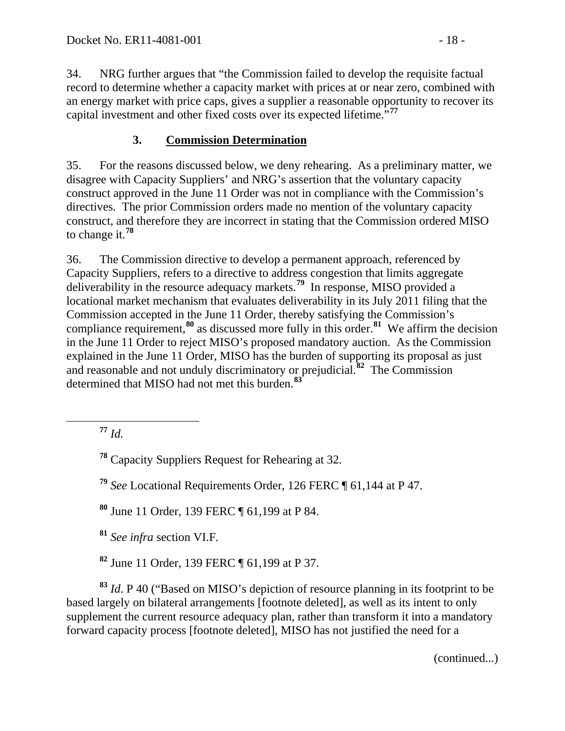34. NRG further argues that "the Commission failed to develop the requisite factual record to determine whether a capacity market with prices at or near zero, combined with an energy market with price caps, gives a supplier a reasonable opportunity to recover its capital investment and other fixed costs over its expected lifetime."**[77](#page-17-1)**

#### <span id="page-17-0"></span>**3. Commission Determination**

35. For the reasons discussed below, we deny rehearing. As a preliminary matter, we disagree with Capacity Suppliers' and NRG's assertion that the voluntary capacity construct approved in the June 11 Order was not in compliance with the Commission's directives. The prior Commission orders made no mention of the voluntary capacity construct, and therefore they are incorrect in stating that the Commission ordered MISO to change it.**[78](#page-17-2)**

36. The Commission directive to develop a permanent approach, referenced by Capacity Suppliers, refers to a directive to address congestion that limits aggregate deliverability in the resource adequacy markets.<sup>[79](#page-17-3)</sup> In response, MISO provided a locational market mechanism that evaluates deliverability in its July 2011 filing that the Commission accepted in the June 11 Order, thereby satisfying the Commission's compliance requirement,**[80](#page-17-4)** as discussed more fully in this order.**[81](#page-17-5)** We affirm the decision in the June 11 Order to reject MISO's proposed mandatory auction. As the Commission explained in the June 11 Order, MISO has the burden of supporting its proposal as just and reasonable and not unduly discriminatory or prejudicial.**[82](#page-17-6)** The Commission determined that MISO had not met this burden.**[83](#page-17-7)**

<span id="page-17-1"></span>**<sup>77</sup>** *Id.*

<span id="page-17-2"></span>**<sup>78</sup>** Capacity Suppliers Request for Rehearing at 32.

<span id="page-17-3"></span>**<sup>79</sup>** *See* Locational Requirements Order, 126 FERC ¶ 61,144 at P 47.

<span id="page-17-4"></span>**<sup>80</sup>** June 11 Order, 139 FERC ¶ 61,199 at P 84.

**<sup>81</sup>** *See infra* section VI.F*.*

**<sup>82</sup>** June 11 Order, 139 FERC ¶ 61,199 at P 37.

<span id="page-17-7"></span><span id="page-17-6"></span><span id="page-17-5"></span>**<sup>83</sup>** *Id*. P 40 ("Based on MISO's depiction of resource planning in its footprint to be based largely on bilateral arrangements [footnote deleted], as well as its intent to only supplement the current resource adequacy plan, rather than transform it into a mandatory forward capacity process [footnote deleted], MISO has not justified the need for a

(continued...)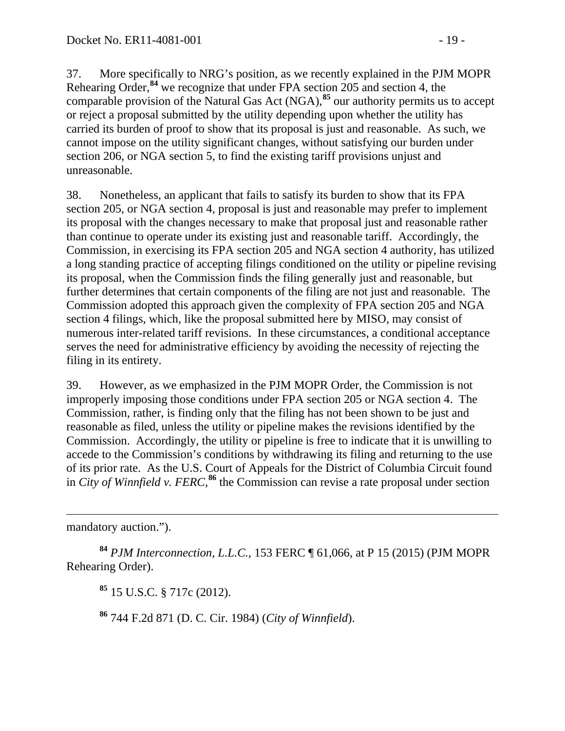37. More specifically to NRG's position, as we recently explained in the PJM MOPR Rehearing Order,<sup>[84](#page-18-0)</sup> we recognize that under FPA section 205 and section 4, the comparable provision of the Natural Gas Act (NGA),**[85](#page-18-1)** our authority permits us to accept or reject a proposal submitted by the utility depending upon whether the utility has carried its burden of proof to show that its proposal is just and reasonable. As such, we cannot impose on the utility significant changes, without satisfying our burden under section 206, or NGA section 5, to find the existing tariff provisions unjust and unreasonable.

38. Nonetheless, an applicant that fails to satisfy its burden to show that its FPA section 205, or NGA section 4, proposal is just and reasonable may prefer to implement its proposal with the changes necessary to make that proposal just and reasonable rather than continue to operate under its existing just and reasonable tariff. Accordingly, the Commission, in exercising its FPA section 205 and NGA section 4 authority, has utilized a long standing practice of accepting filings conditioned on the utility or pipeline revising its proposal, when the Commission finds the filing generally just and reasonable, but further determines that certain components of the filing are not just and reasonable. The Commission adopted this approach given the complexity of FPA section 205 and NGA section 4 filings, which, like the proposal submitted here by MISO, may consist of numerous inter-related tariff revisions. In these circumstances, a conditional acceptance serves the need for administrative efficiency by avoiding the necessity of rejecting the filing in its entirety.

39. However, as we emphasized in the PJM MOPR Order, the Commission is not improperly imposing those conditions under FPA section 205 or NGA section 4. The Commission, rather, is finding only that the filing has not been shown to be just and reasonable as filed, unless the utility or pipeline makes the revisions identified by the Commission. Accordingly, the utility or pipeline is free to indicate that it is unwilling to accede to the Commission's conditions by withdrawing its filing and returning to the use of its prior rate. As the U.S. Court of Appeals for the District of Columbia Circuit found in *City of Winnfield v. FERC*, **[86](#page-18-2)** the Commission can revise a rate proposal under section

 $\overline{a}$ mandatory auction.").

<span id="page-18-2"></span><span id="page-18-1"></span><span id="page-18-0"></span>**<sup>84</sup>** *PJM Interconnection, L.L.C.,* 153 FERC ¶ 61,066, at P 15 (2015) (PJM MOPR Rehearing Order).

**<sup>85</sup>** 15 U.S.C. § 717c (2012).

**<sup>86</sup>** 744 F.2d 871 (D. C. Cir. 1984) (*City of Winnfield*).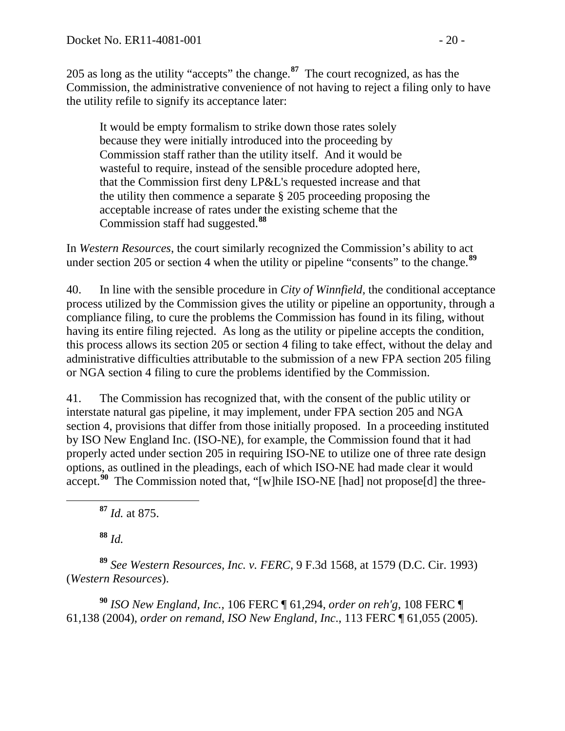205 as long as the utility "accepts" the change.**[87](#page-19-0)** The court recognized, as has the Commission, the administrative convenience of not having to reject a filing only to have the utility refile to signify its acceptance later:

It would be empty formalism to strike down those rates solely because they were initially introduced into the proceeding by Commission staff rather than the utility itself. And it would be wasteful to require, instead of the sensible procedure adopted here, that the Commission first deny LP&L's requested increase and that the utility then commence a separate § 205 proceeding proposing the acceptable increase of rates under the existing scheme that the Commission staff had suggested.**[88](#page-19-1)**

In *Western Resources*, the court similarly recognized the Commission's ability to act under section 205 or section 4 when the utility or pipeline "consents" to the change.**[89](#page-19-2)**

40. In line with the sensible procedure in *City of Winnfield,* the conditional acceptance process utilized by the Commission gives the utility or pipeline an opportunity, through a compliance filing, to cure the problems the Commission has found in its filing, without having its entire filing rejected. As long as the utility or pipeline accepts the condition, this process allows its section 205 or section 4 filing to take effect, without the delay and administrative difficulties attributable to the submission of a new FPA section 205 filing or NGA section 4 filing to cure the problems identified by the Commission.

41. The Commission has recognized that, with the consent of the public utility or interstate natural gas pipeline, it may implement, under FPA section 205 and NGA section 4, provisions that differ from those initially proposed. In a proceeding instituted by ISO New England Inc. (ISO-NE), for example, the Commission found that it had properly acted under section 205 in requiring ISO-NE to utilize one of three rate design options, as outlined in the pleadings, each of which ISO-NE had made clear it would accept.<sup>[90](#page-19-3)</sup> The Commission noted that, "[w]hile ISO-NE [had] not propose[d] the three-

**<sup>87</sup>** *Id.* at 875.

**<sup>88</sup>** *Id.*

<span id="page-19-2"></span><span id="page-19-1"></span><span id="page-19-0"></span>**<sup>89</sup>** *See Western Resources, Inc. v. FERC*, 9 F.3d 1568, at 1579 (D.C. Cir. 1993) (*Western Resources*).

<span id="page-19-3"></span>**<sup>90</sup>** *ISO New England, Inc.,* 106 FERC ¶ 61,294, *order on reh'g*, 108 FERC ¶ 61,138 (2004), *order on remand*, *ISO New England, Inc*., 113 FERC ¶ 61,055 (2005).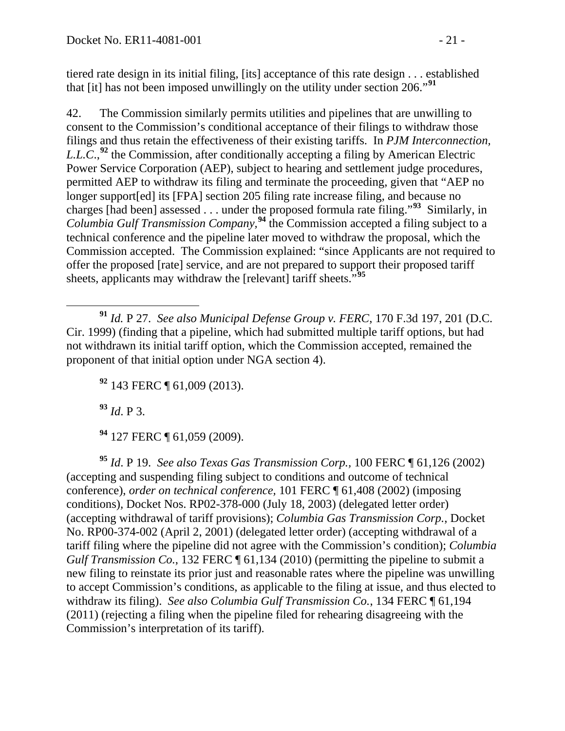tiered rate design in its initial filing, [its] acceptance of this rate design . . . established that [it] has not been imposed unwillingly on the utility under section 206."**[91](#page-20-0)**

42. The Commission similarly permits utilities and pipelines that are unwilling to consent to the Commission's conditional acceptance of their filings to withdraw those filings and thus retain the effectiveness of their existing tariffs. In *PJM Interconnection, L.L.C*.,**[92](#page-20-1)** the Commission, after conditionally accepting a filing by American Electric Power Service Corporation (AEP), subject to hearing and settlement judge procedures, permitted AEP to withdraw its filing and terminate the proceeding, given that "AEP no longer support[ed] its [FPA] section 205 filing rate increase filing, and because no charges [had been] assessed . . . under the proposed formula rate filing."**[93](#page-20-2)** Similarly, in *Columbia Gulf Transmission Company,***[94](#page-20-3)** the Commission accepted a filing subject to a technical conference and the pipeline later moved to withdraw the proposal, which the Commission accepted. The Commission explained: "since Applicants are not required to offer the proposed [rate] service, and are not prepared to support their proposed tariff sheets, applicants may withdraw the [relevant] tariff sheets.<sup>5[95](#page-20-4)</sup>

<span id="page-20-1"></span><span id="page-20-0"></span> **<sup>91</sup>** *Id.* P 27. *See also Municipal Defense Group v. FERC*, 170 F.3d 197, 201 (D.C. Cir. 1999) (finding that a pipeline, which had submitted multiple tariff options, but had not withdrawn its initial tariff option, which the Commission accepted, remained the proponent of that initial option under NGA section 4).

**<sup>92</sup>** 143 FERC ¶ 61,009 (2013).

**<sup>93</sup>** *Id*. P 3.

**<sup>94</sup>** 127 FERC ¶ 61,059 (2009).

<span id="page-20-4"></span><span id="page-20-3"></span><span id="page-20-2"></span>**<sup>95</sup>** *Id*. P 19. *See also Texas Gas Transmission Corp.,* 100 FERC ¶ 61,126 (2002) (accepting and suspending filing subject to conditions and outcome of technical conference), *order on technical conference,* 101 FERC ¶ 61,408 (2002) (imposing conditions)*,* Docket Nos. RP02-378-000 (July 18, 2003) (delegated letter order) (accepting withdrawal of tariff provisions); *Columbia Gas Transmission Corp.*, Docket No. RP00-374-002 (April 2, 2001) (delegated letter order) (accepting withdrawal of a tariff filing where the pipeline did not agree with the Commission's condition); *Columbia Gulf Transmission Co.*, 132 FERC  $\P$  61,134 (2010) (permitting the pipeline to submit a new filing to reinstate its prior just and reasonable rates where the pipeline was unwilling to accept Commission's conditions, as applicable to the filing at issue, and thus elected to withdraw its filing). *See also Columbia Gulf Transmission Co.*, 134 FERC ¶ 61,194 (2011) (rejecting a filing when the pipeline filed for rehearing disagreeing with the Commission's interpretation of its tariff).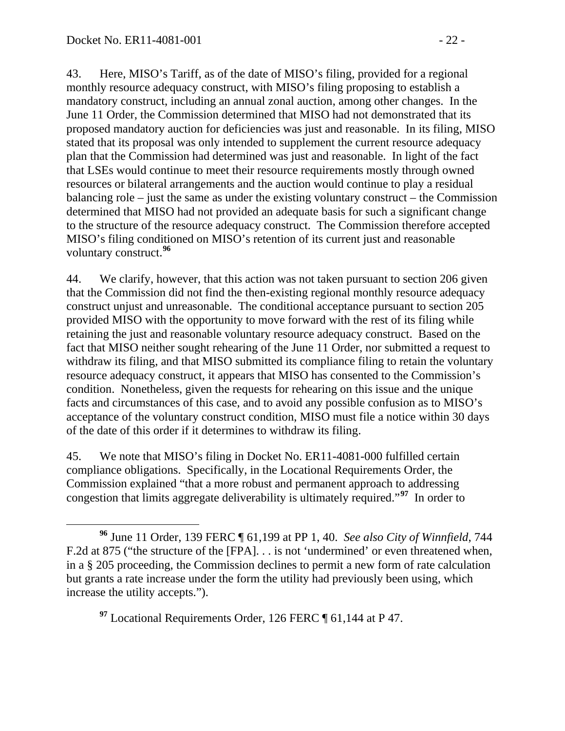43. Here, MISO's Tariff, as of the date of MISO's filing, provided for a regional monthly resource adequacy construct, with MISO's filing proposing to establish a mandatory construct, including an annual zonal auction, among other changes. In the June 11 Order, the Commission determined that MISO had not demonstrated that its proposed mandatory auction for deficiencies was just and reasonable. In its filing, MISO stated that its proposal was only intended to supplement the current resource adequacy plan that the Commission had determined was just and reasonable. In light of the fact that LSEs would continue to meet their resource requirements mostly through owned resources or bilateral arrangements and the auction would continue to play a residual balancing role – just the same as under the existing voluntary construct – the Commission determined that MISO had not provided an adequate basis for such a significant change to the structure of the resource adequacy construct. The Commission therefore accepted MISO's filing conditioned on MISO's retention of its current just and reasonable voluntary construct. **[96](#page-21-0)**

44. We clarify, however, that this action was not taken pursuant to section 206 given that the Commission did not find the then-existing regional monthly resource adequacy construct unjust and unreasonable. The conditional acceptance pursuant to section 205 provided MISO with the opportunity to move forward with the rest of its filing while retaining the just and reasonable voluntary resource adequacy construct. Based on the fact that MISO neither sought rehearing of the June 11 Order, nor submitted a request to withdraw its filing, and that MISO submitted its compliance filing to retain the voluntary resource adequacy construct, it appears that MISO has consented to the Commission's condition. Nonetheless, given the requests for rehearing on this issue and the unique facts and circumstances of this case, and to avoid any possible confusion as to MISO's acceptance of the voluntary construct condition, MISO must file a notice within 30 days of the date of this order if it determines to withdraw its filing.

45. We note that MISO's filing in Docket No. ER11-4081-000 fulfilled certain compliance obligations. Specifically, in the Locational Requirements Order, the Commission explained "that a more robust and permanent approach to addressing congestion that limits aggregate deliverability is ultimately required."**[97](#page-21-1)** In order to

<span id="page-21-1"></span>**<sup>97</sup>** Locational Requirements Order, 126 FERC ¶ 61,144 at P 47.

<span id="page-21-0"></span>**<sup>96</sup>** June 11 Order, 139 FERC ¶ 61,199 at PP 1, 40. *See also City of Winnfield*, 744 F.2d at 875 ("the structure of the [FPA]. . . is not 'undermined' or even threatened when, in a § 205 proceeding, the Commission declines to permit a new form of rate calculation but grants a rate increase under the form the utility had previously been using, which increase the utility accepts.").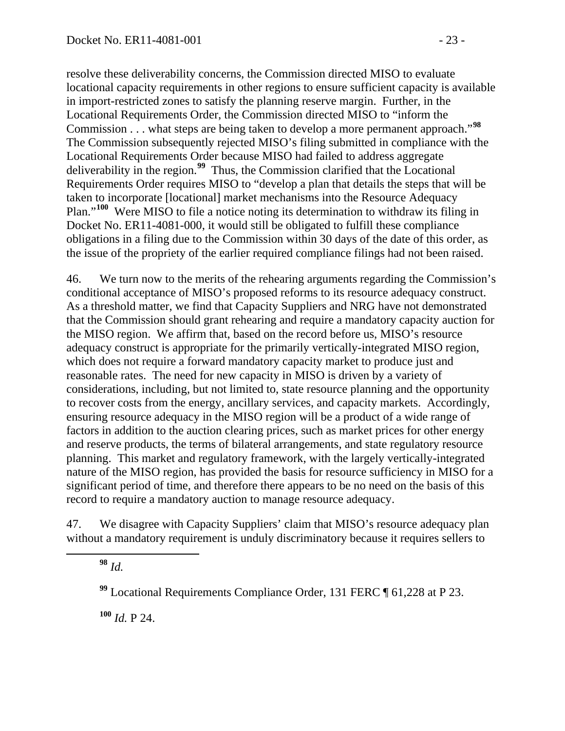resolve these deliverability concerns, the Commission directed MISO to evaluate locational capacity requirements in other regions to ensure sufficient capacity is available in import-restricted zones to satisfy the planning reserve margin. Further, in the Locational Requirements Order, the Commission directed MISO to "inform the Commission . . . what steps are being taken to develop a more permanent approach."**[98](#page-22-0)** The Commission subsequently rejected MISO's filing submitted in compliance with the Locational Requirements Order because MISO had failed to address aggregate deliverability in the region.**[99](#page-22-1)** Thus, the Commission clarified that the Locational Requirements Order requires MISO to "develop a plan that details the steps that will be taken to incorporate [locational] market mechanisms into the Resource Adequacy Plan."**[100](#page-22-2)** Were MISO to file a notice noting its determination to withdraw its filing in Docket No. ER11-4081-000, it would still be obligated to fulfill these compliance obligations in a filing due to the Commission within 30 days of the date of this order, as the issue of the propriety of the earlier required compliance filings had not been raised.

46. We turn now to the merits of the rehearing arguments regarding the Commission's conditional acceptance of MISO's proposed reforms to its resource adequacy construct. As a threshold matter, we find that Capacity Suppliers and NRG have not demonstrated that the Commission should grant rehearing and require a mandatory capacity auction for the MISO region. We affirm that, based on the record before us, MISO's resource adequacy construct is appropriate for the primarily vertically-integrated MISO region, which does not require a forward mandatory capacity market to produce just and reasonable rates. The need for new capacity in MISO is driven by a variety of considerations, including, but not limited to, state resource planning and the opportunity to recover costs from the energy, ancillary services, and capacity markets. Accordingly, ensuring resource adequacy in the MISO region will be a product of a wide range of factors in addition to the auction clearing prices, such as market prices for other energy and reserve products, the terms of bilateral arrangements, and state regulatory resource planning. This market and regulatory framework, with the largely vertically-integrated nature of the MISO region, has provided the basis for resource sufficiency in MISO for a significant period of time, and therefore there appears to be no need on the basis of this record to require a mandatory auction to manage resource adequacy.

<span id="page-22-1"></span><span id="page-22-0"></span>47. We disagree with Capacity Suppliers' claim that MISO's resource adequacy plan without a mandatory requirement is unduly discriminatory because it requires sellers to

**<sup>98</sup>** *Id.*

**<sup>99</sup>** Locational Requirements Compliance Order, 131 FERC ¶ 61,228 at P 23.

<span id="page-22-2"></span>**<sup>100</sup>** *Id.* P 24.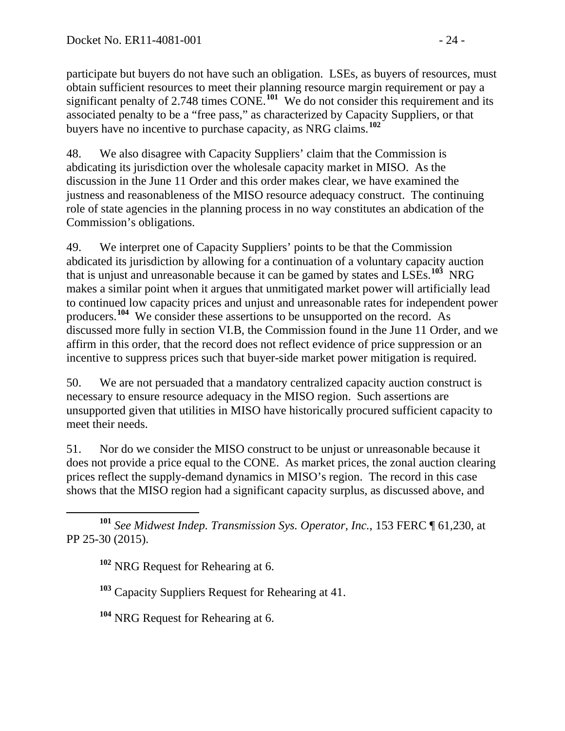participate but buyers do not have such an obligation. LSEs, as buyers of resources, must obtain sufficient resources to meet their planning resource margin requirement or pay a significant penalty of 2.748 times CONE.<sup>[101](#page-23-0)</sup> We do not consider this requirement and its associated penalty to be a "free pass," as characterized by Capacity Suppliers, or that buyers have no incentive to purchase capacity, as NRG claims.**[102](#page-23-1)**

48. We also disagree with Capacity Suppliers' claim that the Commission is abdicating its jurisdiction over the wholesale capacity market in MISO. As the discussion in the June 11 Order and this order makes clear, we have examined the justness and reasonableness of the MISO resource adequacy construct. The continuing role of state agencies in the planning process in no way constitutes an abdication of the Commission's obligations.

49. We interpret one of Capacity Suppliers' points to be that the Commission abdicated its jurisdiction by allowing for a continuation of a voluntary capacity auction that is unjust and unreasonable because it can be gamed by states and LSEs.**[103](#page-23-2)** NRG makes a similar point when it argues that unmitigated market power will artificially lead to continued low capacity prices and unjust and unreasonable rates for independent power producers.**[104](#page-23-3)** We consider these assertions to be unsupported on the record. As discussed more fully in section VI.B, the Commission found in the June 11 Order, and we affirm in this order, that the record does not reflect evidence of price suppression or an incentive to suppress prices such that buyer-side market power mitigation is required.

50. We are not persuaded that a mandatory centralized capacity auction construct is necessary to ensure resource adequacy in the MISO region. Such assertions are unsupported given that utilities in MISO have historically procured sufficient capacity to meet their needs.

51. Nor do we consider the MISO construct to be unjust or unreasonable because it does not provide a price equal to the CONE. As market prices, the zonal auction clearing prices reflect the supply-demand dynamics in MISO's region. The record in this case shows that the MISO region had a significant capacity surplus, as discussed above, and

<span id="page-23-2"></span><span id="page-23-1"></span><span id="page-23-0"></span> **<sup>101</sup>** *See Midwest Indep. Transmission Sys. Operator, Inc.*, 153 FERC ¶ 61,230, at PP 25-30 (2015).

**<sup>102</sup>** NRG Request for Rehearing at 6.

**<sup>103</sup>** Capacity Suppliers Request for Rehearing at 41.

<span id="page-23-3"></span>**<sup>104</sup>** NRG Request for Rehearing at 6.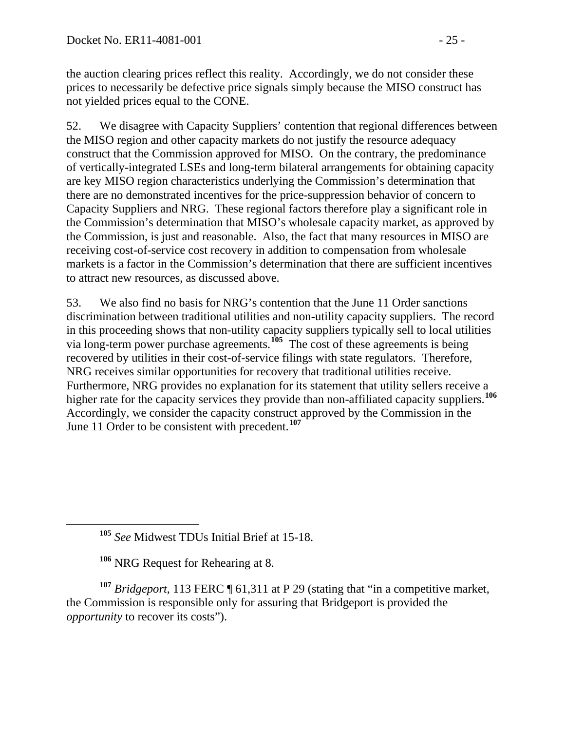the auction clearing prices reflect this reality. Accordingly, we do not consider these prices to necessarily be defective price signals simply because the MISO construct has not yielded prices equal to the CONE.

52. We disagree with Capacity Suppliers' contention that regional differences between the MISO region and other capacity markets do not justify the resource adequacy construct that the Commission approved for MISO. On the contrary, the predominance of vertically-integrated LSEs and long-term bilateral arrangements for obtaining capacity are key MISO region characteristics underlying the Commission's determination that there are no demonstrated incentives for the price-suppression behavior of concern to Capacity Suppliers and NRG. These regional factors therefore play a significant role in the Commission's determination that MISO's wholesale capacity market, as approved by the Commission, is just and reasonable. Also, the fact that many resources in MISO are receiving cost-of-service cost recovery in addition to compensation from wholesale markets is a factor in the Commission's determination that there are sufficient incentives to attract new resources, as discussed above.

53. We also find no basis for NRG's contention that the June 11 Order sanctions discrimination between traditional utilities and non-utility capacity suppliers. The record in this proceeding shows that non-utility capacity suppliers typically sell to local utilities via long-term power purchase agreements.<sup>[105](#page-24-0)</sup> The cost of these agreements is being recovered by utilities in their cost-of-service filings with state regulators. Therefore, NRG receives similar opportunities for recovery that traditional utilities receive. Furthermore, NRG provides no explanation for its statement that utility sellers receive a higher rate for the capacity services they provide than non-affiliated capacity suppliers.**[106](#page-24-1)** Accordingly, we consider the capacity construct approved by the Commission in the June 11 Order to be consistent with precedent.**[107](#page-24-2)**

**<sup>106</sup>** NRG Request for Rehearing at 8.

<span id="page-24-2"></span><span id="page-24-1"></span><span id="page-24-0"></span>**<sup>107</sup>** *Bridgeport*, 113 FERC ¶ 61,311 at P 29 (stating that "in a competitive market, the Commission is responsible only for assuring that Bridgeport is provided the *opportunity* to recover its costs").

**<sup>105</sup>** *See* Midwest TDUs Initial Brief at 15-18.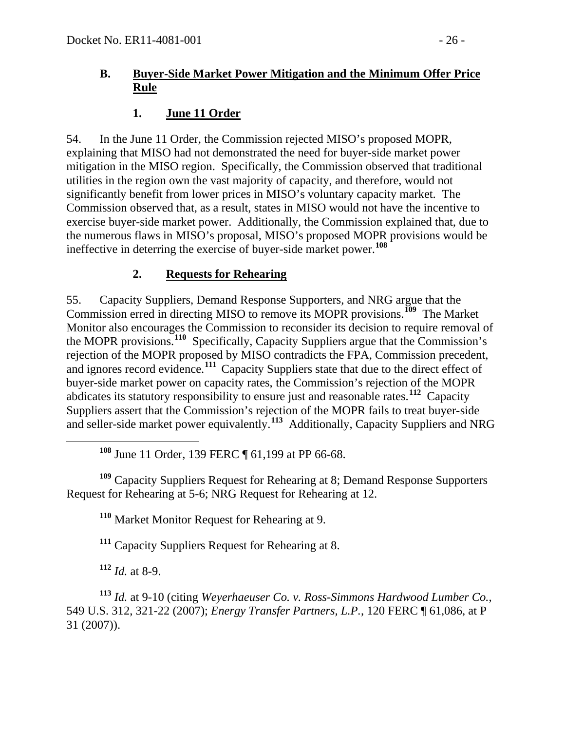#### **B. Buyer-Side Market Power Mitigation and the Minimum Offer Price Rule**

### <span id="page-25-1"></span><span id="page-25-0"></span>**1. June 11 Order**

54. In the June 11 Order, the Commission rejected MISO's proposed MOPR, explaining that MISO had not demonstrated the need for buyer-side market power mitigation in the MISO region. Specifically, the Commission observed that traditional utilities in the region own the vast majority of capacity, and therefore, would not significantly benefit from lower prices in MISO's voluntary capacity market. The Commission observed that, as a result, states in MISO would not have the incentive to exercise buyer-side market power. Additionally, the Commission explained that, due to the numerous flaws in MISO's proposal, MISO's proposed MOPR provisions would be ineffective in deterring the exercise of buyer-side market power.**[108](#page-25-3)**

## <span id="page-25-2"></span>**2. Requests for Rehearing**

55. Capacity Suppliers, Demand Response Supporters, and NRG argue that the Commission erred in directing MISO to remove its MOPR provisions.**[109](#page-25-4)** The Market Monitor also encourages the Commission to reconsider its decision to require removal of the MOPR provisions.**[110](#page-25-5)** Specifically, Capacity Suppliers argue that the Commission's rejection of the MOPR proposed by MISO contradicts the FPA, Commission precedent, and ignores record evidence.**[111](#page-25-6)** Capacity Suppliers state that due to the direct effect of buyer-side market power on capacity rates, the Commission's rejection of the MOPR abdicates its statutory responsibility to ensure just and reasonable rates.**[112](#page-25-7)** Capacity Suppliers assert that the Commission's rejection of the MOPR fails to treat buyer-side and seller-side market power equivalently.**[113](#page-25-8)** Additionally, Capacity Suppliers and NRG

**<sup>108</sup>** June 11 Order, 139 FERC ¶ 61,199 at PP 66-68.

<span id="page-25-5"></span><span id="page-25-4"></span><span id="page-25-3"></span>**<sup>109</sup>** Capacity Suppliers Request for Rehearing at 8; Demand Response Supporters Request for Rehearing at 5-6; NRG Request for Rehearing at 12.

**<sup>110</sup>** Market Monitor Request for Rehearing at 9.

**<sup>111</sup>** Capacity Suppliers Request for Rehearing at 8.

**<sup>112</sup>** *Id.* at 8-9.

<span id="page-25-8"></span><span id="page-25-7"></span><span id="page-25-6"></span>**<sup>113</sup>** *Id.* at 9-10 (citing *Weyerhaeuser Co. v. Ross-Simmons Hardwood Lumber Co.*, 549 U.S. 312, 321-22 (2007); *Energy Transfer Partners, L.P.*, 120 FERC ¶ 61,086, at P 31 (2007)).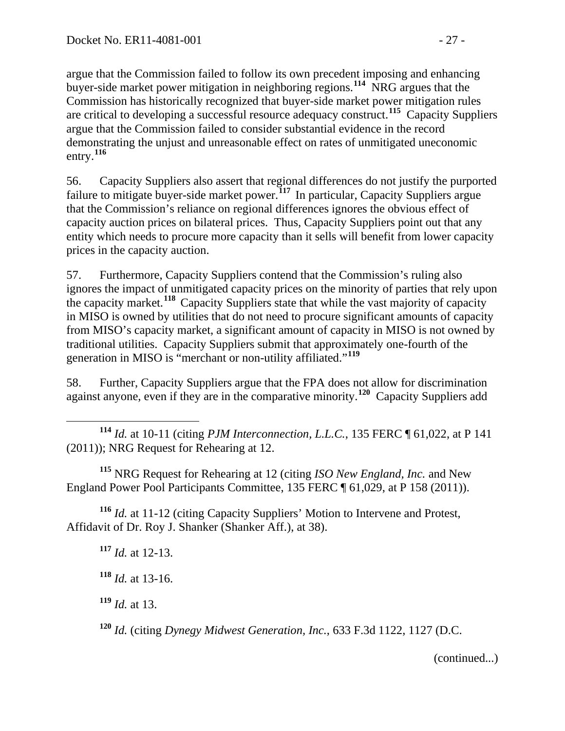argue that the Commission failed to follow its own precedent imposing and enhancing buyer-side market power mitigation in neighboring regions.**[114](#page-26-0)** NRG argues that the Commission has historically recognized that buyer-side market power mitigation rules are critical to developing a successful resource adequacy construct.**[115](#page-26-1)** Capacity Suppliers argue that the Commission failed to consider substantial evidence in the record demonstrating the unjust and unreasonable effect on rates of unmitigated uneconomic entry.**[116](#page-26-2)**

56. Capacity Suppliers also assert that regional differences do not justify the purported failure to mitigate buyer-side market power.**[117](#page-26-3)** In particular, Capacity Suppliers argue that the Commission's reliance on regional differences ignores the obvious effect of capacity auction prices on bilateral prices. Thus, Capacity Suppliers point out that any entity which needs to procure more capacity than it sells will benefit from lower capacity prices in the capacity auction.

57. Furthermore, Capacity Suppliers contend that the Commission's ruling also ignores the impact of unmitigated capacity prices on the minority of parties that rely upon the capacity market.**[118](#page-26-4)** Capacity Suppliers state that while the vast majority of capacity in MISO is owned by utilities that do not need to procure significant amounts of capacity from MISO's capacity market, a significant amount of capacity in MISO is not owned by traditional utilities. Capacity Suppliers submit that approximately one-fourth of the generation in MISO is "merchant or non-utility affiliated."**[119](#page-26-5)**

58. Further, Capacity Suppliers argue that the FPA does not allow for discrimination against anyone, even if they are in the comparative minority.**[120](#page-26-6)** Capacity Suppliers add

<span id="page-26-0"></span> **<sup>114</sup>** *Id.* at 10-11 (citing *PJM Interconnection, L.L.C.*, 135 FERC ¶ 61,022, at P 141 (2011)); NRG Request for Rehearing at 12.

<span id="page-26-1"></span>**<sup>115</sup>** NRG Request for Rehearing at 12 (citing *ISO New England, Inc.* and New England Power Pool Participants Committee, 135 FERC ¶ 61,029, at P 158 (2011)).

<span id="page-26-4"></span><span id="page-26-3"></span><span id="page-26-2"></span>**<sup>116</sup>** *Id.* at 11-12 (citing Capacity Suppliers' Motion to Intervene and Protest, Affidavit of Dr. Roy J. Shanker (Shanker Aff.), at 38).

**<sup>117</sup>** *Id.* at 12-13.

**<sup>118</sup>** *Id.* at 13-16.

<span id="page-26-5"></span>**<sup>119</sup>** *Id.* at 13.

<span id="page-26-6"></span>**<sup>120</sup>** *Id.* (citing *Dynegy Midwest Generation, Inc.*, 633 F.3d 1122, 1127 (D.C.

(continued...)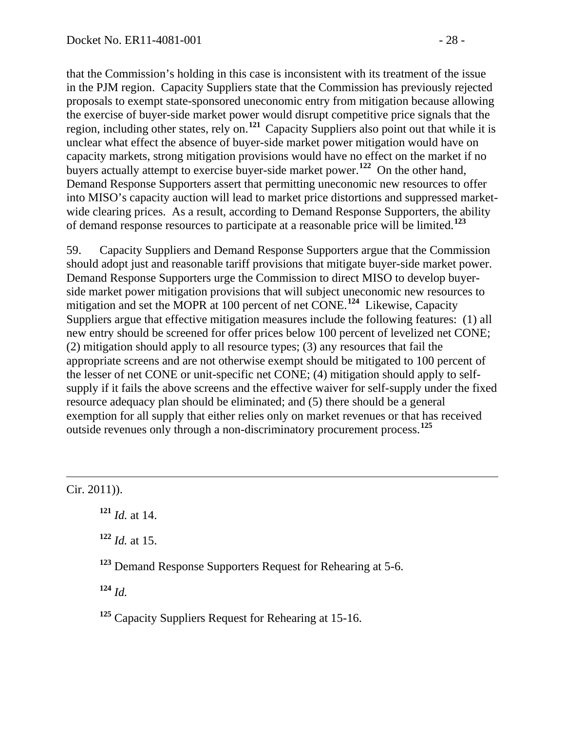that the Commission's holding in this case is inconsistent with its treatment of the issue in the PJM region. Capacity Suppliers state that the Commission has previously rejected proposals to exempt state-sponsored uneconomic entry from mitigation because allowing the exercise of buyer-side market power would disrupt competitive price signals that the region, including other states, rely on.**[121](#page-27-0)** Capacity Suppliers also point out that while it is unclear what effect the absence of buyer-side market power mitigation would have on capacity markets, strong mitigation provisions would have no effect on the market if no buyers actually attempt to exercise buyer-side market power.**[122](#page-27-1)** On the other hand, Demand Response Supporters assert that permitting uneconomic new resources to offer into MISO's capacity auction will lead to market price distortions and suppressed marketwide clearing prices. As a result, according to Demand Response Supporters, the ability of demand response resources to participate at a reasonable price will be limited.**[123](#page-27-2)**

59. Capacity Suppliers and Demand Response Supporters argue that the Commission should adopt just and reasonable tariff provisions that mitigate buyer-side market power. Demand Response Supporters urge the Commission to direct MISO to develop buyerside market power mitigation provisions that will subject uneconomic new resources to mitigation and set the MOPR at 100 percent of net CONE.**[124](#page-27-3)** Likewise, Capacity Suppliers argue that effective mitigation measures include the following features: (1) all new entry should be screened for offer prices below 100 percent of levelized net CONE; (2) mitigation should apply to all resource types; (3) any resources that fail the appropriate screens and are not otherwise exempt should be mitigated to 100 percent of the lesser of net CONE or unit-specific net CONE; (4) mitigation should apply to selfsupply if it fails the above screens and the effective waiver for self-supply under the fixed resource adequacy plan should be eliminated; and (5) there should be a general exemption for all supply that either relies only on market revenues or that has received outside revenues only through a non-discriminatory procurement process.**[125](#page-27-4)**

<span id="page-27-1"></span><span id="page-27-0"></span> $\overline{a}$ Cir. 2011)).

**<sup>121</sup>** *Id.* at 14.

**<sup>122</sup>** *Id.* at 15.

<span id="page-27-2"></span>**<sup>123</sup>** Demand Response Supporters Request for Rehearing at 5-6.

<span id="page-27-3"></span>**<sup>124</sup>** *Id.*

<span id="page-27-4"></span>**<sup>125</sup>** Capacity Suppliers Request for Rehearing at 15-16.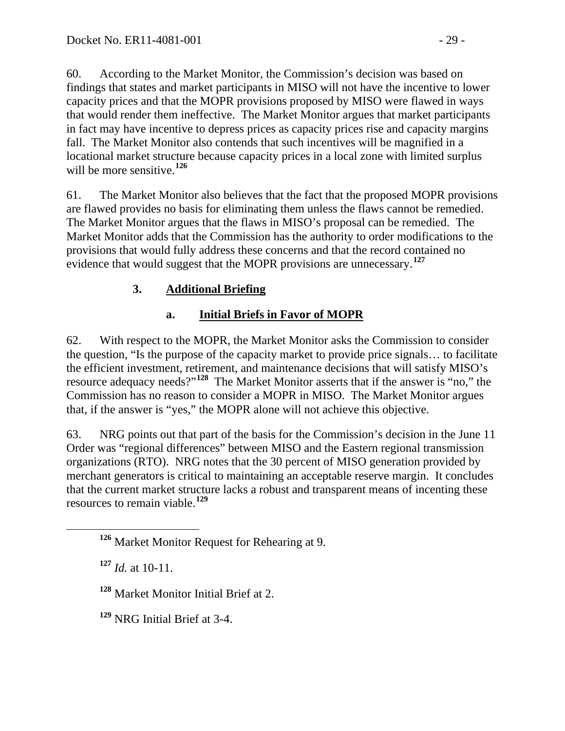60. According to the Market Monitor, the Commission's decision was based on findings that states and market participants in MISO will not have the incentive to lower capacity prices and that the MOPR provisions proposed by MISO were flawed in ways that would render them ineffective. The Market Monitor argues that market participants in fact may have incentive to depress prices as capacity prices rise and capacity margins fall. The Market Monitor also contends that such incentives will be magnified in a locational market structure because capacity prices in a local zone with limited surplus will be more sensitive.**[126](#page-28-2)**

61. The Market Monitor also believes that the fact that the proposed MOPR provisions are flawed provides no basis for eliminating them unless the flaws cannot be remedied. The Market Monitor argues that the flaws in MISO's proposal can be remedied. The Market Monitor adds that the Commission has the authority to order modifications to the provisions that would fully address these concerns and that the record contained no evidence that would suggest that the MOPR provisions are unnecessary.<sup>[127](#page-28-3)</sup>

## **3. Additional Briefing**

# <span id="page-28-1"></span><span id="page-28-0"></span>**a. Initial Briefs in Favor of MOPR**

62. With respect to the MOPR, the Market Monitor asks the Commission to consider the question, "Is the purpose of the capacity market to provide price signals… to facilitate the efficient investment, retirement, and maintenance decisions that will satisfy MISO's resource adequacy needs?"**[128](#page-28-4)** The Market Monitor asserts that if the answer is "no," the Commission has no reason to consider a MOPR in MISO. The Market Monitor argues that, if the answer is "yes," the MOPR alone will not achieve this objective.

63. NRG points out that part of the basis for the Commission's decision in the June 11 Order was "regional differences" between MISO and the Eastern regional transmission organizations (RTO). NRG notes that the 30 percent of MISO generation provided by merchant generators is critical to maintaining an acceptable reserve margin. It concludes that the current market structure lacks a robust and transparent means of incenting these resources to remain viable.**[129](#page-28-5)**

<span id="page-28-3"></span>**<sup>127</sup>** *Id.* at 10-11.

<span id="page-28-4"></span>**<sup>128</sup>** Market Monitor Initial Brief at 2.

<span id="page-28-5"></span>**<sup>129</sup>** NRG Initial Brief at 3-4.

<span id="page-28-2"></span>**<sup>126</sup>** Market Monitor Request for Rehearing at 9.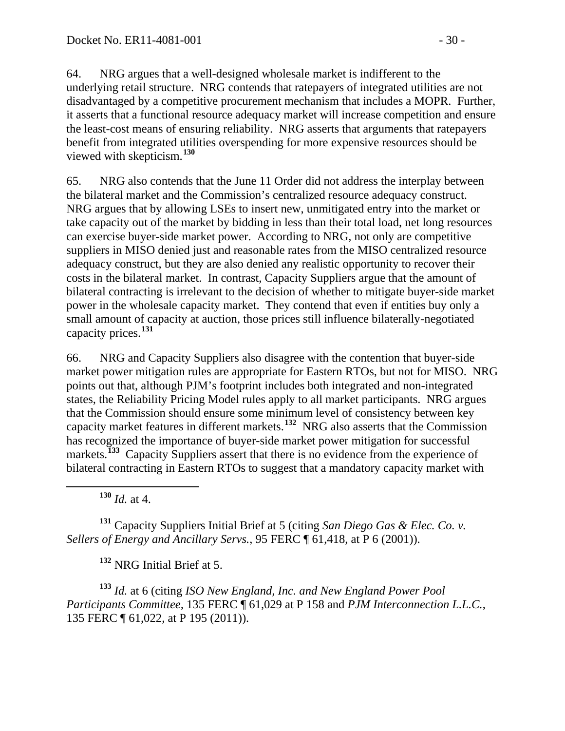64. NRG argues that a well-designed wholesale market is indifferent to the underlying retail structure. NRG contends that ratepayers of integrated utilities are not disadvantaged by a competitive procurement mechanism that includes a MOPR. Further, it asserts that a functional resource adequacy market will increase competition and ensure the least-cost means of ensuring reliability. NRG asserts that arguments that ratepayers benefit from integrated utilities overspending for more expensive resources should be viewed with skepticism.**[130](#page-29-0)**

65. NRG also contends that the June 11 Order did not address the interplay between the bilateral market and the Commission's centralized resource adequacy construct. NRG argues that by allowing LSEs to insert new, unmitigated entry into the market or take capacity out of the market by bidding in less than their total load, net long resources can exercise buyer-side market power. According to NRG, not only are competitive suppliers in MISO denied just and reasonable rates from the MISO centralized resource adequacy construct, but they are also denied any realistic opportunity to recover their costs in the bilateral market. In contrast, Capacity Suppliers argue that the amount of bilateral contracting is irrelevant to the decision of whether to mitigate buyer-side market power in the wholesale capacity market. They contend that even if entities buy only a small amount of capacity at auction, those prices still influence bilaterally-negotiated capacity prices.**[131](#page-29-1)**

66. NRG and Capacity Suppliers also disagree with the contention that buyer-side market power mitigation rules are appropriate for Eastern RTOs, but not for MISO. NRG points out that, although PJM's footprint includes both integrated and non-integrated states, the Reliability Pricing Model rules apply to all market participants. NRG argues that the Commission should ensure some minimum level of consistency between key capacity market features in different markets.**[132](#page-29-2)** NRG also asserts that the Commission has recognized the importance of buyer-side market power mitigation for successful markets.<sup>[133](#page-29-3)</sup> Capacity Suppliers assert that there is no evidence from the experience of bilateral contracting in Eastern RTOs to suggest that a mandatory capacity market with

**<sup>130</sup>** *Id.* at 4.

<span id="page-29-1"></span><span id="page-29-0"></span>**<sup>131</sup>** Capacity Suppliers Initial Brief at 5 (citing *San Diego Gas & Elec. Co. v. Sellers of Energy and Ancillary Servs.*, 95 FERC ¶ 61,418, at P 6 (2001)).

**<sup>132</sup>** NRG Initial Brief at 5.

<span id="page-29-3"></span><span id="page-29-2"></span>**<sup>133</sup>** *Id.* at 6 (citing *ISO New England, Inc. and New England Power Pool Participants Committee,* 135 FERC ¶ 61,029 at P 158 and *PJM Interconnection L.L.C.*, 135 FERC ¶ 61,022, at P 195 (2011)).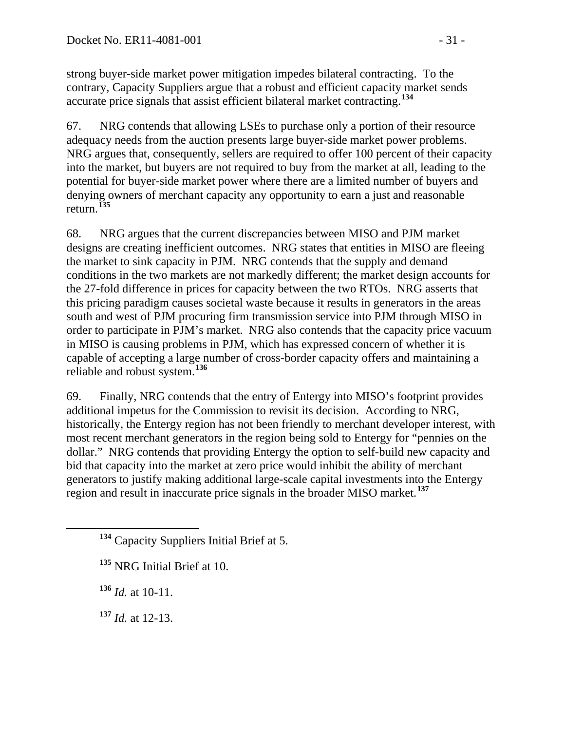strong buyer-side market power mitigation impedes bilateral contracting. To the contrary, Capacity Suppliers argue that a robust and efficient capacity market sends accurate price signals that assist efficient bilateral market contracting.**[134](#page-30-0)**

67. NRG contends that allowing LSEs to purchase only a portion of their resource adequacy needs from the auction presents large buyer-side market power problems. NRG argues that, consequently, sellers are required to offer 100 percent of their capacity into the market, but buyers are not required to buy from the market at all, leading to the potential for buyer-side market power where there are a limited number of buyers and denying owners of merchant capacity any opportunity to earn a just and reasonable return.**[135](#page-30-1)**

68. NRG argues that the current discrepancies between MISO and PJM market designs are creating inefficient outcomes. NRG states that entities in MISO are fleeing the market to sink capacity in PJM. NRG contends that the supply and demand conditions in the two markets are not markedly different; the market design accounts for the 27-fold difference in prices for capacity between the two RTOs. NRG asserts that this pricing paradigm causes societal waste because it results in generators in the areas south and west of PJM procuring firm transmission service into PJM through MISO in order to participate in PJM's market. NRG also contends that the capacity price vacuum in MISO is causing problems in PJM, which has expressed concern of whether it is capable of accepting a large number of cross-border capacity offers and maintaining a reliable and robust system.**[136](#page-30-2)**

69. Finally, NRG contends that the entry of Entergy into MISO's footprint provides additional impetus for the Commission to revisit its decision. According to NRG, historically, the Entergy region has not been friendly to merchant developer interest, with most recent merchant generators in the region being sold to Entergy for "pennies on the dollar." NRG contends that providing Entergy the option to self-build new capacity and bid that capacity into the market at zero price would inhibit the ability of merchant generators to justify making additional large-scale capital investments into the Entergy region and result in inaccurate price signals in the broader MISO market.**[137](#page-30-3)**

<span id="page-30-2"></span>**<sup>136</sup>** *Id.* at 10-11.

<span id="page-30-3"></span>**<sup>137</sup>** *Id.* at 12-13.

<span id="page-30-0"></span>**<sup>134</sup>** Capacity Suppliers Initial Brief at 5.

<span id="page-30-1"></span>**<sup>135</sup>** NRG Initial Brief at 10.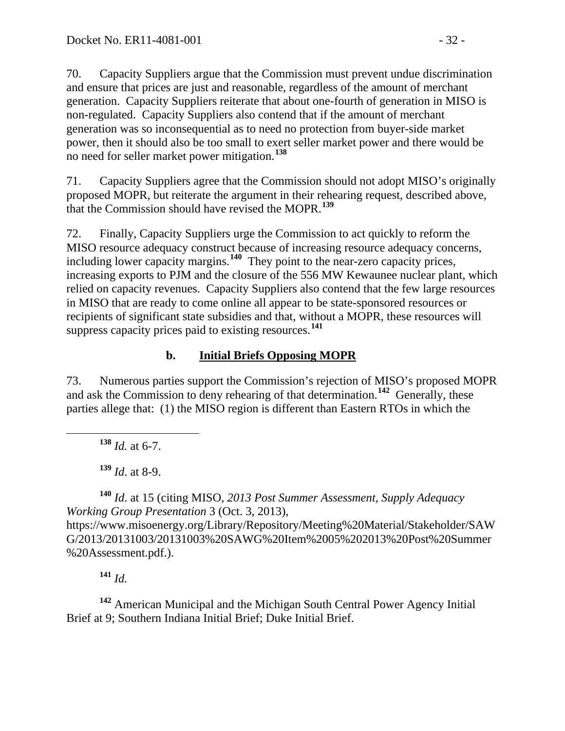70. Capacity Suppliers argue that the Commission must prevent undue discrimination and ensure that prices are just and reasonable, regardless of the amount of merchant generation. Capacity Suppliers reiterate that about one-fourth of generation in MISO is non-regulated. Capacity Suppliers also contend that if the amount of merchant generation was so inconsequential as to need no protection from buyer-side market power, then it should also be too small to exert seller market power and there would be no need for seller market power mitigation.**[138](#page-31-1)**

71. Capacity Suppliers agree that the Commission should not adopt MISO's originally proposed MOPR, but reiterate the argument in their rehearing request, described above, that the Commission should have revised the MOPR.**[139](#page-31-2)**

72. Finally, Capacity Suppliers urge the Commission to act quickly to reform the MISO resource adequacy construct because of increasing resource adequacy concerns, including lower capacity margins.**[140](#page-31-3)** They point to the near-zero capacity prices, increasing exports to PJM and the closure of the 556 MW Kewaunee nuclear plant, which relied on capacity revenues. Capacity Suppliers also contend that the few large resources in MISO that are ready to come online all appear to be state-sponsored resources or recipients of significant state subsidies and that, without a MOPR, these resources will suppress capacity prices paid to existing resources.**[141](#page-31-4)**

### <span id="page-31-0"></span>**b. Initial Briefs Opposing MOPR**

73. Numerous parties support the Commission's rejection of MISO's proposed MOPR and ask the Commission to deny rehearing of that determination.**[142](#page-31-5)** Generally, these parties allege that: (1) the MISO region is different than Eastern RTOs in which the

**<sup>138</sup>** *Id.* at 6-7.

**<sup>139</sup>** *Id*. at 8-9.

<span id="page-31-3"></span><span id="page-31-2"></span><span id="page-31-1"></span>**<sup>140</sup>** *Id*. at 15 (citing MISO, *2013 Post Summer Assessment, Supply Adequacy Working Group Presentation* 3 (Oct. 3, 2013),

https://www.misoenergy.org/Library/Repository/Meeting%20Material/Stakeholder/SAW G/2013/20131003/20131003%20SAWG%20Item%2005%202013%20Post%20Summer %20Assessment.pdf.).

**<sup>141</sup>** *Id.* 

<span id="page-31-5"></span><span id="page-31-4"></span>**<sup>142</sup>** American Municipal and the Michigan South Central Power Agency Initial Brief at 9; Southern Indiana Initial Brief; Duke Initial Brief.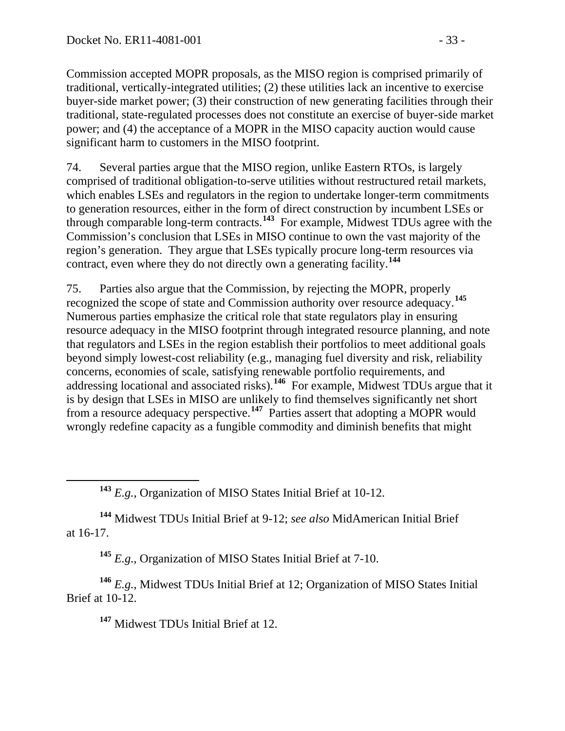Commission accepted MOPR proposals, as the MISO region is comprised primarily of traditional, vertically-integrated utilities; (2) these utilities lack an incentive to exercise buyer-side market power; (3) their construction of new generating facilities through their traditional, state-regulated processes does not constitute an exercise of buyer-side market power; and (4) the acceptance of a MOPR in the MISO capacity auction would cause significant harm to customers in the MISO footprint.

74. Several parties argue that the MISO region, unlike Eastern RTOs, is largely comprised of traditional obligation-to-serve utilities without restructured retail markets, which enables LSEs and regulators in the region to undertake longer-term commitments to generation resources, either in the form of direct construction by incumbent LSEs or through comparable long-term contracts.**[143](#page-32-0)** For example, Midwest TDUs agree with the Commission's conclusion that LSEs in MISO continue to own the vast majority of the region's generation. They argue that LSEs typically procure long-term resources via contract, even where they do not directly own a generating facility. **[144](#page-32-1)**

75. Parties also argue that the Commission, by rejecting the MOPR, properly recognized the scope of state and Commission authority over resource adequacy.**[145](#page-32-2)** Numerous parties emphasize the critical role that state regulators play in ensuring resource adequacy in the MISO footprint through integrated resource planning, and note that regulators and LSEs in the region establish their portfolios to meet additional goals beyond simply lowest-cost reliability (e.g., managing fuel diversity and risk, reliability concerns, economies of scale, satisfying renewable portfolio requirements, and addressing locational and associated risks).**[146](#page-32-3)** For example, Midwest TDUs argue that it is by design that LSEs in MISO are unlikely to find themselves significantly net short from a resource adequacy perspective.**[147](#page-32-4)** Parties assert that adopting a MOPR would wrongly redefine capacity as a fungible commodity and diminish benefits that might

**<sup>143</sup>** *E.g.*, Organization of MISO States Initial Brief at 10-12.

<span id="page-32-1"></span><span id="page-32-0"></span>**<sup>144</sup>** Midwest TDUs Initial Brief at 9-12; *see also* MidAmerican Initial Brief at 16-17.

**<sup>145</sup>** *E.g.*, Organization of MISO States Initial Brief at 7-10.

<span id="page-32-4"></span><span id="page-32-3"></span><span id="page-32-2"></span>**<sup>146</sup>** *E.g.*, Midwest TDUs Initial Brief at 12; Organization of MISO States Initial Brief at 10-12.

**<sup>147</sup>** Midwest TDUs Initial Brief at 12.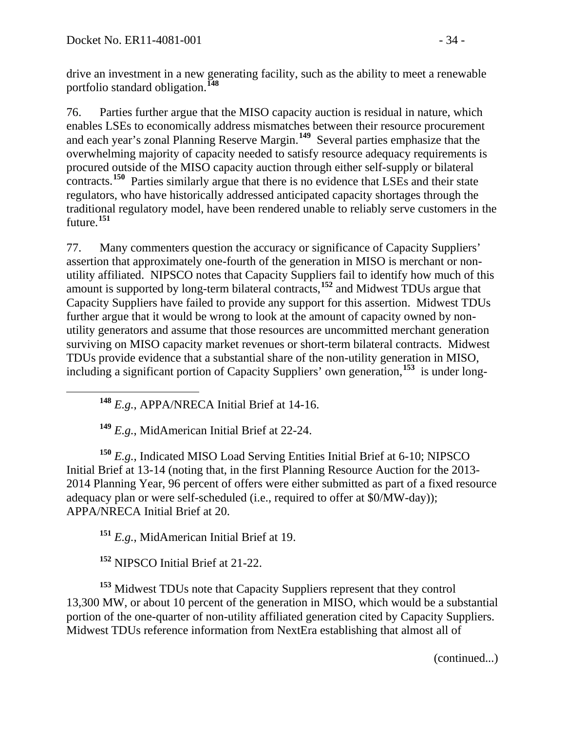drive an investment in a new generating facility, such as the ability to meet a renewable portfolio standard obligation.**[148](#page-33-0)**

76. Parties further argue that the MISO capacity auction is residual in nature, which enables LSEs to economically address mismatches between their resource procurement and each year's zonal Planning Reserve Margin.**[149](#page-33-1)** Several parties emphasize that the overwhelming majority of capacity needed to satisfy resource adequacy requirements is procured outside of the MISO capacity auction through either self-supply or bilateral contracts.<sup>[150](#page-33-2)</sup> Parties similarly argue that there is no evidence that LSEs and their state regulators, who have historically addressed anticipated capacity shortages through the traditional regulatory model, have been rendered unable to reliably serve customers in the future.**[151](#page-33-3)**

77. Many commenters question the accuracy or significance of Capacity Suppliers' assertion that approximately one-fourth of the generation in MISO is merchant or nonutility affiliated. NIPSCO notes that Capacity Suppliers fail to identify how much of this amount is supported by long-term bilateral contracts,**[152](#page-33-4)** and Midwest TDUs argue that Capacity Suppliers have failed to provide any support for this assertion. Midwest TDUs further argue that it would be wrong to look at the amount of capacity owned by nonutility generators and assume that those resources are uncommitted merchant generation surviving on MISO capacity market revenues or short-term bilateral contracts. Midwest TDUs provide evidence that a substantial share of the non-utility generation in MISO, including a significant portion of Capacity Suppliers' own generation,**[153](#page-33-5)** is under long-

**<sup>148</sup>** *E.g.*, APPA/NRECA Initial Brief at 14-16.

**<sup>149</sup>** *E.g.*, MidAmerican Initial Brief at 22-24.

<span id="page-33-2"></span><span id="page-33-1"></span><span id="page-33-0"></span>**<sup>150</sup>** *E.g.*, Indicated MISO Load Serving Entities Initial Brief at 6-10; NIPSCO Initial Brief at 13-14 (noting that, in the first Planning Resource Auction for the 2013- 2014 Planning Year, 96 percent of offers were either submitted as part of a fixed resource adequacy plan or were self-scheduled (i.e., required to offer at \$0/MW-day)); APPA/NRECA Initial Brief at 20.

**<sup>151</sup>** *E.g.*, MidAmerican Initial Brief at 19.

**<sup>152</sup>** NIPSCO Initial Brief at 21-22.

<span id="page-33-5"></span><span id="page-33-4"></span><span id="page-33-3"></span>**<sup>153</sup>** Midwest TDUs note that Capacity Suppliers represent that they control 13,300 MW, or about 10 percent of the generation in MISO, which would be a substantial portion of the one-quarter of non-utility affiliated generation cited by Capacity Suppliers. Midwest TDUs reference information from NextEra establishing that almost all of

(continued...)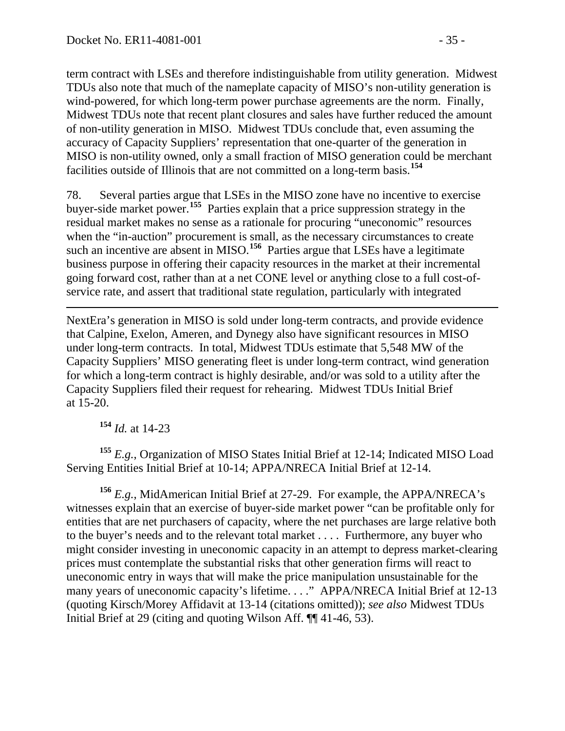term contract with LSEs and therefore indistinguishable from utility generation. Midwest TDUs also note that much of the nameplate capacity of MISO's non-utility generation is wind-powered, for which long-term power purchase agreements are the norm. Finally, Midwest TDUs note that recent plant closures and sales have further reduced the amount of non-utility generation in MISO. Midwest TDUs conclude that, even assuming the accuracy of Capacity Suppliers' representation that one-quarter of the generation in MISO is non-utility owned, only a small fraction of MISO generation could be merchant facilities outside of Illinois that are not committed on a long-term basis.**[154](#page-34-0)**

78. Several parties argue that LSEs in the MISO zone have no incentive to exercise buyer-side market power.**[155](#page-34-1)** Parties explain that a price suppression strategy in the residual market makes no sense as a rationale for procuring "uneconomic" resources when the "in-auction" procurement is small, as the necessary circumstances to create such an incentive are absent in MISO.<sup>[156](#page-34-2)</sup> Parties argue that LSEs have a legitimate business purpose in offering their capacity resources in the market at their incremental going forward cost, rather than at a net CONE level or anything close to a full cost-ofservice rate, and assert that traditional state regulation, particularly with integrated

 $\overline{a}$ NextEra's generation in MISO is sold under long-term contracts, and provide evidence that Calpine, Exelon, Ameren, and Dynegy also have significant resources in MISO under long-term contracts. In total, Midwest TDUs estimate that 5,548 MW of the Capacity Suppliers' MISO generating fleet is under long-term contract, wind generation for which a long-term contract is highly desirable, and/or was sold to a utility after the Capacity Suppliers filed their request for rehearing. Midwest TDUs Initial Brief at 15-20.

**<sup>154</sup>** *Id.* at 14-23

<span id="page-34-1"></span><span id="page-34-0"></span>**<sup>155</sup>** *E.g.*, Organization of MISO States Initial Brief at 12-14; Indicated MISO Load Serving Entities Initial Brief at 10-14; APPA/NRECA Initial Brief at 12-14.

<span id="page-34-2"></span>**<sup>156</sup>** *E.g.*, MidAmerican Initial Brief at 27-29. For example, the APPA/NRECA's witnesses explain that an exercise of buyer-side market power "can be profitable only for entities that are net purchasers of capacity, where the net purchases are large relative both to the buyer's needs and to the relevant total market . . . . Furthermore, any buyer who might consider investing in uneconomic capacity in an attempt to depress market-clearing prices must contemplate the substantial risks that other generation firms will react to uneconomic entry in ways that will make the price manipulation unsustainable for the many years of uneconomic capacity's lifetime. . . ." APPA/NRECA Initial Brief at 12-13 (quoting Kirsch/Morey Affidavit at 13-14 (citations omitted)); *see also* Midwest TDUs Initial Brief at 29 (citing and quoting Wilson Aff. ¶¶ 41-46, 53).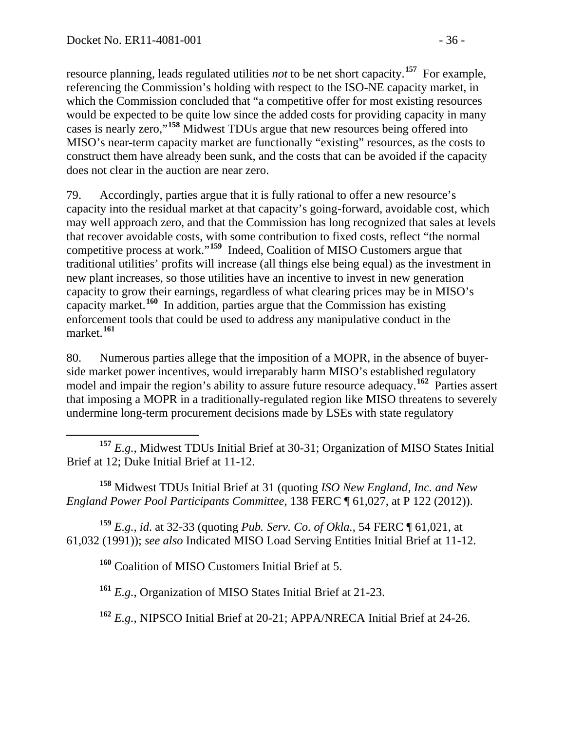resource planning, leads regulated utilities *not* to be net short capacity.**[157](#page-35-0)** For example, referencing the Commission's holding with respect to the ISO-NE capacity market, in which the Commission concluded that "a competitive offer for most existing resources would be expected to be quite low since the added costs for providing capacity in many cases is nearly zero,"**[158](#page-35-1)** Midwest TDUs argue that new resources being offered into MISO's near-term capacity market are functionally "existing" resources, as the costs to construct them have already been sunk, and the costs that can be avoided if the capacity does not clear in the auction are near zero.

79. Accordingly, parties argue that it is fully rational to offer a new resource's capacity into the residual market at that capacity's going-forward, avoidable cost, which may well approach zero, and that the Commission has long recognized that sales at levels that recover avoidable costs, with some contribution to fixed costs, reflect "the normal competitive process at work."**[159](#page-35-2)** Indeed, Coalition of MISO Customers argue that traditional utilities' profits will increase (all things else being equal) as the investment in new plant increases, so those utilities have an incentive to invest in new generation capacity to grow their earnings, regardless of what clearing prices may be in MISO's capacity market.**[160](#page-35-3)** In addition, parties argue that the Commission has existing enforcement tools that could be used to address any manipulative conduct in the market.**[161](#page-35-4)**

80. Numerous parties allege that the imposition of a MOPR, in the absence of buyerside market power incentives, would irreparably harm MISO's established regulatory model and impair the region's ability to assure future resource adequacy.<sup>[162](#page-35-5)</sup> Parties assert that imposing a MOPR in a traditionally-regulated region like MISO threatens to severely undermine long-term procurement decisions made by LSEs with state regulatory

<span id="page-35-0"></span> **<sup>157</sup>** *E.g.*, Midwest TDUs Initial Brief at 30-31; Organization of MISO States Initial Brief at 12; Duke Initial Brief at 11-12.

<span id="page-35-1"></span>**<sup>158</sup>** Midwest TDUs Initial Brief at 31 (quoting *ISO New England, Inc. and New England Power Pool Participants Committee*, 138 FERC ¶ 61,027, at P 122 (2012)).

<span id="page-35-4"></span><span id="page-35-3"></span><span id="page-35-2"></span>**<sup>159</sup>** *E.g.*, *id*. at 32-33 (quoting *Pub. Serv. Co. of Okla.*, 54 FERC ¶ 61,021, at 61,032 (1991)); *see also* Indicated MISO Load Serving Entities Initial Brief at 11-12.

**<sup>160</sup>** Coalition of MISO Customers Initial Brief at 5.

**<sup>161</sup>** *E.g.*, Organization of MISO States Initial Brief at 21-23.

<span id="page-35-5"></span>**<sup>162</sup>** *E.g.*, NIPSCO Initial Brief at 20-21; APPA/NRECA Initial Brief at 24-26.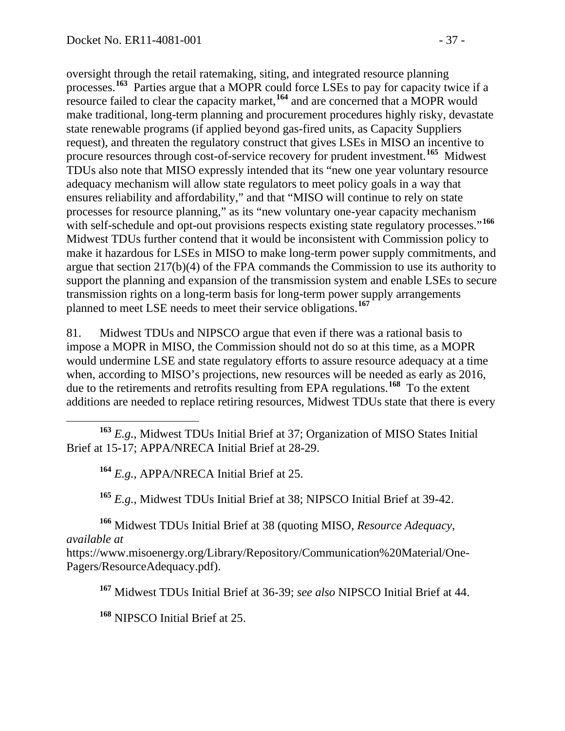oversight through the retail ratemaking, siting, and integrated resource planning processes.**[163](#page-36-0)** Parties argue that a MOPR could force LSEs to pay for capacity twice if a resource failed to clear the capacity market,**[164](#page-36-1)** and are concerned that a MOPR would make traditional, long-term planning and procurement procedures highly risky, devastate state renewable programs (if applied beyond gas-fired units, as Capacity Suppliers request), and threaten the regulatory construct that gives LSEs in MISO an incentive to procure resources through cost-of-service recovery for prudent investment.**[165](#page-36-2)** Midwest TDUs also note that MISO expressly intended that its "new one year voluntary resource adequacy mechanism will allow state regulators to meet policy goals in a way that ensures reliability and affordability," and that "MISO will continue to rely on state processes for resource planning," as its "new voluntary one-year capacity mechanism with self-schedule and opt-out provisions respects existing state regulatory processes."<sup>[166](#page-36-3)</sup> Midwest TDUs further contend that it would be inconsistent with Commission policy to make it hazardous for LSEs in MISO to make long-term power supply commitments, and argue that section 217(b)(4) of the FPA commands the Commission to use its authority to support the planning and expansion of the transmission system and enable LSEs to secure transmission rights on a long-term basis for long-term power supply arrangements planned to meet LSE needs to meet their service obligations.**[167](#page-36-4)**

81. Midwest TDUs and NIPSCO argue that even if there was a rational basis to impose a MOPR in MISO, the Commission should not do so at this time, as a MOPR would undermine LSE and state regulatory efforts to assure resource adequacy at a time when, according to MISO's projections, new resources will be needed as early as 2016, due to the retirements and retrofits resulting from EPA regulations.**[168](#page-36-5)** To the extent additions are needed to replace retiring resources, Midwest TDUs state that there is every

<span id="page-36-1"></span><span id="page-36-0"></span> **<sup>163</sup>** *E.g.*, Midwest TDUs Initial Brief at 37; Organization of MISO States Initial Brief at 15-17; APPA/NRECA Initial Brief at 28-29.

**<sup>164</sup>** *E.g.*, APPA/NRECA Initial Brief at 25.

**<sup>165</sup>** *E.g.*, Midwest TDUs Initial Brief at 38; NIPSCO Initial Brief at 39-42.

<span id="page-36-3"></span><span id="page-36-2"></span>**<sup>166</sup>** Midwest TDUs Initial Brief at 38 (quoting MISO, *Resource Adequacy*, *available at* 

<span id="page-36-5"></span><span id="page-36-4"></span>https://www.misoenergy.org/Library/Repository/Communication%20Material/One-Pagers/ResourceAdequacy.pdf).

**<sup>167</sup>** Midwest TDUs Initial Brief at 36-39; *see also* NIPSCO Initial Brief at 44.

**<sup>168</sup>** NIPSCO Initial Brief at 25.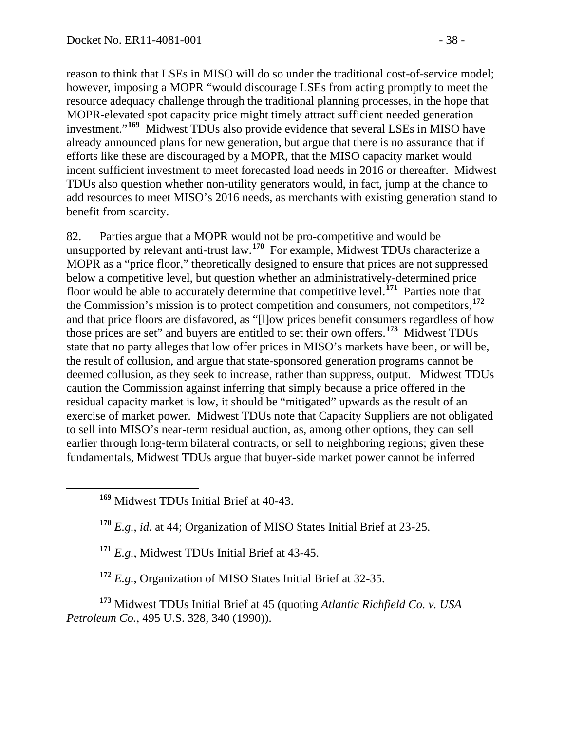reason to think that LSEs in MISO will do so under the traditional cost-of-service model; however, imposing a MOPR "would discourage LSEs from acting promptly to meet the resource adequacy challenge through the traditional planning processes, in the hope that MOPR-elevated spot capacity price might timely attract sufficient needed generation investment."**[169](#page-37-0)** Midwest TDUs also provide evidence that several LSEs in MISO have already announced plans for new generation, but argue that there is no assurance that if efforts like these are discouraged by a MOPR, that the MISO capacity market would incent sufficient investment to meet forecasted load needs in 2016 or thereafter. Midwest TDUs also question whether non-utility generators would, in fact, jump at the chance to add resources to meet MISO's 2016 needs, as merchants with existing generation stand to benefit from scarcity.

82. Parties argue that a MOPR would not be pro-competitive and would be unsupported by relevant anti-trust law.**[170](#page-37-1)** For example, Midwest TDUs characterize a MOPR as a "price floor," theoretically designed to ensure that prices are not suppressed below a competitive level, but question whether an administratively-determined price floor would be able to accurately determine that competitive level.**[171](#page-37-2)** Parties note that the Commission's mission is to protect competition and consumers, not competitors,**[172](#page-37-3)** and that price floors are disfavored, as "[l]ow prices benefit consumers regardless of how those prices are set" and buyers are entitled to set their own offers.**[173](#page-37-4)** Midwest TDUs state that no party alleges that low offer prices in MISO's markets have been, or will be, the result of collusion, and argue that state-sponsored generation programs cannot be deemed collusion, as they seek to increase, rather than suppress, output. Midwest TDUs caution the Commission against inferring that simply because a price offered in the residual capacity market is low, it should be "mitigated" upwards as the result of an exercise of market power. Midwest TDUs note that Capacity Suppliers are not obligated to sell into MISO's near-term residual auction, as, among other options, they can sell earlier through long-term bilateral contracts, or sell to neighboring regions; given these fundamentals, Midwest TDUs argue that buyer-side market power cannot be inferred

<span id="page-37-0"></span>**<sup>169</sup>** Midwest TDUs Initial Brief at 40-43.

<span id="page-37-1"></span>**<sup>170</sup>** *E.g.*, *id.* at 44; Organization of MISO States Initial Brief at 23-25.

**<sup>171</sup>** *E.g.*, Midwest TDUs Initial Brief at 43-45.

**<sup>172</sup>** *E.g.*, Organization of MISO States Initial Brief at 32-35.

<span id="page-37-4"></span><span id="page-37-3"></span><span id="page-37-2"></span>**<sup>173</sup>** Midwest TDUs Initial Brief at 45 (quoting *Atlantic Richfield Co. v. USA Petroleum Co.*, 495 U.S. 328, 340 (1990)).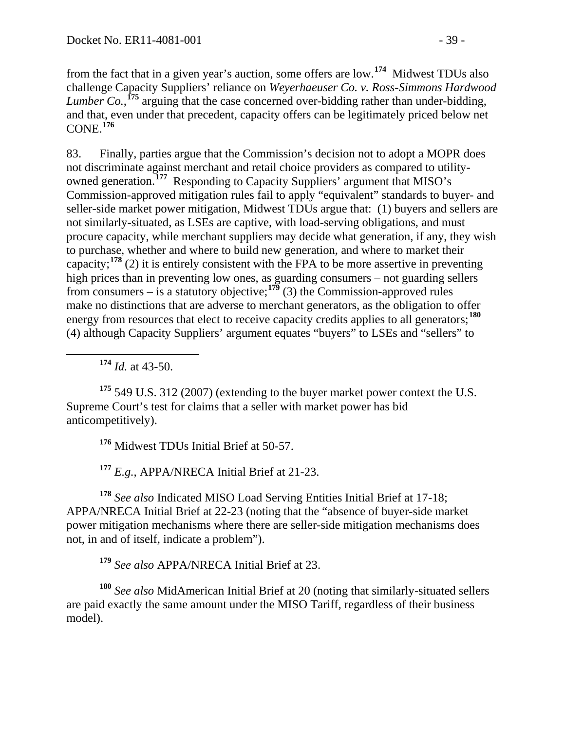from the fact that in a given year's auction, some offers are low.**[174](#page-38-0)** Midwest TDUs also challenge Capacity Suppliers' reliance on *Weyerhaeuser Co. v. Ross-Simmons Hardwood Lumber Co.*,  $^{175}$  $^{175}$  $^{175}$  arguing that the case concerned over-bidding rather than under-bidding, and that, even under that precedent, capacity offers can be legitimately priced below net CONE.**[176](#page-38-2)**

83. Finally, parties argue that the Commission's decision not to adopt a MOPR does not discriminate against merchant and retail choice providers as compared to utilityowned generation.**[177](#page-38-3)** Responding to Capacity Suppliers' argument that MISO's Commission-approved mitigation rules fail to apply "equivalent" standards to buyer- and seller-side market power mitigation, Midwest TDUs argue that: (1) buyers and sellers are not similarly-situated, as LSEs are captive, with load-serving obligations, and must procure capacity, while merchant suppliers may decide what generation, if any, they wish to purchase, whether and where to build new generation, and where to market their capacity;**[178](#page-38-4)** (2) it is entirely consistent with the FPA to be more assertive in preventing high prices than in preventing low ones, as guarding consumers – not guarding sellers from consumers – is a statutory objective;<sup>[179](#page-38-5)</sup> (3) the Commission-approved rules make no distinctions that are adverse to merchant generators, as the obligation to offer energy from resources that elect to receive capacity credits applies to all generators;**[180](#page-38-6)** (4) although Capacity Suppliers' argument equates "buyers" to LSEs and "sellers" to

**<sup>174</sup>** *Id.* at 43-50.

<span id="page-38-1"></span><span id="page-38-0"></span>**<sup>175</sup>** 549 U.S. 312 (2007) (extending to the buyer market power context the U.S. Supreme Court's test for claims that a seller with market power has bid anticompetitively).

**<sup>176</sup>** Midwest TDUs Initial Brief at 50-57.

**<sup>177</sup>** *E.g.*, APPA/NRECA Initial Brief at 21-23.

<span id="page-38-4"></span><span id="page-38-3"></span><span id="page-38-2"></span>**<sup>178</sup>** *See also* Indicated MISO Load Serving Entities Initial Brief at 17-18; APPA/NRECA Initial Brief at 22-23 (noting that the "absence of buyer-side market power mitigation mechanisms where there are seller-side mitigation mechanisms does not, in and of itself, indicate a problem").

**<sup>179</sup>** *See also* APPA/NRECA Initial Brief at 23.

<span id="page-38-6"></span><span id="page-38-5"></span>**<sup>180</sup>** *See also* MidAmerican Initial Brief at 20 (noting that similarly-situated sellers are paid exactly the same amount under the MISO Tariff, regardless of their business model).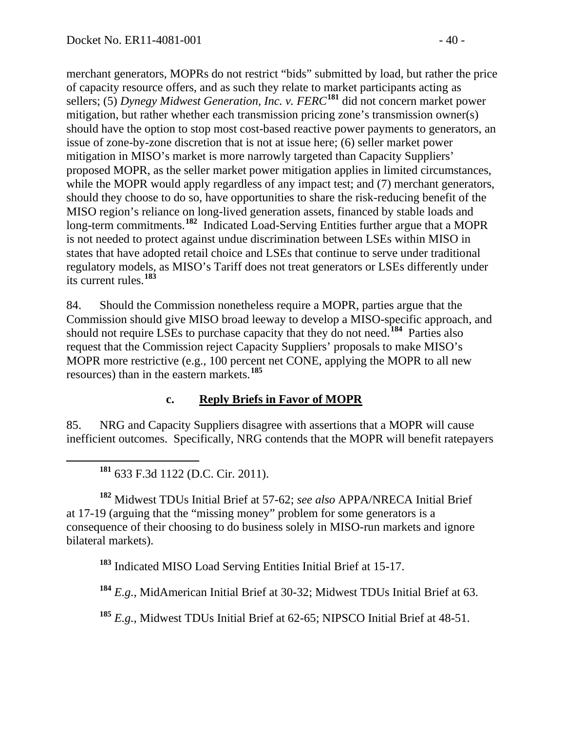merchant generators, MOPRs do not restrict "bids" submitted by load, but rather the price of capacity resource offers, and as such they relate to market participants acting as sellers; (5) *Dynegy Midwest Generation, Inc. v. FERC***[181](#page-39-0)** did not concern market power mitigation, but rather whether each transmission pricing zone's transmission owner(s) should have the option to stop most cost-based reactive power payments to generators, an issue of zone-by-zone discretion that is not at issue here; (6) seller market power mitigation in MISO's market is more narrowly targeted than Capacity Suppliers' proposed MOPR, as the seller market power mitigation applies in limited circumstances, while the MOPR would apply regardless of any impact test; and (7) merchant generators, should they choose to do so, have opportunities to share the risk-reducing benefit of the MISO region's reliance on long-lived generation assets, financed by stable loads and long-term commitments.**[182](#page-39-1)** Indicated Load-Serving Entities further argue that a MOPR is not needed to protect against undue discrimination between LSEs within MISO in states that have adopted retail choice and LSEs that continue to serve under traditional regulatory models, as MISO's Tariff does not treat generators or LSEs differently under its current rules.**[183](#page-39-2)**

84. Should the Commission nonetheless require a MOPR, parties argue that the Commission should give MISO broad leeway to develop a MISO-specific approach, and should not require LSEs to purchase capacity that they do not need.**[184](#page-39-3)** Parties also request that the Commission reject Capacity Suppliers' proposals to make MISO's MOPR more restrictive (e.g., 100 percent net CONE, applying the MOPR to all new resources) than in the eastern markets.**[185](#page-39-4)**

#### **c. Reply Briefs in Favor of MOPR**

85. NRG and Capacity Suppliers disagree with assertions that a MOPR will cause inefficient outcomes. Specifically, NRG contends that the MOPR will benefit ratepayers

**<sup>181</sup>** 633 F.3d 1122 (D.C. Cir. 2011).

<span id="page-39-2"></span><span id="page-39-1"></span><span id="page-39-0"></span>**<sup>182</sup>** Midwest TDUs Initial Brief at 57-62; *see also* APPA/NRECA Initial Brief at 17-19 (arguing that the "missing money" problem for some generators is a consequence of their choosing to do business solely in MISO-run markets and ignore bilateral markets).

**<sup>183</sup>** Indicated MISO Load Serving Entities Initial Brief at 15-17.

<span id="page-39-3"></span>**<sup>184</sup>** *E.g.*, MidAmerican Initial Brief at 30-32; Midwest TDUs Initial Brief at 63.

<span id="page-39-4"></span>**<sup>185</sup>** *E.g.*, Midwest TDUs Initial Brief at 62-65; NIPSCO Initial Brief at 48-51.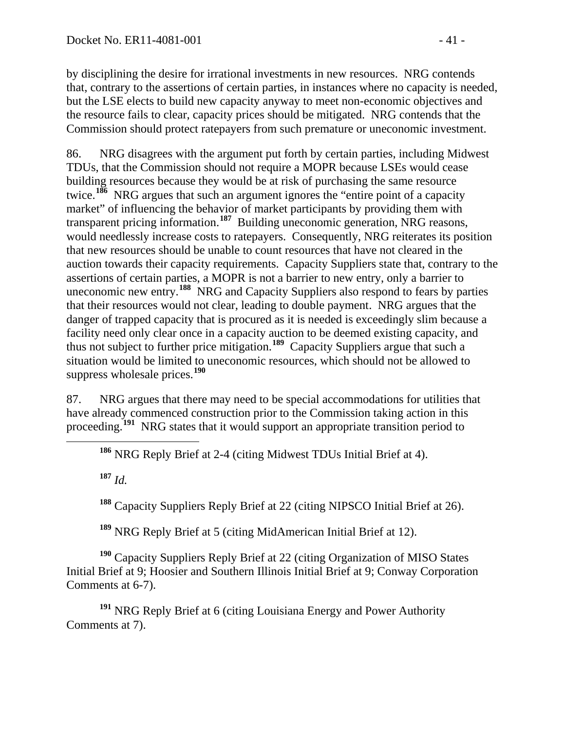by disciplining the desire for irrational investments in new resources. NRG contends that, contrary to the assertions of certain parties, in instances where no capacity is needed, but the LSE elects to build new capacity anyway to meet non-economic objectives and the resource fails to clear, capacity prices should be mitigated. NRG contends that the Commission should protect ratepayers from such premature or uneconomic investment.

86. NRG disagrees with the argument put forth by certain parties, including Midwest TDUs, that the Commission should not require a MOPR because LSEs would cease building resources because they would be at risk of purchasing the same resource twice.**[186](#page-40-0)** NRG argues that such an argument ignores the "entire point of a capacity market" of influencing the behavior of market participants by providing them with transparent pricing information.**[187](#page-40-1)** Building uneconomic generation, NRG reasons, would needlessly increase costs to ratepayers. Consequently, NRG reiterates its position that new resources should be unable to count resources that have not cleared in the auction towards their capacity requirements. Capacity Suppliers state that, contrary to the assertions of certain parties, a MOPR is not a barrier to new entry, only a barrier to uneconomic new entry.**[188](#page-40-2)** NRG and Capacity Suppliers also respond to fears by parties that their resources would not clear, leading to double payment. NRG argues that the danger of trapped capacity that is procured as it is needed is exceedingly slim because a facility need only clear once in a capacity auction to be deemed existing capacity, and thus not subject to further price mitigation.**[189](#page-40-3)** Capacity Suppliers argue that such a situation would be limited to uneconomic resources, which should not be allowed to suppress wholesale prices.**[190](#page-40-4)**

<span id="page-40-0"></span>87. NRG argues that there may need to be special accommodations for utilities that have already commenced construction prior to the Commission taking action in this proceeding.**[191](#page-40-5)** NRG states that it would support an appropriate transition period to

**<sup>186</sup>** NRG Reply Brief at 2-4 (citing Midwest TDUs Initial Brief at 4).

<span id="page-40-1"></span>**<sup>187</sup>** *Id.*

**<sup>188</sup>** Capacity Suppliers Reply Brief at 22 (citing NIPSCO Initial Brief at 26).

**<sup>189</sup>** NRG Reply Brief at 5 (citing MidAmerican Initial Brief at 12).

<span id="page-40-4"></span><span id="page-40-3"></span><span id="page-40-2"></span>**<sup>190</sup>** Capacity Suppliers Reply Brief at 22 (citing Organization of MISO States Initial Brief at 9; Hoosier and Southern Illinois Initial Brief at 9; Conway Corporation Comments at 6-7).

<span id="page-40-5"></span>**<sup>191</sup>** NRG Reply Brief at 6 (citing Louisiana Energy and Power Authority Comments at 7).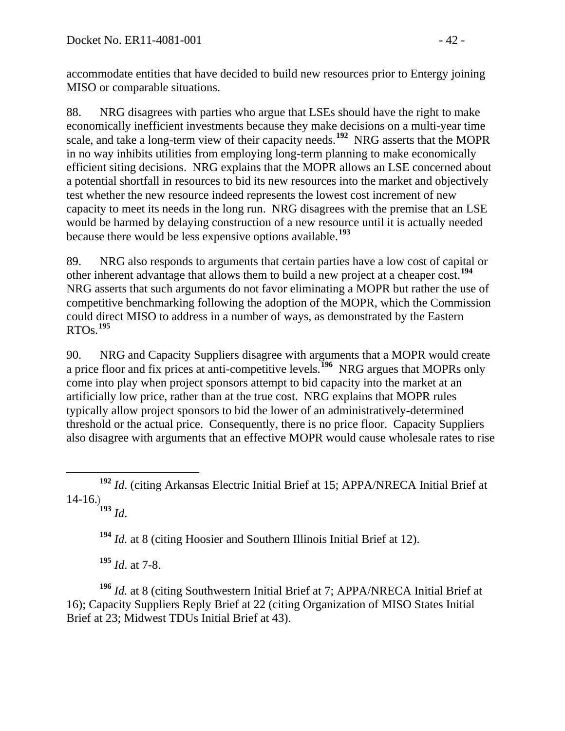accommodate entities that have decided to build new resources prior to Entergy joining MISO or comparable situations.

88. NRG disagrees with parties who argue that LSEs should have the right to make economically inefficient investments because they make decisions on a multi-year time scale, and take a long-term view of their capacity needs.**[192](#page-41-0)** NRG asserts that the MOPR in no way inhibits utilities from employing long-term planning to make economically efficient siting decisions. NRG explains that the MOPR allows an LSE concerned about a potential shortfall in resources to bid its new resources into the market and objectively test whether the new resource indeed represents the lowest cost increment of new capacity to meet its needs in the long run. NRG disagrees with the premise that an LSE would be harmed by delaying construction of a new resource until it is actually needed because there would be less expensive options available.**[193](#page-41-1)**

89. NRG also responds to arguments that certain parties have a low cost of capital or other inherent advantage that allows them to build a new project at a cheaper cost.**[194](#page-41-2)** NRG asserts that such arguments do not favor eliminating a MOPR but rather the use of competitive benchmarking following the adoption of the MOPR, which the Commission could direct MISO to address in a number of ways, as demonstrated by the Eastern RTOs.**[195](#page-41-3)**

90. NRG and Capacity Suppliers disagree with arguments that a MOPR would create a price floor and fix prices at anti-competitive levels.**[196](#page-41-4)** NRG argues that MOPRs only come into play when project sponsors attempt to bid capacity into the market at an artificially low price, rather than at the true cost. NRG explains that MOPR rules typically allow project sponsors to bid the lower of an administratively-determined threshold or the actual price. Consequently, there is no price floor. Capacity Suppliers also disagree with arguments that an effective MOPR would cause wholesale rates to rise

**<sup>193</sup>** *Id*.

**<sup>194</sup>** *Id.* at 8 (citing Hoosier and Southern Illinois Initial Brief at 12).

**<sup>195</sup>** *Id*. at 7-8.

<span id="page-41-4"></span><span id="page-41-3"></span><span id="page-41-2"></span>**<sup>196</sup>** *Id.* at 8 (citing Southwestern Initial Brief at 7; APPA/NRECA Initial Brief at 16); Capacity Suppliers Reply Brief at 22 (citing Organization of MISO States Initial Brief at 23; Midwest TDUs Initial Brief at 43).

<span id="page-41-1"></span><span id="page-41-0"></span>**<sup>192</sup>** *Id*. (citing Arkansas Electric Initial Brief at 15; APPA/NRECA Initial Brief at 14-16.)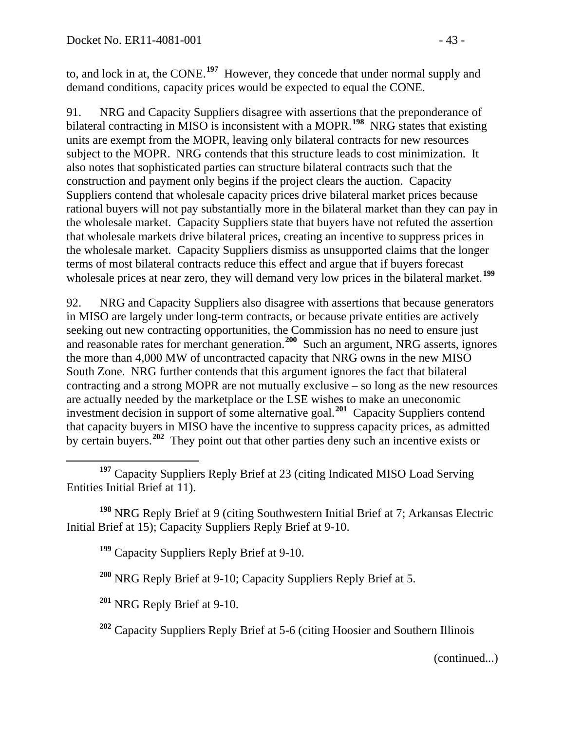to, and lock in at, the CONE.**[197](#page-42-0)** However, they concede that under normal supply and demand conditions, capacity prices would be expected to equal the CONE.

91. NRG and Capacity Suppliers disagree with assertions that the preponderance of bilateral contracting in MISO is inconsistent with a MOPR.**[198](#page-42-1)** NRG states that existing units are exempt from the MOPR, leaving only bilateral contracts for new resources subject to the MOPR. NRG contends that this structure leads to cost minimization. It also notes that sophisticated parties can structure bilateral contracts such that the construction and payment only begins if the project clears the auction. Capacity Suppliers contend that wholesale capacity prices drive bilateral market prices because rational buyers will not pay substantially more in the bilateral market than they can pay in the wholesale market. Capacity Suppliers state that buyers have not refuted the assertion that wholesale markets drive bilateral prices, creating an incentive to suppress prices in the wholesale market. Capacity Suppliers dismiss as unsupported claims that the longer terms of most bilateral contracts reduce this effect and argue that if buyers forecast wholesale prices at near zero, they will demand very low prices in the bilateral market.<sup>[199](#page-42-2)</sup>

92. NRG and Capacity Suppliers also disagree with assertions that because generators in MISO are largely under long-term contracts, or because private entities are actively seeking out new contracting opportunities, the Commission has no need to ensure just and reasonable rates for merchant generation.**[200](#page-42-3)** Such an argument, NRG asserts, ignores the more than 4,000 MW of uncontracted capacity that NRG owns in the new MISO South Zone. NRG further contends that this argument ignores the fact that bilateral contracting and a strong MOPR are not mutually exclusive – so long as the new resources are actually needed by the marketplace or the LSE wishes to make an uneconomic investment decision in support of some alternative goal.**[201](#page-42-4)** Capacity Suppliers contend that capacity buyers in MISO have the incentive to suppress capacity prices, as admitted by certain buyers.**[202](#page-42-5)** They point out that other parties deny such an incentive exists or

<span id="page-42-3"></span><span id="page-42-2"></span><span id="page-42-1"></span>**<sup>198</sup>** NRG Reply Brief at 9 (citing Southwestern Initial Brief at 7; Arkansas Electric Initial Brief at 15); Capacity Suppliers Reply Brief at 9-10.

**<sup>199</sup>** Capacity Suppliers Reply Brief at 9-10.

**<sup>200</sup>** NRG Reply Brief at 9-10; Capacity Suppliers Reply Brief at 5.

<span id="page-42-4"></span>**<sup>201</sup>** NRG Reply Brief at 9-10.

<span id="page-42-5"></span>**<sup>202</sup>** Capacity Suppliers Reply Brief at 5-6 (citing Hoosier and Southern Illinois

(continued...)

<span id="page-42-0"></span>**<sup>197</sup>** Capacity Suppliers Reply Brief at 23 (citing Indicated MISO Load Serving Entities Initial Brief at 11).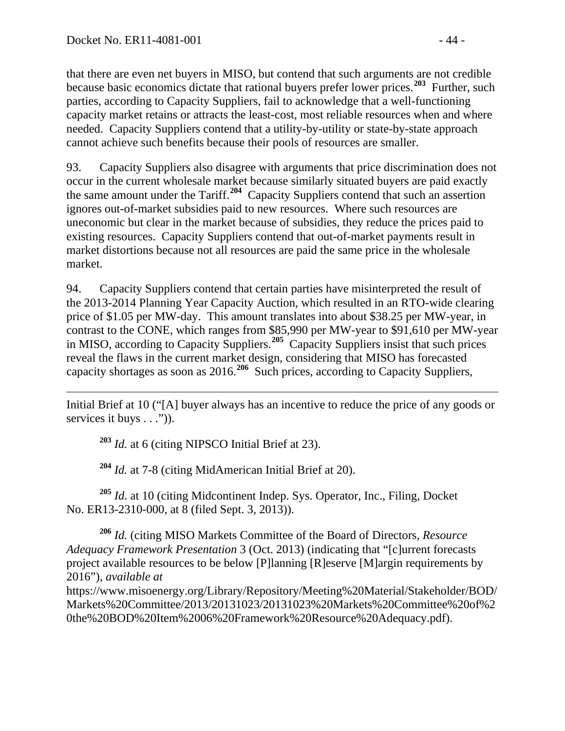that there are even net buyers in MISO, but contend that such arguments are not credible because basic economics dictate that rational buyers prefer lower prices.**[203](#page-43-0)** Further, such parties, according to Capacity Suppliers, fail to acknowledge that a well-functioning capacity market retains or attracts the least-cost, most reliable resources when and where needed. Capacity Suppliers contend that a utility-by-utility or state-by-state approach cannot achieve such benefits because their pools of resources are smaller.

93. Capacity Suppliers also disagree with arguments that price discrimination does not occur in the current wholesale market because similarly situated buyers are paid exactly the same amount under the Tariff.**[204](#page-43-1)** Capacity Suppliers contend that such an assertion ignores out-of-market subsidies paid to new resources. Where such resources are uneconomic but clear in the market because of subsidies, they reduce the prices paid to existing resources. Capacity Suppliers contend that out-of-market payments result in market distortions because not all resources are paid the same price in the wholesale market.

94. Capacity Suppliers contend that certain parties have misinterpreted the result of the 2013-2014 Planning Year Capacity Auction, which resulted in an RTO-wide clearing price of \$1.05 per MW-day. This amount translates into about \$38.25 per MW-year, in contrast to the CONE, which ranges from \$85,990 per MW-year to \$91,610 per MW-year in MISO, according to Capacity Suppliers.**[205](#page-43-2)** Capacity Suppliers insist that such prices reveal the flaws in the current market design, considering that MISO has forecasted capacity shortages as soon as 2016.**[206](#page-43-3)** Such prices, according to Capacity Suppliers,

<span id="page-43-0"></span> $\overline{a}$ Initial Brief at 10 ("[A] buyer always has an incentive to reduce the price of any goods or services it buys . . .")).

**<sup>203</sup>** *Id.* at 6 (citing NIPSCO Initial Brief at 23).

**<sup>204</sup>** *Id.* at 7-8 (citing MidAmerican Initial Brief at 20).

<span id="page-43-2"></span><span id="page-43-1"></span>**<sup>205</sup>** *Id*. at 10 (citing Midcontinent Indep. Sys. Operator, Inc., Filing, Docket No. ER13-2310-000, at 8 (filed Sept. 3, 2013)).

<span id="page-43-3"></span>**<sup>206</sup>** *Id.* (citing MISO Markets Committee of the Board of Directors, *Resource Adequacy Framework Presentation* 3 (Oct. 2013) (indicating that "[c]urrent forecasts project available resources to be below [P]lanning [R]eserve [M]argin requirements by 2016"), *available at*

https://www.misoenergy.org/Library/Repository/Meeting%20Material/Stakeholder/BOD/ Markets%20Committee/2013/20131023/20131023%20Markets%20Committee%20of%2 0the%20BOD%20Item%2006%20Framework%20Resource%20Adequacy.pdf).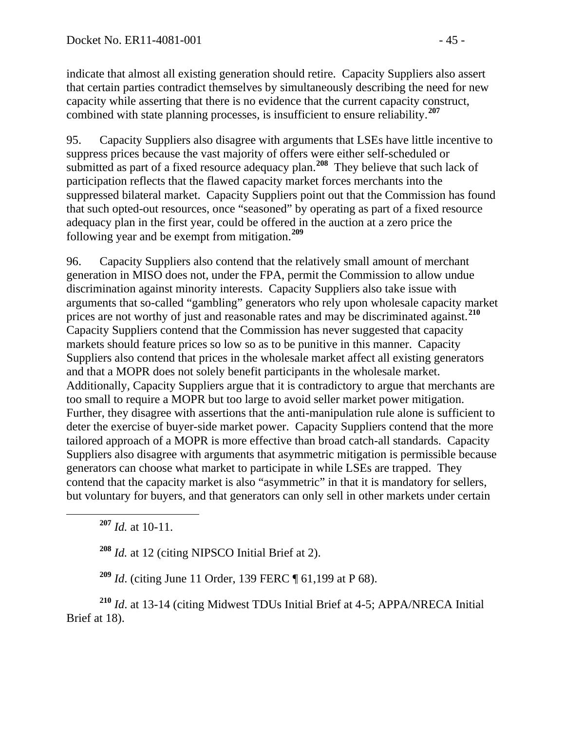indicate that almost all existing generation should retire. Capacity Suppliers also assert that certain parties contradict themselves by simultaneously describing the need for new capacity while asserting that there is no evidence that the current capacity construct, combined with state planning processes, is insufficient to ensure reliability.**[207](#page-44-0)**

95. Capacity Suppliers also disagree with arguments that LSEs have little incentive to suppress prices because the vast majority of offers were either self-scheduled or submitted as part of a fixed resource adequacy plan.<sup>[208](#page-44-1)</sup> They believe that such lack of participation reflects that the flawed capacity market forces merchants into the suppressed bilateral market. Capacity Suppliers point out that the Commission has found that such opted-out resources, once "seasoned" by operating as part of a fixed resource adequacy plan in the first year, could be offered in the auction at a zero price the following year and be exempt from mitigation.**[209](#page-44-2)**

96. Capacity Suppliers also contend that the relatively small amount of merchant generation in MISO does not, under the FPA, permit the Commission to allow undue discrimination against minority interests. Capacity Suppliers also take issue with arguments that so-called "gambling" generators who rely upon wholesale capacity market prices are not worthy of just and reasonable rates and may be discriminated against.**[210](#page-44-3)** Capacity Suppliers contend that the Commission has never suggested that capacity markets should feature prices so low so as to be punitive in this manner. Capacity Suppliers also contend that prices in the wholesale market affect all existing generators and that a MOPR does not solely benefit participants in the wholesale market. Additionally, Capacity Suppliers argue that it is contradictory to argue that merchants are too small to require a MOPR but too large to avoid seller market power mitigation. Further, they disagree with assertions that the anti-manipulation rule alone is sufficient to deter the exercise of buyer-side market power. Capacity Suppliers contend that the more tailored approach of a MOPR is more effective than broad catch-all standards. Capacity Suppliers also disagree with arguments that asymmetric mitigation is permissible because generators can choose what market to participate in while LSEs are trapped. They contend that the capacity market is also "asymmetric" in that it is mandatory for sellers, but voluntary for buyers, and that generators can only sell in other markets under certain

<span id="page-44-0"></span>**<sup>207</sup>** *Id.* at 10-11.

**<sup>208</sup>** *Id.* at 12 (citing NIPSCO Initial Brief at 2).

**<sup>209</sup>** *Id*. (citing June 11 Order, 139 FERC ¶ 61,199 at P 68).

<span id="page-44-3"></span><span id="page-44-2"></span><span id="page-44-1"></span>**<sup>210</sup>** *Id*. at 13-14 (citing Midwest TDUs Initial Brief at 4-5; APPA/NRECA Initial Brief at 18).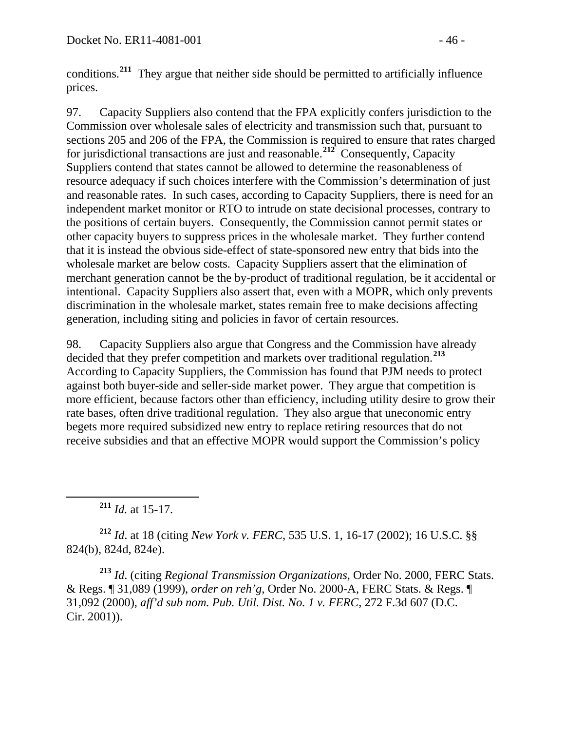conditions.**[211](#page-45-0)** They argue that neither side should be permitted to artificially influence prices.

97. Capacity Suppliers also contend that the FPA explicitly confers jurisdiction to the Commission over wholesale sales of electricity and transmission such that, pursuant to sections 205 and 206 of the FPA, the Commission is required to ensure that rates charged for jurisdictional transactions are just and reasonable.**[212](#page-45-1)** Consequently, Capacity Suppliers contend that states cannot be allowed to determine the reasonableness of resource adequacy if such choices interfere with the Commission's determination of just and reasonable rates. In such cases, according to Capacity Suppliers, there is need for an independent market monitor or RTO to intrude on state decisional processes, contrary to the positions of certain buyers. Consequently, the Commission cannot permit states or other capacity buyers to suppress prices in the wholesale market. They further contend that it is instead the obvious side-effect of state-sponsored new entry that bids into the wholesale market are below costs. Capacity Suppliers assert that the elimination of merchant generation cannot be the by-product of traditional regulation, be it accidental or intentional. Capacity Suppliers also assert that, even with a MOPR, which only prevents discrimination in the wholesale market, states remain free to make decisions affecting generation, including siting and policies in favor of certain resources.

98. Capacity Suppliers also argue that Congress and the Commission have already decided that they prefer competition and markets over traditional regulation.**[213](#page-45-2)** According to Capacity Suppliers, the Commission has found that PJM needs to protect against both buyer-side and seller-side market power. They argue that competition is more efficient, because factors other than efficiency, including utility desire to grow their rate bases, often drive traditional regulation. They also argue that uneconomic entry begets more required subsidized new entry to replace retiring resources that do not receive subsidies and that an effective MOPR would support the Commission's policy

**<sup>211</sup>** *Id.* at 15-17.

<span id="page-45-1"></span><span id="page-45-0"></span>**<sup>212</sup>** *Id*. at 18 (citing *New York v. FERC*, 535 U.S. 1, 16-17 (2002); 16 U.S.C. §§ 824(b), 824d, 824e).

<span id="page-45-2"></span>**<sup>213</sup>** *Id*. (citing *Regional Transmission Organizations*, Order No. 2000, FERC Stats. & Regs. ¶ 31,089 (1999), *order on reh'g*, Order No. 2000-A, FERC Stats. & Regs. ¶ 31,092 (2000), *aff'd sub nom. Pub. Util. Dist. No. 1 v. FERC*, 272 F.3d 607 (D.C. Cir. 2001)).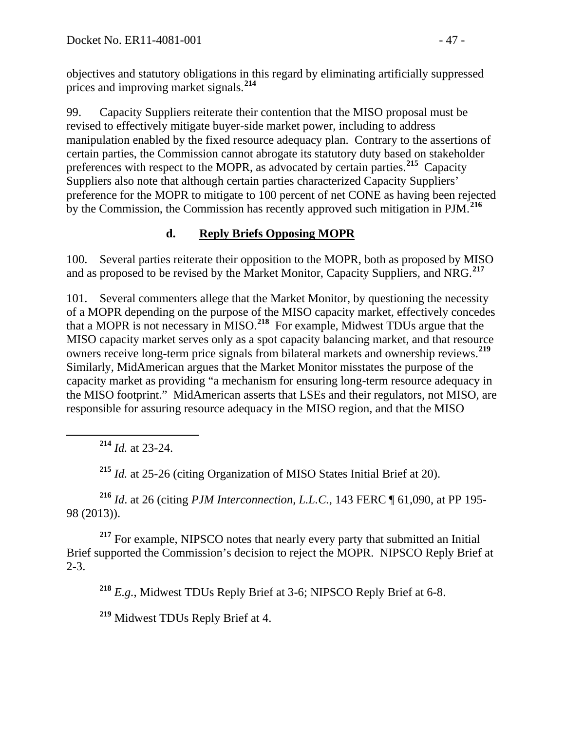objectives and statutory obligations in this regard by eliminating artificially suppressed prices and improving market signals.**[214](#page-46-0)**

99. Capacity Suppliers reiterate their contention that the MISO proposal must be revised to effectively mitigate buyer-side market power, including to address manipulation enabled by the fixed resource adequacy plan. Contrary to the assertions of certain parties, the Commission cannot abrogate its statutory duty based on stakeholder preferences with respect to the MOPR, as advocated by certain parties.**[215](#page-46-1)** Capacity Suppliers also note that although certain parties characterized Capacity Suppliers' preference for the MOPR to mitigate to 100 percent of net CONE as having been rejected by the Commission, the Commission has recently approved such mitigation in PJM.**[216](#page-46-2)**

## **d. Reply Briefs Opposing MOPR**

100. Several parties reiterate their opposition to the MOPR, both as proposed by MISO and as proposed to be revised by the Market Monitor, Capacity Suppliers, and NRG.**[217](#page-46-3)**

101. Several commenters allege that the Market Monitor, by questioning the necessity of a MOPR depending on the purpose of the MISO capacity market, effectively concedes that a MOPR is not necessary in MISO.**[218](#page-46-4)** For example, Midwest TDUs argue that the MISO capacity market serves only as a spot capacity balancing market, and that resource owners receive long-term price signals from bilateral markets and ownership reviews.**[219](#page-46-5)** Similarly, MidAmerican argues that the Market Monitor misstates the purpose of the capacity market as providing "a mechanism for ensuring long-term resource adequacy in the MISO footprint." MidAmerican asserts that LSEs and their regulators, not MISO, are responsible for assuring resource adequacy in the MISO region, and that the MISO

**<sup>214</sup>** *Id.* at 23-24.

**<sup>215</sup>** *Id.* at 25-26 (citing Organization of MISO States Initial Brief at 20).

<span id="page-46-2"></span><span id="page-46-1"></span><span id="page-46-0"></span>**<sup>216</sup>** *Id*. at 26 (citing *PJM Interconnection, L.L.C.*, 143 FERC ¶ 61,090, at PP 195- 98 (2013)).

<span id="page-46-4"></span><span id="page-46-3"></span><sup>217</sup> For example, NIPSCO notes that nearly every party that submitted an Initial Brief supported the Commission's decision to reject the MOPR. NIPSCO Reply Brief at 2-3.

**<sup>218</sup>** *E.g.*, Midwest TDUs Reply Brief at 3-6; NIPSCO Reply Brief at 6-8.

<span id="page-46-5"></span>**<sup>219</sup>** Midwest TDUs Reply Brief at 4.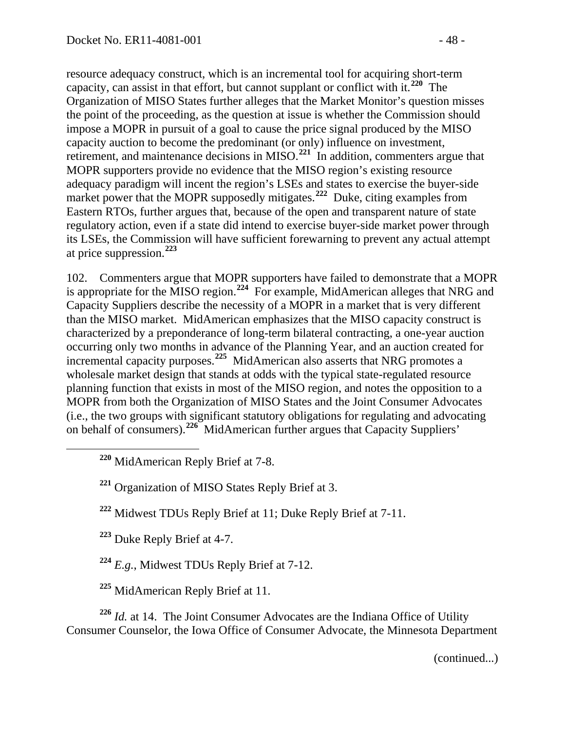resource adequacy construct, which is an incremental tool for acquiring short-term capacity, can assist in that effort, but cannot supplant or conflict with it.**[220](#page-47-0)** The Organization of MISO States further alleges that the Market Monitor's question misses the point of the proceeding, as the question at issue is whether the Commission should impose a MOPR in pursuit of a goal to cause the price signal produced by the MISO capacity auction to become the predominant (or only) influence on investment, retirement, and maintenance decisions in MISO.**[221](#page-47-1)** In addition, commenters argue that MOPR supporters provide no evidence that the MISO region's existing resource adequacy paradigm will incent the region's LSEs and states to exercise the buyer-side market power that the MOPR supposedly mitigates.<sup>[222](#page-47-2)</sup> Duke, citing examples from Eastern RTOs, further argues that, because of the open and transparent nature of state regulatory action, even if a state did intend to exercise buyer-side market power through its LSEs, the Commission will have sufficient forewarning to prevent any actual attempt at price suppression.**[223](#page-47-3)**

102. Commenters argue that MOPR supporters have failed to demonstrate that a MOPR is appropriate for the MISO region.**[224](#page-47-4)** For example, MidAmerican alleges that NRG and Capacity Suppliers describe the necessity of a MOPR in a market that is very different than the MISO market. MidAmerican emphasizes that the MISO capacity construct is characterized by a preponderance of long-term bilateral contracting, a one-year auction occurring only two months in advance of the Planning Year, and an auction created for incremental capacity purposes.**[225](#page-47-5)** MidAmerican also asserts that NRG promotes a wholesale market design that stands at odds with the typical state-regulated resource planning function that exists in most of the MISO region, and notes the opposition to a MOPR from both the Organization of MISO States and the Joint Consumer Advocates (i.e., the two groups with significant statutory obligations for regulating and advocating on behalf of consumers).**[226](#page-47-6)** MidAmerican further argues that Capacity Suppliers'

<span id="page-47-0"></span>**<sup>220</sup>** MidAmerican Reply Brief at 7-8.

<span id="page-47-1"></span>**<sup>221</sup>** Organization of MISO States Reply Brief at 3.

<span id="page-47-2"></span>**<sup>222</sup>** Midwest TDUs Reply Brief at 11; Duke Reply Brief at 7-11.

<span id="page-47-3"></span>**<sup>223</sup>** Duke Reply Brief at 4-7.

**<sup>224</sup>** *E.g.*, Midwest TDUs Reply Brief at 7-12.

**<sup>225</sup>** MidAmerican Reply Brief at 11.

<span id="page-47-6"></span><span id="page-47-5"></span><span id="page-47-4"></span>**<sup>226</sup>** *Id.* at 14. The Joint Consumer Advocates are the Indiana Office of Utility Consumer Counselor, the Iowa Office of Consumer Advocate, the Minnesota Department

(continued...)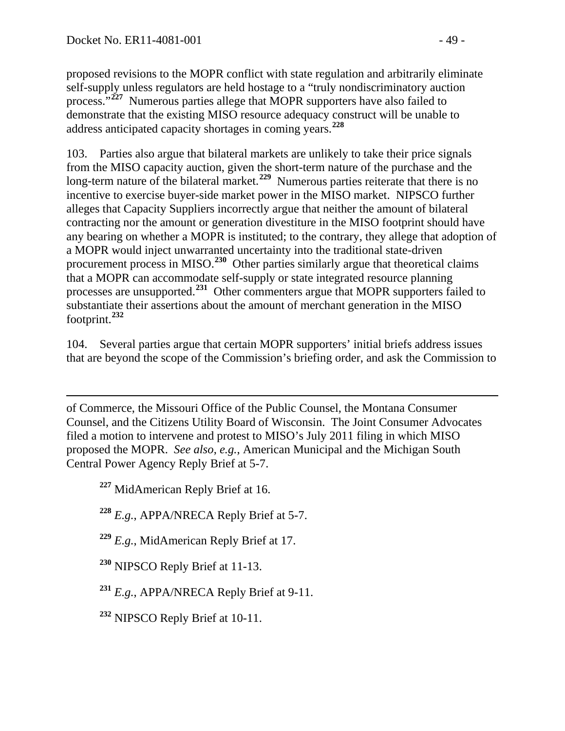proposed revisions to the MOPR conflict with state regulation and arbitrarily eliminate self-supply unless regulators are held hostage to a "truly nondiscriminatory auction process.<sup>727</sup> Numerous parties allege that MOPR supporters have also failed to demonstrate that the existing MISO resource adequacy construct will be unable to address anticipated capacity shortages in coming years.**[228](#page-48-1)**

103. Parties also argue that bilateral markets are unlikely to take their price signals from the MISO capacity auction, given the short-term nature of the purchase and the long-term nature of the bilateral market.<sup>[229](#page-48-2)</sup> Numerous parties reiterate that there is no incentive to exercise buyer-side market power in the MISO market. NIPSCO further alleges that Capacity Suppliers incorrectly argue that neither the amount of bilateral contracting nor the amount or generation divestiture in the MISO footprint should have any bearing on whether a MOPR is instituted; to the contrary, they allege that adoption of a MOPR would inject unwarranted uncertainty into the traditional state-driven procurement process in MISO.**[230](#page-48-3)** Other parties similarly argue that theoretical claims that a MOPR can accommodate self-supply or state integrated resource planning processes are unsupported.**[231](#page-48-4)** Other commenters argue that MOPR supporters failed to substantiate their assertions about the amount of merchant generation in the MISO footprint.**[232](#page-48-5)**

104. Several parties argue that certain MOPR supporters' initial briefs address issues that are beyond the scope of the Commission's briefing order, and ask the Commission to

 $\overline{a}$ of Commerce, the Missouri Office of the Public Counsel, the Montana Consumer Counsel, and the Citizens Utility Board of Wisconsin. The Joint Consumer Advocates filed a motion to intervene and protest to MISO's July 2011 filing in which MISO proposed the MOPR. *See also*, *e.g.*, American Municipal and the Michigan South Central Power Agency Reply Brief at 5-7.

<span id="page-48-0"></span>**<sup>227</sup>** MidAmerican Reply Brief at 16.

<span id="page-48-1"></span>**<sup>228</sup>** *E.g.*, APPA/NRECA Reply Brief at 5-7.

<span id="page-48-2"></span>**<sup>229</sup>** *E.g.*, MidAmerican Reply Brief at 17.

<span id="page-48-3"></span>**<sup>230</sup>** NIPSCO Reply Brief at 11-13.

<span id="page-48-4"></span>**<sup>231</sup>** *E.g.*, APPA/NRECA Reply Brief at 9-11.

<span id="page-48-5"></span>**<sup>232</sup>** NIPSCO Reply Brief at 10-11.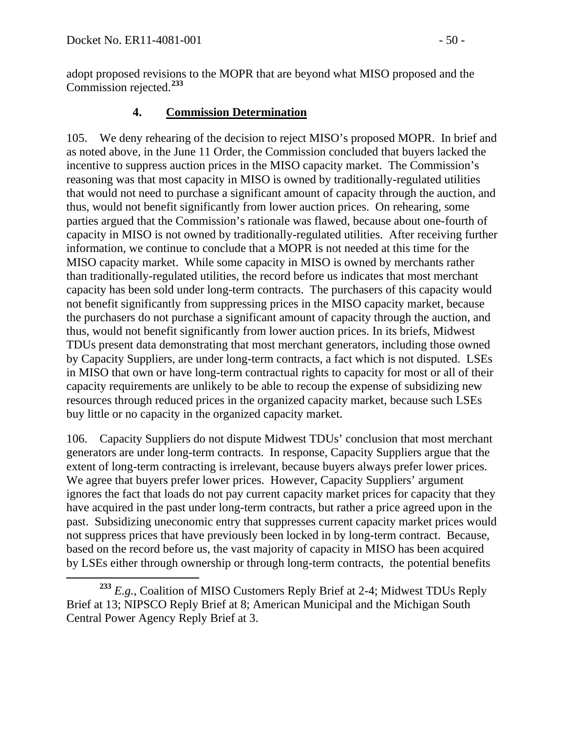adopt proposed revisions to the MOPR that are beyond what MISO proposed and the Commission rejected.**[233](#page-49-0)**

#### **4. Commission Determination**

105. We deny rehearing of the decision to reject MISO's proposed MOPR. In brief and as noted above, in the June 11 Order, the Commission concluded that buyers lacked the incentive to suppress auction prices in the MISO capacity market. The Commission's reasoning was that most capacity in MISO is owned by traditionally-regulated utilities that would not need to purchase a significant amount of capacity through the auction, and thus, would not benefit significantly from lower auction prices. On rehearing, some parties argued that the Commission's rationale was flawed, because about one-fourth of capacity in MISO is not owned by traditionally-regulated utilities. After receiving further information, we continue to conclude that a MOPR is not needed at this time for the MISO capacity market. While some capacity in MISO is owned by merchants rather than traditionally-regulated utilities, the record before us indicates that most merchant capacity has been sold under long-term contracts. The purchasers of this capacity would not benefit significantly from suppressing prices in the MISO capacity market, because the purchasers do not purchase a significant amount of capacity through the auction, and thus, would not benefit significantly from lower auction prices. In its briefs, Midwest TDUs present data demonstrating that most merchant generators, including those owned by Capacity Suppliers, are under long-term contracts, a fact which is not disputed. LSEs in MISO that own or have long-term contractual rights to capacity for most or all of their capacity requirements are unlikely to be able to recoup the expense of subsidizing new resources through reduced prices in the organized capacity market, because such LSEs buy little or no capacity in the organized capacity market.

106. Capacity Suppliers do not dispute Midwest TDUs' conclusion that most merchant generators are under long-term contracts. In response, Capacity Suppliers argue that the extent of long-term contracting is irrelevant, because buyers always prefer lower prices. We agree that buyers prefer lower prices. However, Capacity Suppliers' argument ignores the fact that loads do not pay current capacity market prices for capacity that they have acquired in the past under long-term contracts, but rather a price agreed upon in the past. Subsidizing uneconomic entry that suppresses current capacity market prices would not suppress prices that have previously been locked in by long-term contract. Because, based on the record before us, the vast majority of capacity in MISO has been acquired by LSEs either through ownership or through long-term contracts, the potential benefits

<span id="page-49-0"></span>**<sup>233</sup>** *E.g.*, Coalition of MISO Customers Reply Brief at 2-4; Midwest TDUs Reply Brief at 13; NIPSCO Reply Brief at 8; American Municipal and the Michigan South Central Power Agency Reply Brief at 3.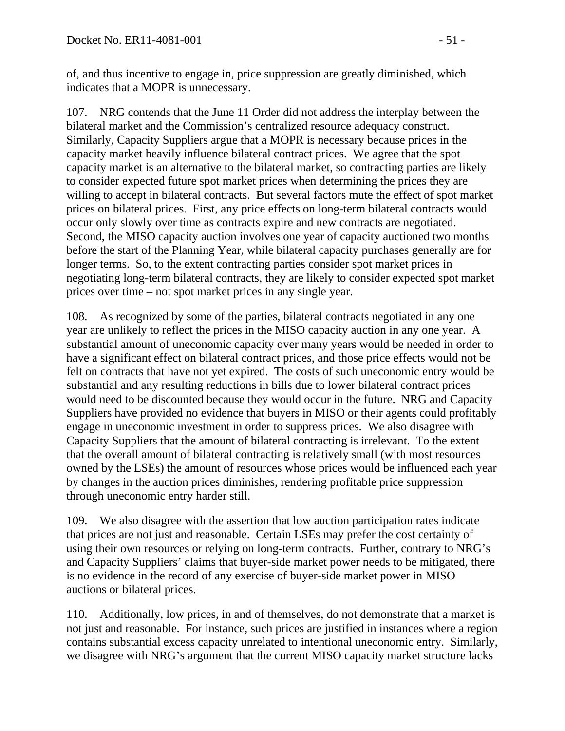of, and thus incentive to engage in, price suppression are greatly diminished, which indicates that a MOPR is unnecessary.

107. NRG contends that the June 11 Order did not address the interplay between the bilateral market and the Commission's centralized resource adequacy construct. Similarly, Capacity Suppliers argue that a MOPR is necessary because prices in the capacity market heavily influence bilateral contract prices. We agree that the spot capacity market is an alternative to the bilateral market, so contracting parties are likely to consider expected future spot market prices when determining the prices they are willing to accept in bilateral contracts. But several factors mute the effect of spot market prices on bilateral prices. First, any price effects on long-term bilateral contracts would occur only slowly over time as contracts expire and new contracts are negotiated. Second, the MISO capacity auction involves one year of capacity auctioned two months before the start of the Planning Year, while bilateral capacity purchases generally are for longer terms. So, to the extent contracting parties consider spot market prices in negotiating long-term bilateral contracts, they are likely to consider expected spot market prices over time – not spot market prices in any single year.

108. As recognized by some of the parties, bilateral contracts negotiated in any one year are unlikely to reflect the prices in the MISO capacity auction in any one year. A substantial amount of uneconomic capacity over many years would be needed in order to have a significant effect on bilateral contract prices, and those price effects would not be felt on contracts that have not yet expired. The costs of such uneconomic entry would be substantial and any resulting reductions in bills due to lower bilateral contract prices would need to be discounted because they would occur in the future. NRG and Capacity Suppliers have provided no evidence that buyers in MISO or their agents could profitably engage in uneconomic investment in order to suppress prices. We also disagree with Capacity Suppliers that the amount of bilateral contracting is irrelevant. To the extent that the overall amount of bilateral contracting is relatively small (with most resources owned by the LSEs) the amount of resources whose prices would be influenced each year by changes in the auction prices diminishes, rendering profitable price suppression through uneconomic entry harder still.

109. We also disagree with the assertion that low auction participation rates indicate that prices are not just and reasonable. Certain LSEs may prefer the cost certainty of using their own resources or relying on long-term contracts. Further, contrary to NRG's and Capacity Suppliers' claims that buyer-side market power needs to be mitigated, there is no evidence in the record of any exercise of buyer-side market power in MISO auctions or bilateral prices.

110. Additionally, low prices, in and of themselves, do not demonstrate that a market is not just and reasonable. For instance, such prices are justified in instances where a region contains substantial excess capacity unrelated to intentional uneconomic entry. Similarly, we disagree with NRG's argument that the current MISO capacity market structure lacks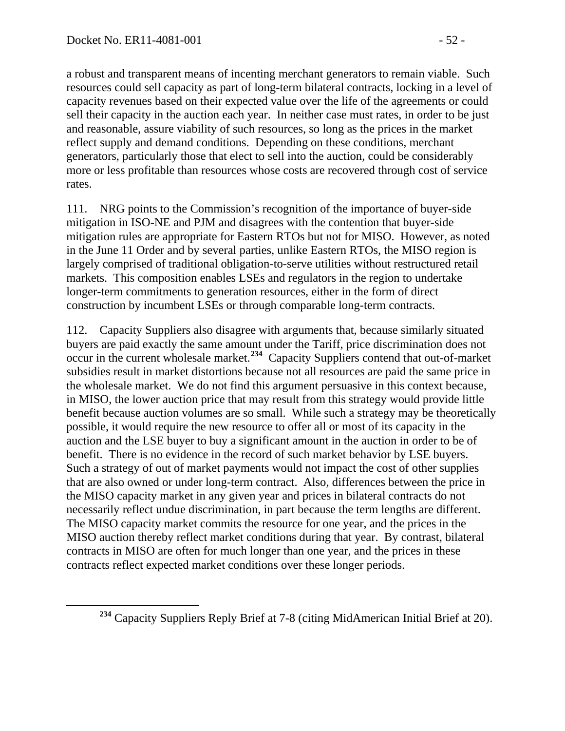a robust and transparent means of incenting merchant generators to remain viable. Such resources could sell capacity as part of long-term bilateral contracts, locking in a level of capacity revenues based on their expected value over the life of the agreements or could sell their capacity in the auction each year. In neither case must rates, in order to be just and reasonable, assure viability of such resources, so long as the prices in the market reflect supply and demand conditions. Depending on these conditions, merchant generators, particularly those that elect to sell into the auction, could be considerably more or less profitable than resources whose costs are recovered through cost of service rates.

111. NRG points to the Commission's recognition of the importance of buyer-side mitigation in ISO-NE and PJM and disagrees with the contention that buyer-side mitigation rules are appropriate for Eastern RTOs but not for MISO. However, as noted in the June 11 Order and by several parties, unlike Eastern RTOs, the MISO region is largely comprised of traditional obligation-to-serve utilities without restructured retail markets. This composition enables LSEs and regulators in the region to undertake longer-term commitments to generation resources, either in the form of direct construction by incumbent LSEs or through comparable long-term contracts.

112. Capacity Suppliers also disagree with arguments that, because similarly situated buyers are paid exactly the same amount under the Tariff, price discrimination does not occur in the current wholesale market.**[234](#page-51-0)** Capacity Suppliers contend that out-of-market subsidies result in market distortions because not all resources are paid the same price in the wholesale market. We do not find this argument persuasive in this context because, in MISO, the lower auction price that may result from this strategy would provide little benefit because auction volumes are so small. While such a strategy may be theoretically possible, it would require the new resource to offer all or most of its capacity in the auction and the LSE buyer to buy a significant amount in the auction in order to be of benefit. There is no evidence in the record of such market behavior by LSE buyers. Such a strategy of out of market payments would not impact the cost of other supplies that are also owned or under long-term contract.Also, differences between the price in the MISO capacity market in any given year and prices in bilateral contracts do not necessarily reflect undue discrimination, in part because the term lengths are different. The MISO capacity market commits the resource for one year, and the prices in the MISO auction thereby reflect market conditions during that year. By contrast, bilateral contracts in MISO are often for much longer than one year, and the prices in these contracts reflect expected market conditions over these longer periods.

<span id="page-51-0"></span>**<sup>234</sup>** Capacity Suppliers Reply Brief at 7-8 (citing MidAmerican Initial Brief at 20).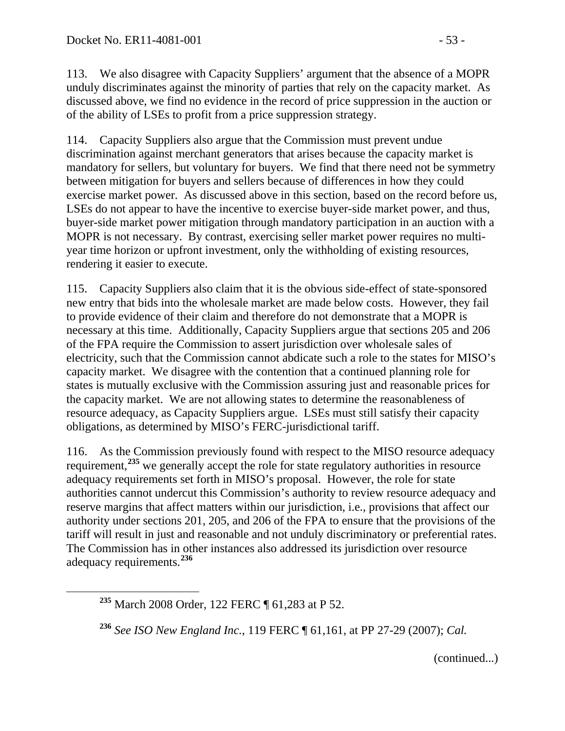113. We also disagree with Capacity Suppliers' argument that the absence of a MOPR unduly discriminates against the minority of parties that rely on the capacity market. As discussed above, we find no evidence in the record of price suppression in the auction or of the ability of LSEs to profit from a price suppression strategy.

114. Capacity Suppliers also argue that the Commission must prevent undue discrimination against merchant generators that arises because the capacity market is mandatory for sellers, but voluntary for buyers. We find that there need not be symmetry between mitigation for buyers and sellers because of differences in how they could exercise market power. As discussed above in this section, based on the record before us, LSEs do not appear to have the incentive to exercise buyer-side market power, and thus, buyer-side market power mitigation through mandatory participation in an auction with a MOPR is not necessary. By contrast, exercising seller market power requires no multiyear time horizon or upfront investment, only the withholding of existing resources, rendering it easier to execute.

115. Capacity Suppliers also claim that it is the obvious side-effect of state-sponsored new entry that bids into the wholesale market are made below costs. However, they fail to provide evidence of their claim and therefore do not demonstrate that a MOPR is necessary at this time. Additionally, Capacity Suppliers argue that sections 205 and 206 of the FPA require the Commission to assert jurisdiction over wholesale sales of electricity, such that the Commission cannot abdicate such a role to the states for MISO's capacity market. We disagree with the contention that a continued planning role for states is mutually exclusive with the Commission assuring just and reasonable prices for the capacity market. We are not allowing states to determine the reasonableness of resource adequacy, as Capacity Suppliers argue. LSEs must still satisfy their capacity obligations, as determined by MISO's FERC-jurisdictional tariff.

116. As the Commission previously found with respect to the MISO resource adequacy requirement,<sup>[235](#page-52-0)</sup> we generally accept the role for state regulatory authorities in resource adequacy requirements set forth in MISO's proposal. However, the role for state authorities cannot undercut this Commission's authority to review resource adequacy and reserve margins that affect matters within our jurisdiction, i.e., provisions that affect our authority under sections 201, 205, and 206 of the FPA to ensure that the provisions of the tariff will result in just and reasonable and not unduly discriminatory or preferential rates. The Commission has in other instances also addressed its jurisdiction over resource adequacy requirements.**[236](#page-52-1)**

(continued...)

<span id="page-52-0"></span>**<sup>235</sup>** March 2008 Order, 122 FERC ¶ 61,283 at P 52.

<span id="page-52-1"></span>**<sup>236</sup>** *See ISO New England Inc.*, 119 FERC ¶ 61,161, at PP 27-29 (2007); *Cal.*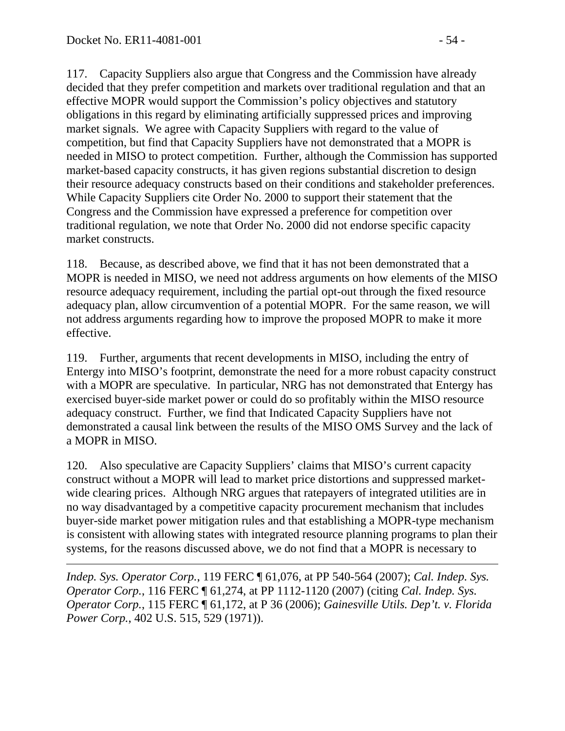117. Capacity Suppliers also argue that Congress and the Commission have already decided that they prefer competition and markets over traditional regulation and that an effective MOPR would support the Commission's policy objectives and statutory obligations in this regard by eliminating artificially suppressed prices and improving market signals. We agree with Capacity Suppliers with regard to the value of competition, but find that Capacity Suppliers have not demonstrated that a MOPR is needed in MISO to protect competition. Further, although the Commission has supported market-based capacity constructs, it has given regions substantial discretion to design their resource adequacy constructs based on their conditions and stakeholder preferences. While Capacity Suppliers cite Order No. 2000 to support their statement that the Congress and the Commission have expressed a preference for competition over traditional regulation, we note that Order No. 2000 did not endorse specific capacity market constructs.

118. Because, as described above, we find that it has not been demonstrated that a MOPR is needed in MISO, we need not address arguments on how elements of the MISO resource adequacy requirement, including the partial opt-out through the fixed resource adequacy plan, allow circumvention of a potential MOPR. For the same reason, we will not address arguments regarding how to improve the proposed MOPR to make it more effective.

119. Further, arguments that recent developments in MISO, including the entry of Entergy into MISO's footprint, demonstrate the need for a more robust capacity construct with a MOPR are speculative. In particular, NRG has not demonstrated that Entergy has exercised buyer-side market power or could do so profitably within the MISO resource adequacy construct. Further, we find that Indicated Capacity Suppliers have not demonstrated a causal link between the results of the MISO OMS Survey and the lack of a MOPR in MISO.

120. Also speculative are Capacity Suppliers' claims that MISO's current capacity construct without a MOPR will lead to market price distortions and suppressed marketwide clearing prices. Although NRG argues that ratepayers of integrated utilities are in no way disadvantaged by a competitive capacity procurement mechanism that includes buyer-side market power mitigation rules and that establishing a MOPR-type mechanism is consistent with allowing states with integrated resource planning programs to plan their systems, for the reasons discussed above, we do not find that a MOPR is necessary to

 $\overline{a}$ *Indep. Sys. Operator Corp.*, 119 FERC ¶ 61,076, at PP 540-564 (2007); *Cal. Indep. Sys. Operator Corp.*, 116 FERC ¶ 61,274, at PP 1112-1120 (2007) (citing *Cal. Indep. Sys. Operator Corp.*, 115 FERC ¶ 61,172, at P 36 (2006); *Gainesville Utils. Dep't. v. Florida Power Corp.*, 402 U.S. 515, 529 (1971)).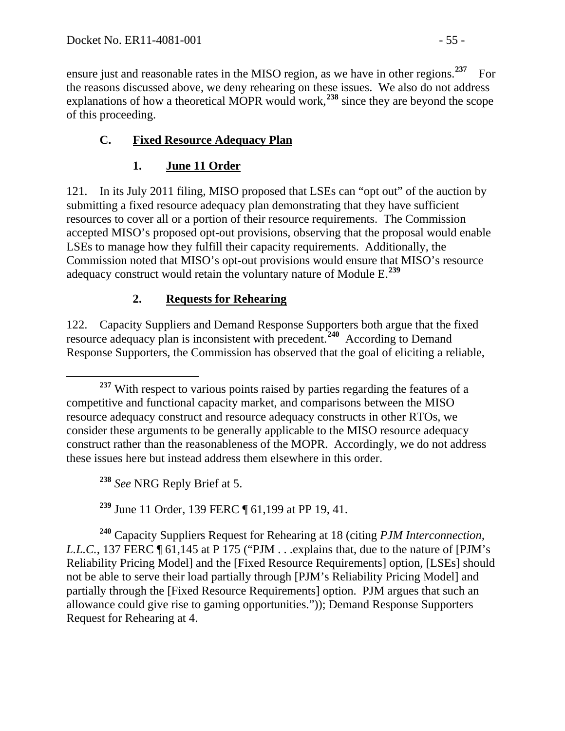ensure just and reasonable rates in the MISO region, as we have in other regions.<sup>[237](#page-54-0)</sup> For the reasons discussed above, we deny rehearing on these issues. We also do not address explanations of how a theoretical MOPR would work,**[238](#page-54-1)** since they are beyond the scope of this proceeding.

# **C. Fixed Resource Adequacy Plan**

## **1. June 11 Order**

121. In its July 2011 filing, MISO proposed that LSEs can "opt out" of the auction by submitting a fixed resource adequacy plan demonstrating that they have sufficient resources to cover all or a portion of their resource requirements. The Commission accepted MISO's proposed opt-out provisions, observing that the proposal would enable LSEs to manage how they fulfill their capacity requirements. Additionally, the Commission noted that MISO's opt-out provisions would ensure that MISO's resource adequacy construct would retain the voluntary nature of Module E. **[239](#page-54-2)**

## **2. Requests for Rehearing**

122. Capacity Suppliers and Demand Response Supporters both argue that the fixed resource adequacy plan is inconsistent with precedent.<sup>[240](#page-54-3)</sup> According to Demand Response Supporters, the Commission has observed that the goal of eliciting a reliable,

**<sup>238</sup>** *See* NRG Reply Brief at 5.

**<sup>239</sup>** June 11 Order, 139 FERC ¶ 61,199 at PP 19, 41.

<span id="page-54-3"></span><span id="page-54-2"></span><span id="page-54-1"></span>**<sup>240</sup>** Capacity Suppliers Request for Rehearing at 18 (citing *PJM Interconnection, L.L.C.*, 137 FERC  $\P$  61,145 at P 175 ("PJM . . .explains that, due to the nature of [PJM's Reliability Pricing Model] and the [Fixed Resource Requirements] option, [LSEs] should not be able to serve their load partially through [PJM's Reliability Pricing Model] and partially through the [Fixed Resource Requirements] option. PJM argues that such an allowance could give rise to gaming opportunities.")); Demand Response Supporters Request for Rehearing at 4.

<span id="page-54-0"></span>**<sup>237</sup>** With respect to various points raised by parties regarding the features of a competitive and functional capacity market, and comparisons between the MISO resource adequacy construct and resource adequacy constructs in other RTOs, we consider these arguments to be generally applicable to the MISO resource adequacy construct rather than the reasonableness of the MOPR. Accordingly, we do not address these issues here but instead address them elsewhere in this order.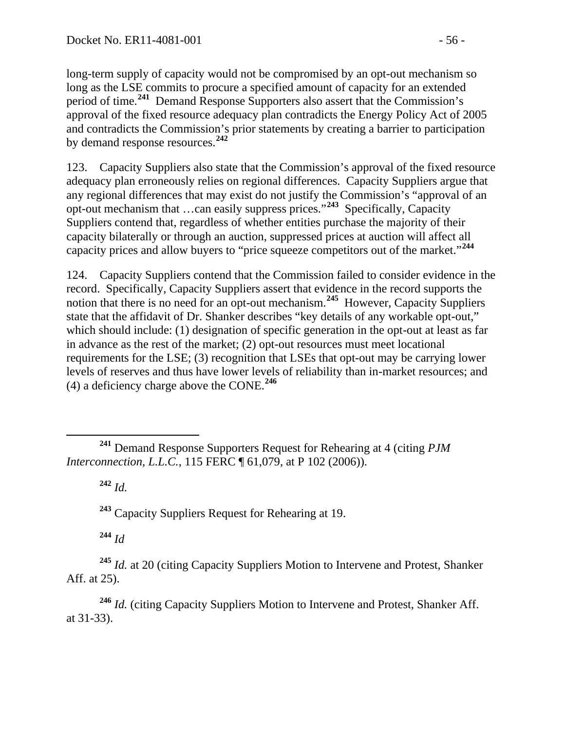long-term supply of capacity would not be compromised by an opt-out mechanism so long as the LSE commits to procure a specified amount of capacity for an extended period of time.**[241](#page-55-0)** Demand Response Supporters also assert that the Commission's approval of the fixed resource adequacy plan contradicts the Energy Policy Act of 2005 and contradicts the Commission's prior statements by creating a barrier to participation by demand response resources.**[242](#page-55-1)**

123. Capacity Suppliers also state that the Commission's approval of the fixed resource adequacy plan erroneously relies on regional differences. Capacity Suppliers argue that any regional differences that may exist do not justify the Commission's "approval of an opt-out mechanism that …can easily suppress prices."**[243](#page-55-2)** Specifically, Capacity Suppliers contend that, regardless of whether entities purchase the majority of their capacity bilaterally or through an auction, suppressed prices at auction will affect all capacity prices and allow buyers to "price squeeze competitors out of the market."**[244](#page-55-3)**

124. Capacity Suppliers contend that the Commission failed to consider evidence in the record. Specifically, Capacity Suppliers assert that evidence in the record supports the notion that there is no need for an opt-out mechanism.<sup>[245](#page-55-4)</sup> However, Capacity Suppliers state that the affidavit of Dr. Shanker describes "key details of any workable opt-out," which should include: (1) designation of specific generation in the opt-out at least as far in advance as the rest of the market; (2) opt-out resources must meet locational requirements for the LSE; (3) recognition that LSEs that opt-out may be carrying lower levels of reserves and thus have lower levels of reliability than in-market resources; and (4) a deficiency charge above the CONE.**[246](#page-55-5)**

**<sup>242</sup>** *Id.*

**<sup>243</sup>** Capacity Suppliers Request for Rehearing at 19.

**<sup>244</sup>** *Id*

<span id="page-55-4"></span><span id="page-55-3"></span><span id="page-55-2"></span>**<sup>245</sup>** *Id.* at 20 (citing Capacity Suppliers Motion to Intervene and Protest, Shanker Aff. at 25).

<span id="page-55-5"></span>**<sup>246</sup>** *Id.* (citing Capacity Suppliers Motion to Intervene and Protest, Shanker Aff. at 31-33).

<span id="page-55-1"></span><span id="page-55-0"></span>**<sup>241</sup>** Demand Response Supporters Request for Rehearing at 4 (citing *PJM Interconnection, L.L.C.*, 115 FERC ¶ 61,079, at P 102 (2006)).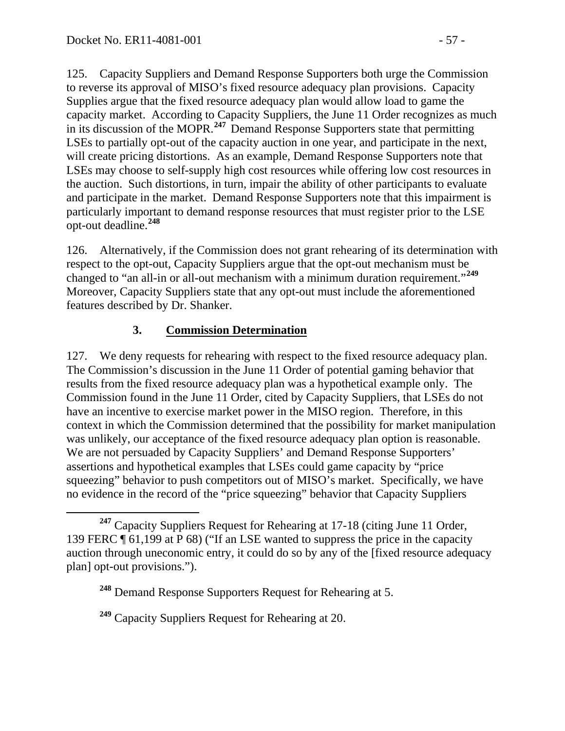125. Capacity Suppliers and Demand Response Supporters both urge the Commission to reverse its approval of MISO's fixed resource adequacy plan provisions. Capacity Supplies argue that the fixed resource adequacy plan would allow load to game the capacity market. According to Capacity Suppliers, the June 11 Order recognizes as much in its discussion of the MOPR.**[247](#page-56-0)** Demand Response Supporters state that permitting LSEs to partially opt-out of the capacity auction in one year, and participate in the next, will create pricing distortions. As an example, Demand Response Supporters note that LSEs may choose to self-supply high cost resources while offering low cost resources in the auction. Such distortions, in turn, impair the ability of other participants to evaluate and participate in the market. Demand Response Supporters note that this impairment is particularly important to demand response resources that must register prior to the LSE opt-out deadline.**[248](#page-56-1)**

126. Alternatively, if the Commission does not grant rehearing of its determination with respect to the opt-out, Capacity Suppliers argue that the opt-out mechanism must be changed to "an all-in or all-out mechanism with a minimum duration requirement."**[249](#page-56-2)** Moreover, Capacity Suppliers state that any opt-out must include the aforementioned features described by Dr. Shanker.

#### **3. Commission Determination**

127. We deny requests for rehearing with respect to the fixed resource adequacy plan. The Commission's discussion in the June 11 Order of potential gaming behavior that results from the fixed resource adequacy plan was a hypothetical example only. The Commission found in the June 11 Order, cited by Capacity Suppliers, that LSEs do not have an incentive to exercise market power in the MISO region. Therefore, in this context in which the Commission determined that the possibility for market manipulation was unlikely, our acceptance of the fixed resource adequacy plan option is reasonable. We are not persuaded by Capacity Suppliers' and Demand Response Supporters' assertions and hypothetical examples that LSEs could game capacity by "price squeezing" behavior to push competitors out of MISO's market. Specifically, we have no evidence in the record of the "price squeezing" behavior that Capacity Suppliers

<span id="page-56-1"></span><span id="page-56-0"></span>**<sup>247</sup>** Capacity Suppliers Request for Rehearing at 17-18 (citing June 11 Order, 139 FERC ¶ 61,199 at P 68) ("If an LSE wanted to suppress the price in the capacity auction through uneconomic entry, it could do so by any of the [fixed resource adequacy plan] opt-out provisions.").

**<sup>248</sup>** Demand Response Supporters Request for Rehearing at 5.

<span id="page-56-2"></span>**<sup>249</sup>** Capacity Suppliers Request for Rehearing at 20.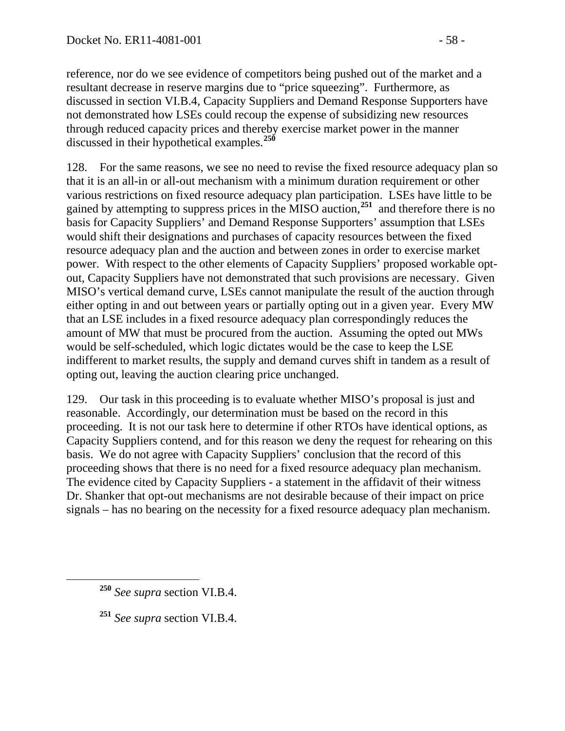reference, nor do we see evidence of competitors being pushed out of the market and a resultant decrease in reserve margins due to "price squeezing". Furthermore, as discussed in section VI.B.4, Capacity Suppliers and Demand Response Supporters have not demonstrated how LSEs could recoup the expense of subsidizing new resources through reduced capacity prices and thereby exercise market power in the manner discussed in their hypothetical examples.**[250](#page-57-0)**

128. For the same reasons, we see no need to revise the fixed resource adequacy plan so that it is an all-in or all-out mechanism with a minimum duration requirement or other various restrictions on fixed resource adequacy plan participation. LSEs have little to be gained by attempting to suppress prices in the MISO auction,**[251](#page-57-1)** and therefore there is no basis for Capacity Suppliers' and Demand Response Supporters' assumption that LSEs would shift their designations and purchases of capacity resources between the fixed resource adequacy plan and the auction and between zones in order to exercise market power. With respect to the other elements of Capacity Suppliers' proposed workable optout, Capacity Suppliers have not demonstrated that such provisions are necessary. Given MISO's vertical demand curve, LSEs cannot manipulate the result of the auction through either opting in and out between years or partially opting out in a given year. Every MW that an LSE includes in a fixed resource adequacy plan correspondingly reduces the amount of MW that must be procured from the auction. Assuming the opted out MWs would be self-scheduled, which logic dictates would be the case to keep the LSE indifferent to market results, the supply and demand curves shift in tandem as a result of opting out, leaving the auction clearing price unchanged.

129. Our task in this proceeding is to evaluate whether MISO's proposal is just and reasonable. Accordingly, our determination must be based on the record in this proceeding. It is not our task here to determine if other RTOs have identical options, as Capacity Suppliers contend, and for this reason we deny the request for rehearing on this basis. We do not agree with Capacity Suppliers' conclusion that the record of this proceeding shows that there is no need for a fixed resource adequacy plan mechanism. The evidence cited by Capacity Suppliers - a statement in the affidavit of their witness Dr. Shanker that opt-out mechanisms are not desirable because of their impact on price signals – has no bearing on the necessity for a fixed resource adequacy plan mechanism.

<span id="page-57-1"></span>**<sup>251</sup>** *See supra* section VI.B.4.

<span id="page-57-0"></span>**<sup>250</sup>** *See supra* section VI.B.4.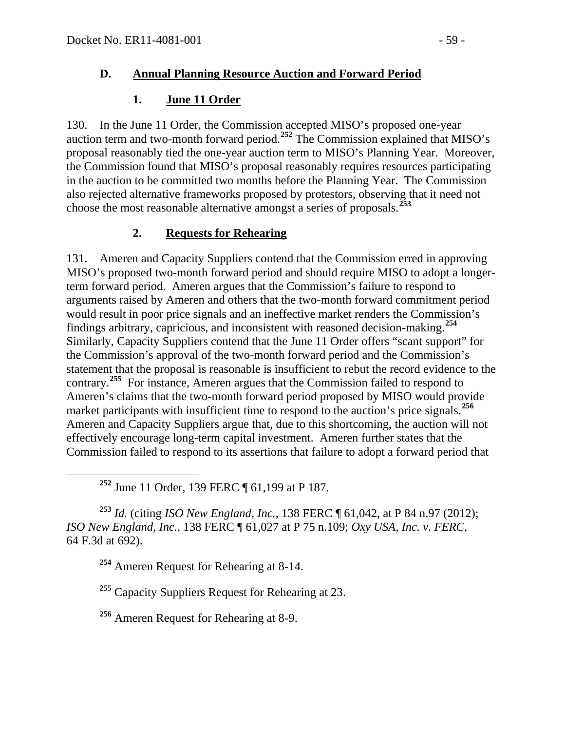#### **D. Annual Planning Resource Auction and Forward Period**

### **1. June 11 Order**

130. In the June 11 Order, the Commission accepted MISO's proposed one-year auction term and two-month forward period.**[252](#page-58-0)** The Commission explained that MISO's proposal reasonably tied the one-year auction term to MISO's Planning Year. Moreover, the Commission found that MISO's proposal reasonably requires resources participating in the auction to be committed two months before the Planning Year. The Commission also rejected alternative frameworks proposed by protestors, observing that it need not choose the most reasonable alternative amongst a series of proposals.**[253](#page-58-1)**

## **2. Requests for Rehearing**

131. Ameren and Capacity Suppliers contend that the Commission erred in approving MISO's proposed two-month forward period and should require MISO to adopt a longerterm forward period. Ameren argues that the Commission's failure to respond to arguments raised by Ameren and others that the two-month forward commitment period would result in poor price signals and an ineffective market renders the Commission's findings arbitrary, capricious, and inconsistent with reasoned decision-making.**[254](#page-58-2)** Similarly, Capacity Suppliers contend that the June 11 Order offers "scant support" for the Commission's approval of the two-month forward period and the Commission's statement that the proposal is reasonable is insufficient to rebut the record evidence to the contrary.**[255](#page-58-3)** For instance, Ameren argues that the Commission failed to respond to Ameren's claims that the two-month forward period proposed by MISO would provide market participants with insufficient time to respond to the auction's price signals.<sup>[256](#page-58-4)</sup> Ameren and Capacity Suppliers argue that, due to this shortcoming, the auction will not effectively encourage long-term capital investment. Ameren further states that the Commission failed to respond to its assertions that failure to adopt a forward period that

**<sup>252</sup>** June 11 Order, 139 FERC ¶ 61,199 at P 187.

<span id="page-58-2"></span><span id="page-58-1"></span><span id="page-58-0"></span>**<sup>253</sup>** *Id.* (citing *ISO New England, Inc.*, 138 FERC ¶ 61,042, at P 84 n.97 (2012); *ISO New England, Inc.*, 138 FERC ¶ 61,027 at P 75 n.109; *Oxy USA, Inc. v. FERC*, 64 F.3d at 692).

**<sup>254</sup>** Ameren Request for Rehearing at 8-14.

<span id="page-58-3"></span>**<sup>255</sup>** Capacity Suppliers Request for Rehearing at 23.

<span id="page-58-4"></span>**<sup>256</sup>** Ameren Request for Rehearing at 8-9.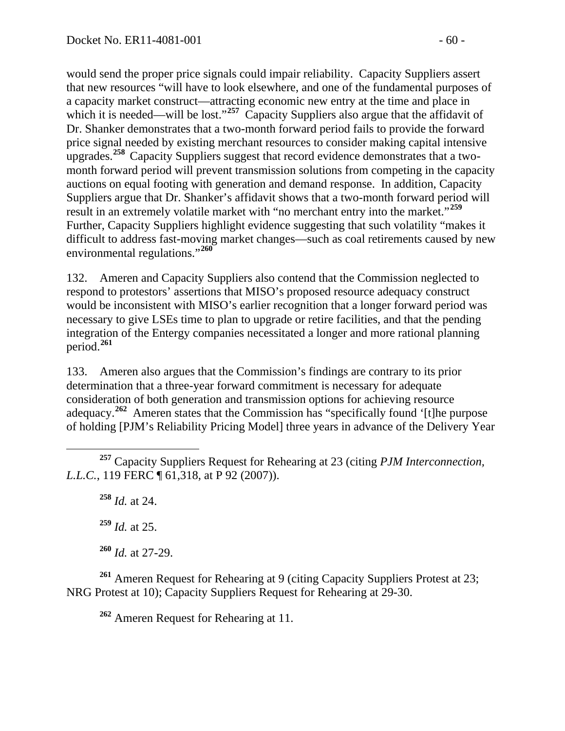would send the proper price signals could impair reliability. Capacity Suppliers assert that new resources "will have to look elsewhere, and one of the fundamental purposes of a capacity market construct—attracting economic new entry at the time and place in which it is needed—will be lost."<sup>[257](#page-59-0)</sup> Capacity Suppliers also argue that the affidavit of Dr. Shanker demonstrates that a two-month forward period fails to provide the forward price signal needed by existing merchant resources to consider making capital intensive upgrades.**[258](#page-59-1)** Capacity Suppliers suggest that record evidence demonstrates that a twomonth forward period will prevent transmission solutions from competing in the capacity auctions on equal footing with generation and demand response. In addition, Capacity Suppliers argue that Dr. Shanker's affidavit shows that a two-month forward period will result in an extremely volatile market with "no merchant entry into the market."**[259](#page-59-2)** Further, Capacity Suppliers highlight evidence suggesting that such volatility "makes it difficult to address fast-moving market changes—such as coal retirements caused by new environmental regulations."**[260](#page-59-3)**

132. Ameren and Capacity Suppliers also contend that the Commission neglected to respond to protestors' assertions that MISO's proposed resource adequacy construct would be inconsistent with MISO's earlier recognition that a longer forward period was necessary to give LSEs time to plan to upgrade or retire facilities, and that the pending integration of the Entergy companies necessitated a longer and more rational planning period.**[261](#page-59-4)**

133. Ameren also argues that the Commission's findings are contrary to its prior determination that a three-year forward commitment is necessary for adequate consideration of both generation and transmission options for achieving resource adequacy.<sup>[262](#page-59-5)</sup> Ameren states that the Commission has "specifically found '[t]he purpose of holding [PJM's Reliability Pricing Model] three years in advance of the Delivery Year

**<sup>258</sup>** *Id.* at 24.

**<sup>259</sup>** *Id.* at 25.

**<sup>260</sup>** *Id.* at 27-29.

<span id="page-59-5"></span><span id="page-59-4"></span><span id="page-59-3"></span><span id="page-59-2"></span>**<sup>261</sup>** Ameren Request for Rehearing at 9 (citing Capacity Suppliers Protest at 23; NRG Protest at 10); Capacity Suppliers Request for Rehearing at 29-30.

**<sup>262</sup>** Ameren Request for Rehearing at 11.

<span id="page-59-1"></span><span id="page-59-0"></span>**<sup>257</sup>** Capacity Suppliers Request for Rehearing at 23 (citing *PJM Interconnection, L.L.C.*, 119 FERC ¶ 61,318, at P 92 (2007)).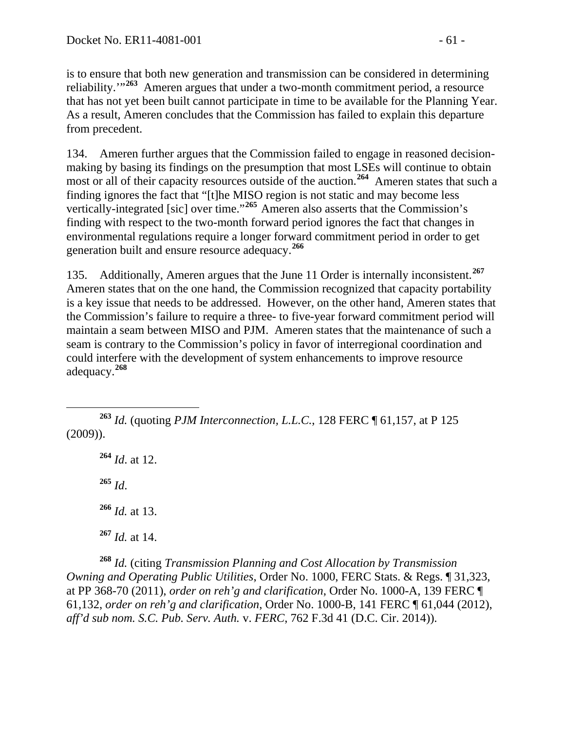is to ensure that both new generation and transmission can be considered in determining reliability.<sup>"[263](#page-60-0)</sup> Ameren argues that under a two-month commitment period, a resource that has not yet been built cannot participate in time to be available for the Planning Year. As a result, Ameren concludes that the Commission has failed to explain this departure from precedent.

134. Ameren further argues that the Commission failed to engage in reasoned decisionmaking by basing its findings on the presumption that most LSEs will continue to obtain most or all of their capacity resources outside of the auction.<sup>[264](#page-60-1)</sup> Ameren states that such a finding ignores the fact that "[t]he MISO region is not static and may become less vertically-integrated [sic] over time."**[265](#page-60-2)** Ameren also asserts that the Commission's finding with respect to the two-month forward period ignores the fact that changes in environmental regulations require a longer forward commitment period in order to get generation built and ensure resource adequacy.**[266](#page-60-3)**

135. Additionally, Ameren argues that the June 11 Order is internally inconsistent.**[267](#page-60-4)** Ameren states that on the one hand, the Commission recognized that capacity portability is a key issue that needs to be addressed. However, on the other hand, Ameren states that the Commission's failure to require a three- to five-year forward commitment period will maintain a seam between MISO and PJM. Ameren states that the maintenance of such a seam is contrary to the Commission's policy in favor of interregional coordination and could interfere with the development of system enhancements to improve resource adequacy.**[268](#page-60-5)**

<span id="page-60-2"></span><span id="page-60-1"></span><span id="page-60-0"></span> **<sup>263</sup>** *Id.* (quoting *PJM Interconnection, L.L.C.*, 128 FERC ¶ 61,157, at P 125 (2009)).

 *Id*. at 12. **<sup>265</sup>** *Id*. *Id.* at 13. *Id.* at 14.

<span id="page-60-5"></span><span id="page-60-4"></span><span id="page-60-3"></span>**<sup>268</sup>** *Id.* (citing *Transmission Planning and Cost Allocation by Transmission Owning and Operating Public Utilities*, Order No. 1000, FERC Stats. & Regs. ¶ 31,323, at PP 368-70 (2011), *order on reh'g and clarification*, Order No. 1000-A, 139 FERC ¶ 61,132, *order on reh'g and clarification*, Order No. 1000-B, 141 FERC ¶ 61,044 (2012), *aff'd sub nom. S.C. Pub. Serv. Auth.* v. *FERC*, 762 F.3d 41 (D.C. Cir. 2014)).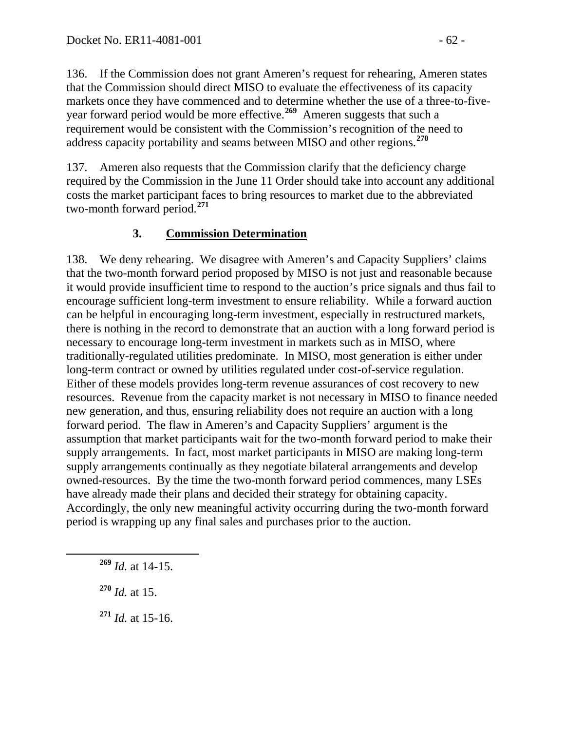136. If the Commission does not grant Ameren's request for rehearing, Ameren states that the Commission should direct MISO to evaluate the effectiveness of its capacity markets once they have commenced and to determine whether the use of a three-to-fiveyear forward period would be more effective.**[269](#page-61-0)** Ameren suggests that such a requirement would be consistent with the Commission's recognition of the need to address capacity portability and seams between MISO and other regions.**[270](#page-61-1)**

137. Ameren also requests that the Commission clarify that the deficiency charge required by the Commission in the June 11 Order should take into account any additional costs the market participant faces to bring resources to market due to the abbreviated two-month forward period.**[271](#page-61-2)**

## **3. Commission Determination**

138. We deny rehearing. We disagree with Ameren's and Capacity Suppliers' claims that the two-month forward period proposed by MISO is not just and reasonable because it would provide insufficient time to respond to the auction's price signals and thus fail to encourage sufficient long-term investment to ensure reliability. While a forward auction can be helpful in encouraging long-term investment, especially in restructured markets, there is nothing in the record to demonstrate that an auction with a long forward period is necessary to encourage long-term investment in markets such as in MISO, where traditionally-regulated utilities predominate. In MISO, most generation is either under long-term contract or owned by utilities regulated under cost-of-service regulation. Either of these models provides long-term revenue assurances of cost recovery to new resources. Revenue from the capacity market is not necessary in MISO to finance needed new generation, and thus, ensuring reliability does not require an auction with a long forward period. The flaw in Ameren's and Capacity Suppliers' argument is the assumption that market participants wait for the two-month forward period to make their supply arrangements. In fact, most market participants in MISO are making long-term supply arrangements continually as they negotiate bilateral arrangements and develop owned-resources. By the time the two-month forward period commences, many LSEs have already made their plans and decided their strategy for obtaining capacity. Accordingly, the only new meaningful activity occurring during the two-month forward period is wrapping up any final sales and purchases prior to the auction.

<span id="page-61-1"></span>**<sup>270</sup>** *Id.* at 15.

<span id="page-61-2"></span>**<sup>271</sup>** *Id.* at 15-16.

<span id="page-61-0"></span>**<sup>269</sup>** *Id.* at 14-15.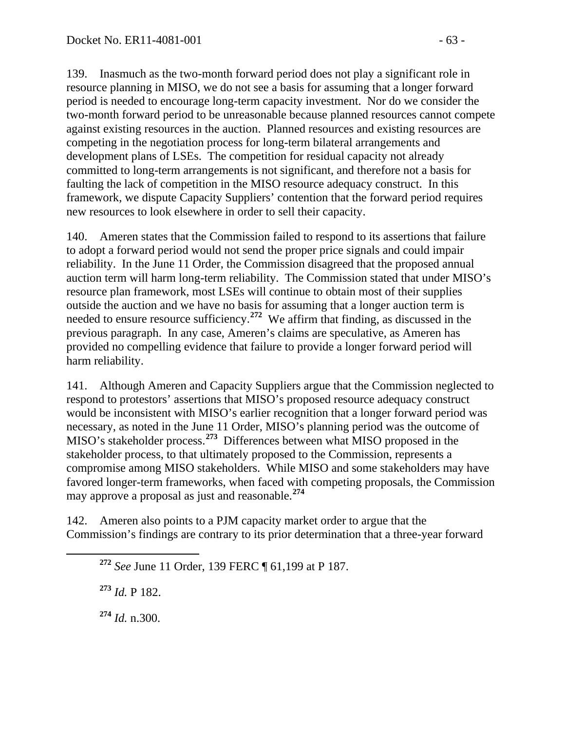139. Inasmuch as the two-month forward period does not play a significant role in resource planning in MISO, we do not see a basis for assuming that a longer forward period is needed to encourage long-term capacity investment. Nor do we consider the two-month forward period to be unreasonable because planned resources cannot compete against existing resources in the auction. Planned resources and existing resources are competing in the negotiation process for long-term bilateral arrangements and development plans of LSEs. The competition for residual capacity not already committed to long-term arrangements is not significant, and therefore not a basis for faulting the lack of competition in the MISO resource adequacy construct. In this framework, we dispute Capacity Suppliers' contention that the forward period requires new resources to look elsewhere in order to sell their capacity.

140. Ameren states that the Commission failed to respond to its assertions that failure to adopt a forward period would not send the proper price signals and could impair reliability. In the June 11 Order, the Commission disagreed that the proposed annual auction term will harm long-term reliability. The Commission stated that under MISO's resource plan framework, most LSEs will continue to obtain most of their supplies outside the auction and we have no basis for assuming that a longer auction term is needed to ensure resource sufficiency.**[272](#page-62-0)** We affirm that finding, as discussed in the previous paragraph. In any case, Ameren's claims are speculative, as Ameren has provided no compelling evidence that failure to provide a longer forward period will harm reliability.

141. Although Ameren and Capacity Suppliers argue that the Commission neglected to respond to protestors' assertions that MISO's proposed resource adequacy construct would be inconsistent with MISO's earlier recognition that a longer forward period was necessary, as noted in the June 11 Order, MISO's planning period was the outcome of MISO's stakeholder process.**[273](#page-62-1)** Differences between what MISO proposed in the stakeholder process, to that ultimately proposed to the Commission, represents a compromise among MISO stakeholders. While MISO and some stakeholders may have favored longer-term frameworks, when faced with competing proposals, the Commission may approve a proposal as just and reasonable.**[274](#page-62-2)**

<span id="page-62-1"></span><span id="page-62-0"></span>142. Ameren also points to a PJM capacity market order to argue that the Commission's findings are contrary to its prior determination that a three-year forward

**<sup>273</sup>** *Id.* P 182.

<span id="page-62-2"></span>**<sup>274</sup>** *Id.* n.300.

**<sup>272</sup>** *See* June 11 Order, 139 FERC ¶ 61,199 at P 187.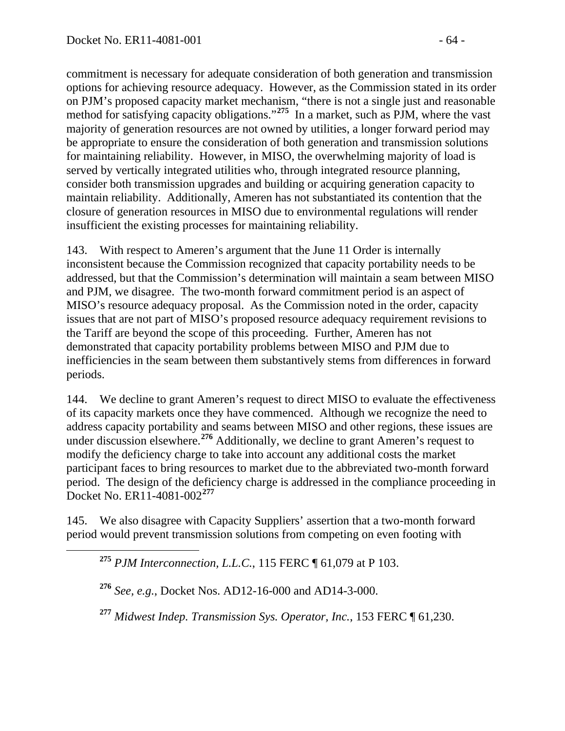commitment is necessary for adequate consideration of both generation and transmission options for achieving resource adequacy. However, as the Commission stated in its order on PJM's proposed capacity market mechanism, "there is not a single just and reasonable method for satisfying capacity obligations."<sup>[275](#page-63-0)</sup> In a market, such as PJM, where the vast majority of generation resources are not owned by utilities, a longer forward period may be appropriate to ensure the consideration of both generation and transmission solutions for maintaining reliability. However, in MISO, the overwhelming majority of load is served by vertically integrated utilities who, through integrated resource planning, consider both transmission upgrades and building or acquiring generation capacity to maintain reliability. Additionally, Ameren has not substantiated its contention that the closure of generation resources in MISO due to environmental regulations will render insufficient the existing processes for maintaining reliability.

143. With respect to Ameren's argument that the June 11 Order is internally inconsistent because the Commission recognized that capacity portability needs to be addressed, but that the Commission's determination will maintain a seam between MISO and PJM, we disagree. The two-month forward commitment period is an aspect of MISO's resource adequacy proposal. As the Commission noted in the order, capacity issues that are not part of MISO's proposed resource adequacy requirement revisions to the Tariff are beyond the scope of this proceeding. Further, Ameren has not demonstrated that capacity portability problems between MISO and PJM due to inefficiencies in the seam between them substantively stems from differences in forward periods.

144. We decline to grant Ameren's request to direct MISO to evaluate the effectiveness of its capacity markets once they have commenced. Although we recognize the need to address capacity portability and seams between MISO and other regions, these issues are under discussion elsewhere.**[276](#page-63-1)** Additionally, we decline to grant Ameren's request to modify the deficiency charge to take into account any additional costs the market participant faces to bring resources to market due to the abbreviated two-month forward period. The design of the deficiency charge is addressed in the compliance proceeding in Docket No. ER11-4081-002**[277](#page-63-2)**

<span id="page-63-1"></span><span id="page-63-0"></span>145. We also disagree with Capacity Suppliers' assertion that a two-month forward period would prevent transmission solutions from competing on even footing with

**<sup>275</sup>** *PJM Interconnection, L.L.C.*, 115 FERC ¶ 61,079 at P 103.

**<sup>276</sup>** *See, e.g.*, Docket Nos. AD12-16-000 and AD14-3-000.

<span id="page-63-2"></span>**<sup>277</sup>** *Midwest Indep. Transmission Sys. Operator, Inc.*, 153 FERC ¶ 61,230.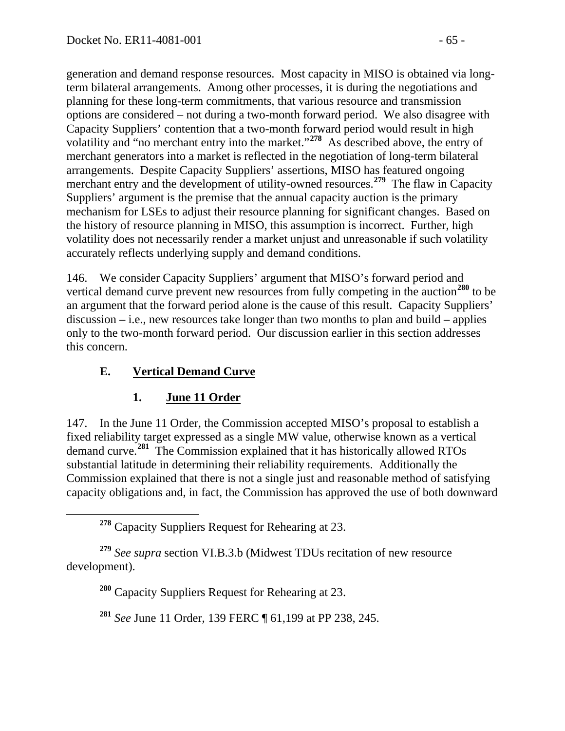generation and demand response resources. Most capacity in MISO is obtained via longterm bilateral arrangements. Among other processes, it is during the negotiations and planning for these long-term commitments, that various resource and transmission options are considered – not during a two-month forward period. We also disagree with Capacity Suppliers' contention that a two-month forward period would result in high volatility and "no merchant entry into the market."**[278](#page-64-0)** As described above, the entry of merchant generators into a market is reflected in the negotiation of long-term bilateral arrangements. Despite Capacity Suppliers' assertions, MISO has featured ongoing merchant entry and the development of utility-owned resources.<sup>[279](#page-64-1)</sup> The flaw in Capacity Suppliers' argument is the premise that the annual capacity auction is the primary mechanism for LSEs to adjust their resource planning for significant changes. Based on the history of resource planning in MISO, this assumption is incorrect. Further, high volatility does not necessarily render a market unjust and unreasonable if such volatility accurately reflects underlying supply and demand conditions.

146. We consider Capacity Suppliers' argument that MISO's forward period and vertical demand curve prevent new resources from fully competing in the auction**[280](#page-64-2)** to be an argument that the forward period alone is the cause of this result. Capacity Suppliers' discussion – i.e., new resources take longer than two months to plan and build – applies only to the two-month forward period. Our discussion earlier in this section addresses this concern.

## **E. Vertical Demand Curve**

#### **1. June 11 Order**

147. In the June 11 Order, the Commission accepted MISO's proposal to establish a fixed reliability target expressed as a single MW value, otherwise known as a vertical demand curve.**[281](#page-64-3)** The Commission explained that it has historically allowed RTOs substantial latitude in determining their reliability requirements. Additionally the Commission explained that there is not a single just and reasonable method of satisfying capacity obligations and, in fact, the Commission has approved the use of both downward

**<sup>278</sup>** Capacity Suppliers Request for Rehearing at 23.

<span id="page-64-3"></span><span id="page-64-2"></span><span id="page-64-1"></span><span id="page-64-0"></span>**<sup>279</sup>** *See supra* section VI.B.3.b (Midwest TDUs recitation of new resource development).

**<sup>280</sup>** Capacity Suppliers Request for Rehearing at 23.

**<sup>281</sup>** *See* June 11 Order, 139 FERC ¶ 61,199 at PP 238, 245.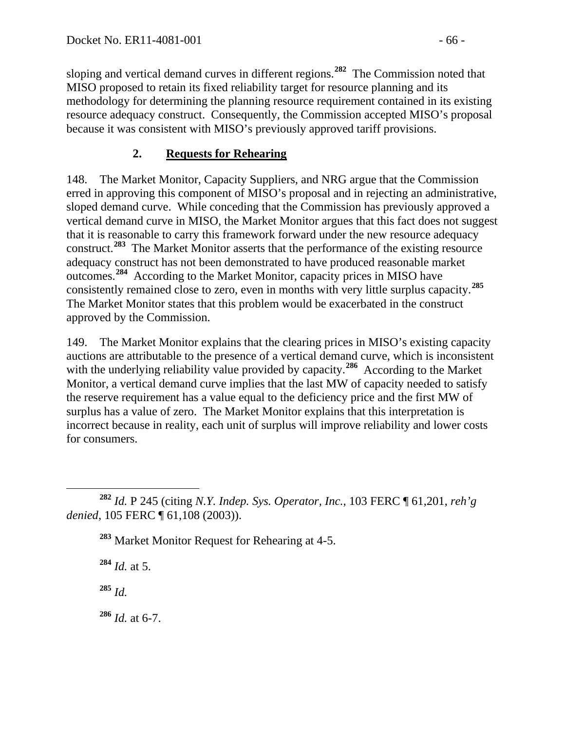sloping and vertical demand curves in different regions.**[282](#page-65-0)** The Commission noted that MISO proposed to retain its fixed reliability target for resource planning and its methodology for determining the planning resource requirement contained in its existing resource adequacy construct. Consequently, the Commission accepted MISO's proposal because it was consistent with MISO's previously approved tariff provisions.

## **2. Requests for Rehearing**

148. The Market Monitor, Capacity Suppliers, and NRG argue that the Commission erred in approving this component of MISO's proposal and in rejecting an administrative, sloped demand curve. While conceding that the Commission has previously approved a vertical demand curve in MISO, the Market Monitor argues that this fact does not suggest that it is reasonable to carry this framework forward under the new resource adequacy construct.**[283](#page-65-1)** The Market Monitor asserts that the performance of the existing resource adequacy construct has not been demonstrated to have produced reasonable market outcomes.**[284](#page-65-2)** According to the Market Monitor, capacity prices in MISO have consistently remained close to zero, even in months with very little surplus capacity.**[285](#page-65-3)** The Market Monitor states that this problem would be exacerbated in the construct approved by the Commission.

149. The Market Monitor explains that the clearing prices in MISO's existing capacity auctions are attributable to the presence of a vertical demand curve, which is inconsistent with the underlying reliability value provided by capacity.<sup>[286](#page-65-4)</sup> According to the Market Monitor, a vertical demand curve implies that the last MW of capacity needed to satisfy the reserve requirement has a value equal to the deficiency price and the first MW of surplus has a value of zero. The Market Monitor explains that this interpretation is incorrect because in reality, each unit of surplus will improve reliability and lower costs for consumers.

**<sup>283</sup>** Market Monitor Request for Rehearing at 4-5.

**<sup>284</sup>** *Id.* at 5.

<span id="page-65-3"></span>**<sup>285</sup>** *Id.*

<span id="page-65-4"></span>**<sup>286</sup>** *Id.* at 6-7.

<span id="page-65-2"></span><span id="page-65-1"></span><span id="page-65-0"></span>**<sup>282</sup>** *Id.* P 245 (citing *N.Y. Indep. Sys. Operator, Inc.*, 103 FERC ¶ 61,201, *reh'g denied*, 105 FERC ¶ 61,108 (2003)).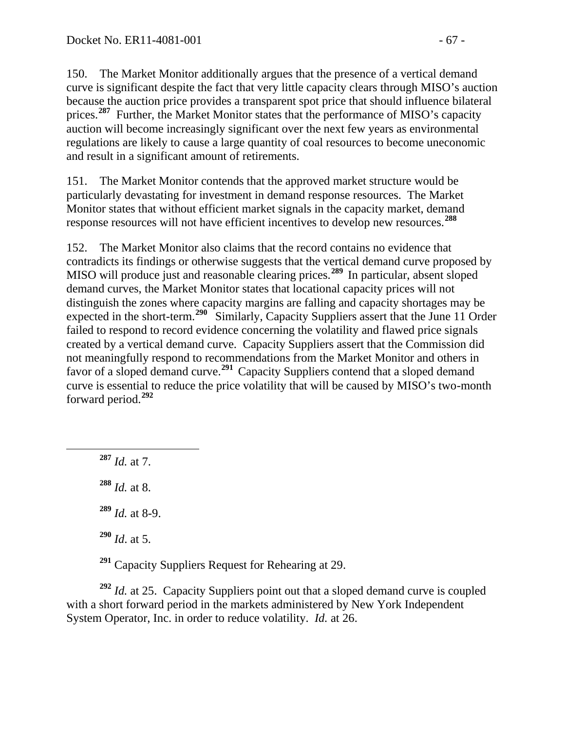150. The Market Monitor additionally argues that the presence of a vertical demand curve is significant despite the fact that very little capacity clears through MISO's auction because the auction price provides a transparent spot price that should influence bilateral prices.<sup>[287](#page-66-0)</sup> Further, the Market Monitor states that the performance of MISO's capacity auction will become increasingly significant over the next few years as environmental regulations are likely to cause a large quantity of coal resources to become uneconomic and result in a significant amount of retirements.

151. The Market Monitor contends that the approved market structure would be particularly devastating for investment in demand response resources. The Market Monitor states that without efficient market signals in the capacity market, demand response resources will not have efficient incentives to develop new resources.**[288](#page-66-1)**

152. The Market Monitor also claims that the record contains no evidence that contradicts its findings or otherwise suggests that the vertical demand curve proposed by MISO will produce just and reasonable clearing prices.<sup>[289](#page-66-2)</sup> In particular, absent sloped demand curves, the Market Monitor states that locational capacity prices will not distinguish the zones where capacity margins are falling and capacity shortages may be expected in the short-term.**[290](#page-66-3)** Similarly, Capacity Suppliers assert that the June 11 Order failed to respond to record evidence concerning the volatility and flawed price signals created by a vertical demand curve. Capacity Suppliers assert that the Commission did not meaningfully respond to recommendations from the Market Monitor and others in favor of a sloped demand curve.**[291](#page-66-4)** Capacity Suppliers contend that a sloped demand curve is essential to reduce the price volatility that will be caused by MISO's two-month forward period.**[292](#page-66-5)**

<span id="page-66-1"></span><span id="page-66-0"></span> **<sup>287</sup>** *Id.* at 7. *Id.* at 8. *Id.* at 8-9. *Id*. at 5.

**<sup>291</sup>** Capacity Suppliers Request for Rehearing at 29.

<span id="page-66-5"></span><span id="page-66-4"></span><span id="page-66-3"></span><span id="page-66-2"></span>**<sup>292</sup>** *Id.* at 25. Capacity Suppliers point out that a sloped demand curve is coupled with a short forward period in the markets administered by New York Independent System Operator, Inc. in order to reduce volatility. *Id.* at 26.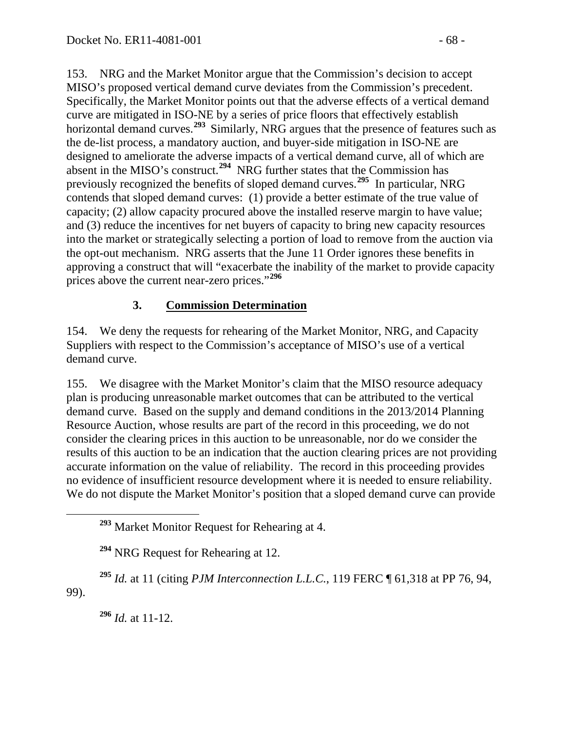153. NRG and the Market Monitor argue that the Commission's decision to accept MISO's proposed vertical demand curve deviates from the Commission's precedent. Specifically, the Market Monitor points out that the adverse effects of a vertical demand curve are mitigated in ISO-NE by a series of price floors that effectively establish horizontal demand curves.**[293](#page-67-0)** Similarly, NRG argues that the presence of features such as the de-list process, a mandatory auction, and buyer-side mitigation in ISO-NE are designed to ameliorate the adverse impacts of a vertical demand curve, all of which are absent in the MISO's construct.**[294](#page-67-1)** NRG further states that the Commission has previously recognized the benefits of sloped demand curves.**[295](#page-67-2)** In particular, NRG contends that sloped demand curves: (1) provide a better estimate of the true value of capacity; (2) allow capacity procured above the installed reserve margin to have value; and (3) reduce the incentives for net buyers of capacity to bring new capacity resources into the market or strategically selecting a portion of load to remove from the auction via the opt-out mechanism. NRG asserts that the June 11 Order ignores these benefits in approving a construct that will "exacerbate the inability of the market to provide capacity prices above the current near-zero prices."**[296](#page-67-3)**

#### **3. Commission Determination**

154. We deny the requests for rehearing of the Market Monitor, NRG, and Capacity Suppliers with respect to the Commission's acceptance of MISO's use of a vertical demand curve.

155. We disagree with the Market Monitor's claim that the MISO resource adequacy plan is producing unreasonable market outcomes that can be attributed to the vertical demand curve. Based on the supply and demand conditions in the 2013/2014 Planning Resource Auction, whose results are part of the record in this proceeding, we do not consider the clearing prices in this auction to be unreasonable, nor do we consider the results of this auction to be an indication that the auction clearing prices are not providing accurate information on the value of reliability. The record in this proceeding provides no evidence of insufficient resource development where it is needed to ensure reliability. We do not dispute the Market Monitor's position that a sloped demand curve can provide

**<sup>294</sup>** NRG Request for Rehearing at 12.

<span id="page-67-3"></span><span id="page-67-2"></span><span id="page-67-1"></span><span id="page-67-0"></span>**<sup>295</sup>** *Id.* at 11 (citing *PJM Interconnection L.L.C.*, 119 FERC ¶ 61,318 at PP 76, 94, 99).

**<sup>296</sup>** *Id.* at 11-12.

**<sup>293</sup>** Market Monitor Request for Rehearing at 4.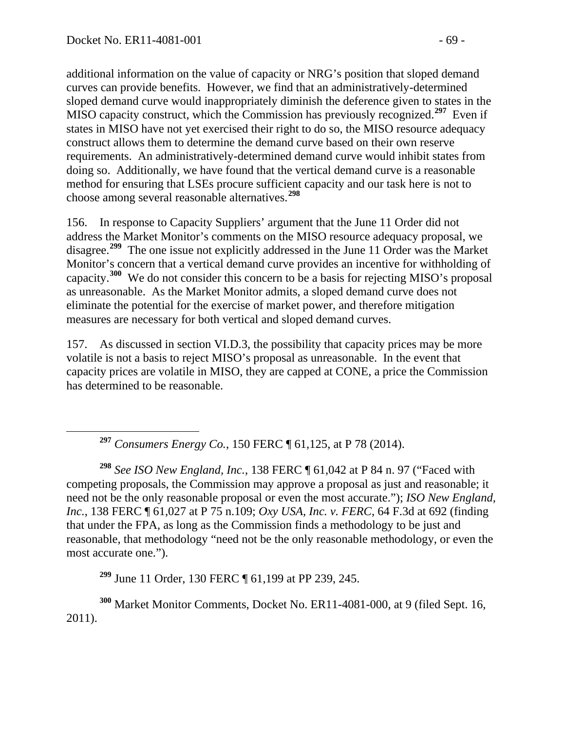additional information on the value of capacity or NRG's position that sloped demand curves can provide benefits. However, we find that an administratively-determined sloped demand curve would inappropriately diminish the deference given to states in the MISO capacity construct, which the Commission has previously recognized. **[297](#page-68-0)** Even if states in MISO have not yet exercised their right to do so, the MISO resource adequacy construct allows them to determine the demand curve based on their own reserve requirements. An administratively-determined demand curve would inhibit states from doing so. Additionally, we have found that the vertical demand curve is a reasonable method for ensuring that LSEs procure sufficient capacity and our task here is not to choose among several reasonable alternatives.**[298](#page-68-1)**

156. In response to Capacity Suppliers' argument that the June 11 Order did not address the Market Monitor's comments on the MISO resource adequacy proposal, we disagree.**[299](#page-68-2)** The one issue not explicitly addressed in the June 11 Order was the Market Monitor's concern that a vertical demand curve provides an incentive for withholding of capacity.**[300](#page-68-3)** We do not consider this concern to be a basis for rejecting MISO's proposal as unreasonable. As the Market Monitor admits, a sloped demand curve does not eliminate the potential for the exercise of market power, and therefore mitigation measures are necessary for both vertical and sloped demand curves.

157. As discussed in section VI.D.3, the possibility that capacity prices may be more volatile is not a basis to reject MISO's proposal as unreasonable. In the event that capacity prices are volatile in MISO, they are capped at CONE, a price the Commission has determined to be reasonable.

**<sup>297</sup>** *Consumers Energy Co.*, 150 FERC ¶ 61,125, at P 78 (2014).

<span id="page-68-1"></span><span id="page-68-0"></span>**<sup>298</sup>** *See ISO New England, Inc.*, 138 FERC ¶ 61,042 at P 84 n. 97 ("Faced with competing proposals, the Commission may approve a proposal as just and reasonable; it need not be the only reasonable proposal or even the most accurate."); *ISO New England, Inc.*, 138 FERC ¶ 61,027 at P 75 n.109; *Oxy USA, Inc. v. FERC*, 64 F.3d at 692 (finding that under the FPA, as long as the Commission finds a methodology to be just and reasonable, that methodology "need not be the only reasonable methodology, or even the most accurate one.").

**<sup>299</sup>** June 11 Order, 130 FERC ¶ 61,199 at PP 239, 245.

<span id="page-68-3"></span><span id="page-68-2"></span>**<sup>300</sup>** Market Monitor Comments, Docket No. ER11-4081-000, at 9 (filed Sept. 16, 2011).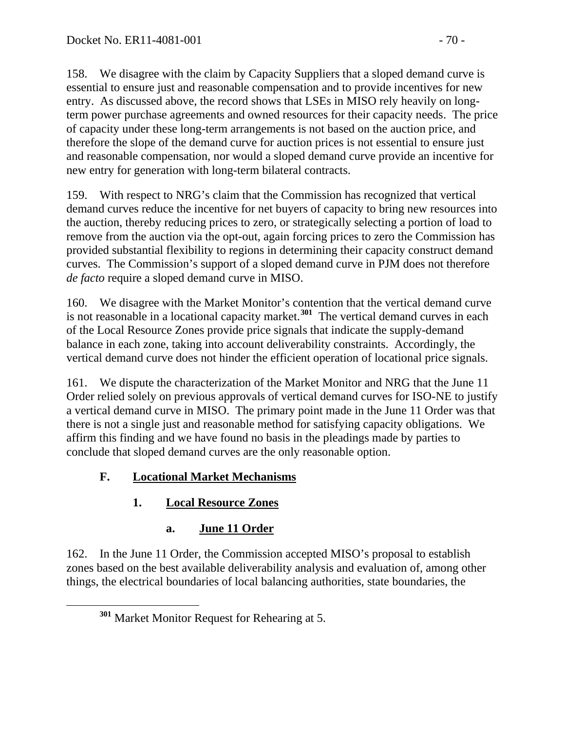158. We disagree with the claim by Capacity Suppliers that a sloped demand curve is essential to ensure just and reasonable compensation and to provide incentives for new entry. As discussed above, the record shows that LSEs in MISO rely heavily on longterm power purchase agreements and owned resources for their capacity needs. The price of capacity under these long-term arrangements is not based on the auction price, and therefore the slope of the demand curve for auction prices is not essential to ensure just and reasonable compensation, nor would a sloped demand curve provide an incentive for new entry for generation with long-term bilateral contracts.

159. With respect to NRG's claim that the Commission has recognized that vertical demand curves reduce the incentive for net buyers of capacity to bring new resources into the auction, thereby reducing prices to zero, or strategically selecting a portion of load to remove from the auction via the opt-out, again forcing prices to zero the Commission has provided substantial flexibility to regions in determining their capacity construct demand curves. The Commission's support of a sloped demand curve in PJM does not therefore *de facto* require a sloped demand curve in MISO.

160. We disagree with the Market Monitor's contention that the vertical demand curve is not reasonable in a locational capacity market.**[301](#page-69-0)** The vertical demand curves in each of the Local Resource Zones provide price signals that indicate the supply-demand balance in each zone, taking into account deliverability constraints. Accordingly, the vertical demand curve does not hinder the efficient operation of locational price signals.

161. We dispute the characterization of the Market Monitor and NRG that the June 11 Order relied solely on previous approvals of vertical demand curves for ISO-NE to justify a vertical demand curve in MISO. The primary point made in the June 11 Order was that there is not a single just and reasonable method for satisfying capacity obligations. We affirm this finding and we have found no basis in the pleadings made by parties to conclude that sloped demand curves are the only reasonable option.

## **F. Locational Market Mechanisms**

# **1. Local Resource Zones**

# **a. June 11 Order**

<span id="page-69-0"></span>162. In the June 11 Order, the Commission accepted MISO's proposal to establish zones based on the best available deliverability analysis and evaluation of, among other things, the electrical boundaries of local balancing authorities, state boundaries, the

**<sup>301</sup>** Market Monitor Request for Rehearing at 5.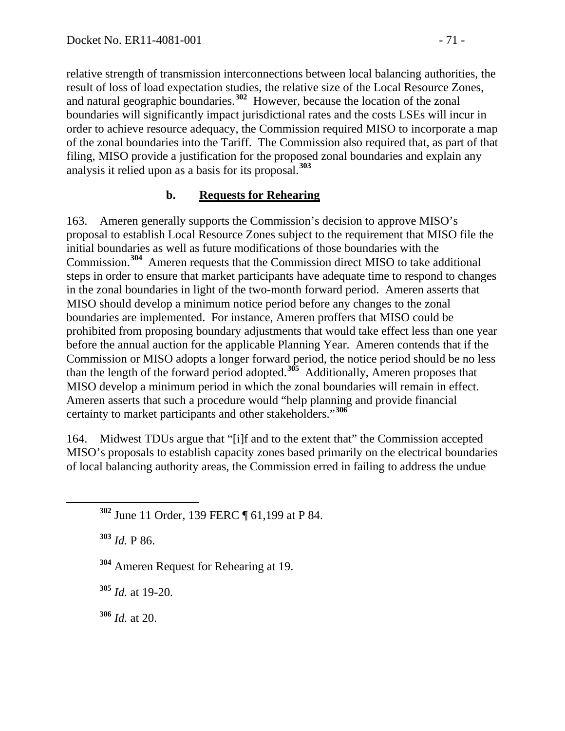relative strength of transmission interconnections between local balancing authorities, the result of loss of load expectation studies, the relative size of the Local Resource Zones, and natural geographic boundaries.**[302](#page-70-0)** However, because the location of the zonal boundaries will significantly impact jurisdictional rates and the costs LSEs will incur in order to achieve resource adequacy, the Commission required MISO to incorporate a map of the zonal boundaries into the Tariff. The Commission also required that, as part of that filing, MISO provide a justification for the proposed zonal boundaries and explain any analysis it relied upon as a basis for its proposal.**[303](#page-70-1)**

#### **b. Requests for Rehearing**

163. Ameren generally supports the Commission's decision to approve MISO's proposal to establish Local Resource Zones subject to the requirement that MISO file the initial boundaries as well as future modifications of those boundaries with the Commission.**[304](#page-70-2)** Ameren requests that the Commission direct MISO to take additional steps in order to ensure that market participants have adequate time to respond to changes in the zonal boundaries in light of the two-month forward period. Ameren asserts that MISO should develop a minimum notice period before any changes to the zonal boundaries are implemented. For instance, Ameren proffers that MISO could be prohibited from proposing boundary adjustments that would take effect less than one year before the annual auction for the applicable Planning Year. Ameren contends that if the Commission or MISO adopts a longer forward period, the notice period should be no less than the length of the forward period adopted.**[305](#page-70-3)** Additionally, Ameren proposes that MISO develop a minimum period in which the zonal boundaries will remain in effect. Ameren asserts that such a procedure would "help planning and provide financial certainty to market participants and other stakeholders."**[306](#page-70-4)**

164. Midwest TDUs argue that "[i]f and to the extent that" the Commission accepted MISO's proposals to establish capacity zones based primarily on the electrical boundaries of local balancing authority areas, the Commission erred in failing to address the undue

<span id="page-70-1"></span>**<sup>303</sup>** *Id.* P 86.

<span id="page-70-2"></span>**<sup>304</sup>** Ameren Request for Rehearing at 19.

<span id="page-70-3"></span>**<sup>305</sup>** *Id.* at 19-20.

<span id="page-70-4"></span>**<sup>306</sup>** *Id.* at 20.

<span id="page-70-0"></span>**<sup>302</sup>** June 11 Order, 139 FERC ¶ 61,199 at P 84.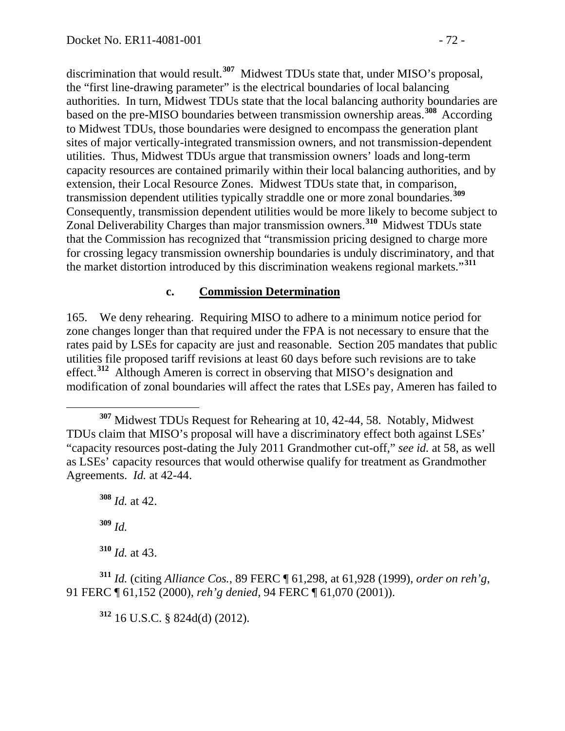discrimination that would result.**[307](#page-71-0)** Midwest TDUs state that, under MISO's proposal, the "first line-drawing parameter" is the electrical boundaries of local balancing authorities. In turn, Midwest TDUs state that the local balancing authority boundaries are based on the pre-MISO boundaries between transmission ownership areas.**[308](#page-71-1)** According to Midwest TDUs, those boundaries were designed to encompass the generation plant sites of major vertically-integrated transmission owners, and not transmission-dependent utilities. Thus, Midwest TDUs argue that transmission owners' loads and long-term capacity resources are contained primarily within their local balancing authorities, and by extension, their Local Resource Zones. Midwest TDUs state that, in comparison, transmission dependent utilities typically straddle one or more zonal boundaries.**[309](#page-71-2)** Consequently, transmission dependent utilities would be more likely to become subject to Zonal Deliverability Charges than major transmission owners.**[310](#page-71-3)** Midwest TDUs state that the Commission has recognized that "transmission pricing designed to charge more for crossing legacy transmission ownership boundaries is unduly discriminatory, and that the market distortion introduced by this discrimination weakens regional markets."**[311](#page-71-4)**

#### **c. Commission Determination**

165. We deny rehearing. Requiring MISO to adhere to a minimum notice period for zone changes longer than that required under the FPA is not necessary to ensure that the rates paid by LSEs for capacity are just and reasonable. Section 205 mandates that public utilities file proposed tariff revisions at least 60 days before such revisions are to take effect.**[312](#page-71-5)** Although Ameren is correct in observing that MISO's designation and modification of zonal boundaries will affect the rates that LSEs pay, Ameren has failed to

<span id="page-71-1"></span>**<sup>308</sup>** *Id.* at 42.

**<sup>309</sup>** *Id.*

**<sup>310</sup>** *Id.* at 43.

<span id="page-71-5"></span><span id="page-71-4"></span><span id="page-71-3"></span><span id="page-71-2"></span>**<sup>311</sup>** *Id.* (citing *Alliance Cos.*, 89 FERC ¶ 61,298, at 61,928 (1999), *order on reh'g*, 91 FERC ¶ 61,152 (2000), *reh'g denied*, 94 FERC ¶ 61,070 (2001)).

**<sup>312</sup>** 16 U.S.C. § 824d(d) (2012).

<span id="page-71-0"></span>**<sup>307</sup>** Midwest TDUs Request for Rehearing at 10, 42-44, 58. Notably, Midwest TDUs claim that MISO's proposal will have a discriminatory effect both against LSEs' "capacity resources post-dating the July 2011 Grandmother cut-off," *see id.* at 58, as well as LSEs' capacity resources that would otherwise qualify for treatment as Grandmother Agreements. *Id.* at 42-44.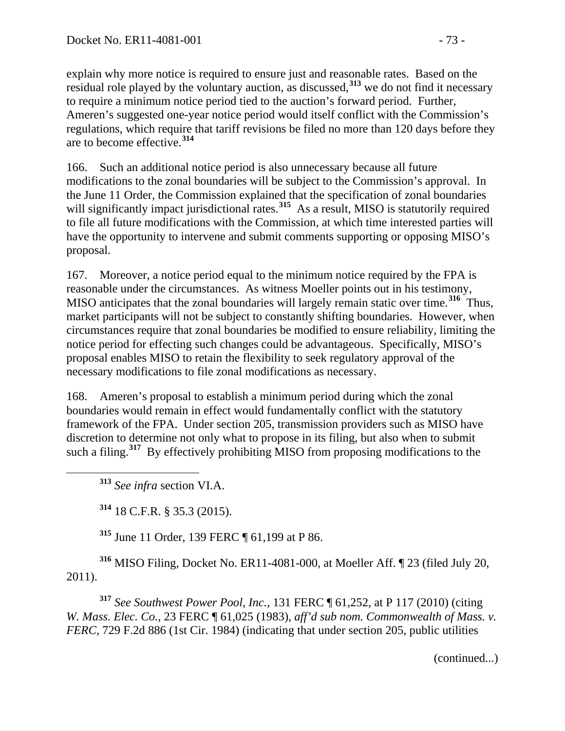explain why more notice is required to ensure just and reasonable rates. Based on the residual role played by the voluntary auction, as discussed,**[313](#page-72-0)** we do not find it necessary to require a minimum notice period tied to the auction's forward period. Further, Ameren's suggested one-year notice period would itself conflict with the Commission's regulations, which require that tariff revisions be filed no more than 120 days before they are to become effective.**[314](#page-72-1)**

166. Such an additional notice period is also unnecessary because all future modifications to the zonal boundaries will be subject to the Commission's approval. In the June 11 Order, the Commission explained that the specification of zonal boundaries will significantly impact jurisdictional rates.<sup>[315](#page-72-2)</sup> As a result, MISO is statutorily required to file all future modifications with the Commission, at which time interested parties will have the opportunity to intervene and submit comments supporting or opposing MISO's proposal.

167. Moreover, a notice period equal to the minimum notice required by the FPA is reasonable under the circumstances. As witness Moeller points out in his testimony, MISO anticipates that the zonal boundaries will largely remain static over time.**[316](#page-72-3)** Thus, market participants will not be subject to constantly shifting boundaries. However, when circumstances require that zonal boundaries be modified to ensure reliability, limiting the notice period for effecting such changes could be advantageous. Specifically, MISO's proposal enables MISO to retain the flexibility to seek regulatory approval of the necessary modifications to file zonal modifications as necessary.

168. Ameren's proposal to establish a minimum period during which the zonal boundaries would remain in effect would fundamentally conflict with the statutory framework of the FPA. Under section 205, transmission providers such as MISO have discretion to determine not only what to propose in its filing, but also when to submit such a filing.<sup>[317](#page-72-4)</sup> By effectively prohibiting MISO from proposing modifications to the

<span id="page-72-0"></span>**<sup>313</sup>** *See infra* section VI.A.

**<sup>314</sup>** 18 C.F.R. § 35.3 (2015).

**<sup>315</sup>** June 11 Order, 139 FERC ¶ 61,199 at P 86.

<span id="page-72-3"></span><span id="page-72-2"></span><span id="page-72-1"></span>**<sup>316</sup>** MISO Filing, Docket No. ER11-4081-000, at Moeller Aff. ¶ 23 (filed July 20, 2011).

<span id="page-72-4"></span>**<sup>317</sup>** *See Southwest Power Pool, Inc.*, 131 FERC ¶ 61,252, at P 117 (2010) (citing *W. Mass. Elec. Co.*, 23 FERC ¶ 61,025 (1983), *aff'd sub nom. Commonwealth of Mass. v. FERC*, 729 F.2d 886 (1st Cir. 1984) (indicating that under section 205, public utilities

(continued...)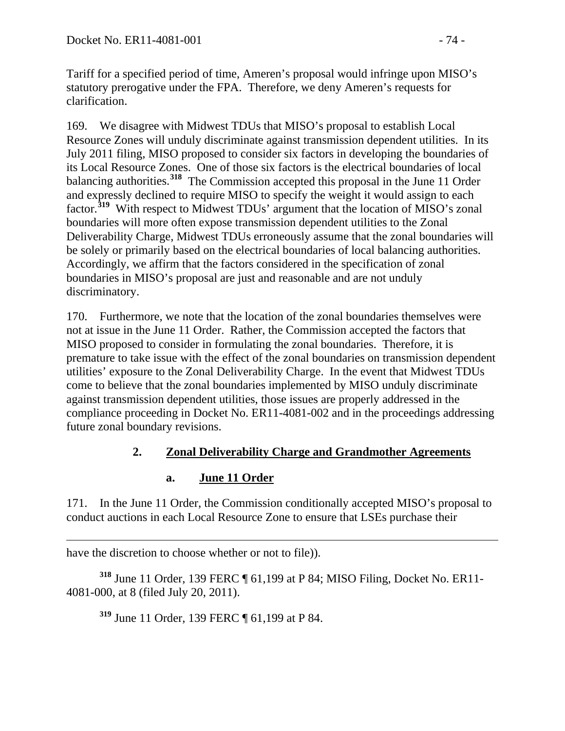Tariff for a specified period of time, Ameren's proposal would infringe upon MISO's statutory prerogative under the FPA. Therefore, we deny Ameren's requests for clarification.

169. We disagree with Midwest TDUs that MISO's proposal to establish Local Resource Zones will unduly discriminate against transmission dependent utilities. In its July 2011 filing, MISO proposed to consider six factors in developing the boundaries of its Local Resource Zones. One of those six factors is the electrical boundaries of local balancing authorities.**[318](#page-73-0)** The Commission accepted this proposal in the June 11 Order and expressly declined to require MISO to specify the weight it would assign to each factor.**[319](#page-73-1)** With respect to Midwest TDUs' argument that the location of MISO's zonal boundaries will more often expose transmission dependent utilities to the Zonal Deliverability Charge, Midwest TDUs erroneously assume that the zonal boundaries will be solely or primarily based on the electrical boundaries of local balancing authorities. Accordingly, we affirm that the factors considered in the specification of zonal boundaries in MISO's proposal are just and reasonable and are not unduly discriminatory.

170. Furthermore, we note that the location of the zonal boundaries themselves were not at issue in the June 11 Order. Rather, the Commission accepted the factors that MISO proposed to consider in formulating the zonal boundaries. Therefore, it is premature to take issue with the effect of the zonal boundaries on transmission dependent utilities' exposure to the Zonal Deliverability Charge. In the event that Midwest TDUs come to believe that the zonal boundaries implemented by MISO unduly discriminate against transmission dependent utilities, those issues are properly addressed in the compliance proceeding in Docket No. ER11-4081-002 and in the proceedings addressing future zonal boundary revisions.

### **2. Zonal Deliverability Charge and Grandmother Agreements**

#### **a. June 11 Order**

171. In the June 11 Order, the Commission conditionally accepted MISO's proposal to conduct auctions in each Local Resource Zone to ensure that LSEs purchase their

 $\overline{a}$ have the discretion to choose whether or not to file)).

<span id="page-73-1"></span><span id="page-73-0"></span>**<sup>318</sup>** June 11 Order, 139 FERC ¶ 61,199 at P 84; MISO Filing, Docket No. ER11- 4081-000, at 8 (filed July 20, 2011).

**<sup>319</sup>** June 11 Order, 139 FERC ¶ 61,199 at P 84.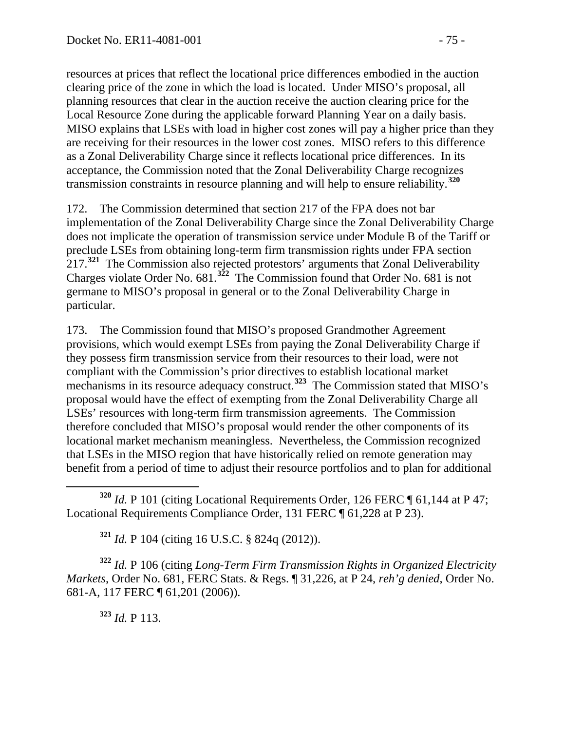resources at prices that reflect the locational price differences embodied in the auction clearing price of the zone in which the load is located. Under MISO's proposal, all planning resources that clear in the auction receive the auction clearing price for the Local Resource Zone during the applicable forward Planning Year on a daily basis. MISO explains that LSEs with load in higher cost zones will pay a higher price than they are receiving for their resources in the lower cost zones. MISO refers to this difference as a Zonal Deliverability Charge since it reflects locational price differences. In its acceptance, the Commission noted that the Zonal Deliverability Charge recognizes transmission constraints in resource planning and will help to ensure reliability.**[320](#page-74-0)**

172. The Commission determined that section 217 of the FPA does not bar implementation of the Zonal Deliverability Charge since the Zonal Deliverability Charge does not implicate the operation of transmission service under Module B of the Tariff or preclude LSEs from obtaining long-term firm transmission rights under FPA section 217.**[321](#page-74-1)** The Commission also rejected protestors' arguments that Zonal Deliverability Charges violate Order No. 681.**[322](#page-74-2)** The Commission found that Order No. 681 is not germane to MISO's proposal in general or to the Zonal Deliverability Charge in particular.

173. The Commission found that MISO's proposed Grandmother Agreement provisions, which would exempt LSEs from paying the Zonal Deliverability Charge if they possess firm transmission service from their resources to their load, were not compliant with the Commission's prior directives to establish locational market mechanisms in its resource adequacy construct.**[323](#page-74-3)** The Commission stated that MISO's proposal would have the effect of exempting from the Zonal Deliverability Charge all LSEs' resources with long-term firm transmission agreements. The Commission therefore concluded that MISO's proposal would render the other components of its locational market mechanism meaningless. Nevertheless, the Commission recognized that LSEs in the MISO region that have historically relied on remote generation may benefit from a period of time to adjust their resource portfolios and to plan for additional

<span id="page-74-0"></span> **<sup>320</sup>** *Id.* P 101 (citing Locational Requirements Order, 126 FERC ¶ 61,144 at P 47; Locational Requirements Compliance Order, 131 FERC ¶ 61,228 at P 23).

**<sup>321</sup>** *Id.* P 104 (citing 16 U.S.C. § 824q (2012)).

<span id="page-74-3"></span><span id="page-74-2"></span><span id="page-74-1"></span>**<sup>322</sup>** *Id.* P 106 (citing *Long-Term Firm Transmission Rights in Organized Electricity Markets*, Order No. 681, FERC Stats. & Regs. ¶ 31,226, at P 24, *reh'g denied*, Order No. 681-A, 117 FERC ¶ 61,201 (2006)).

**<sup>323</sup>** *Id.* P 113.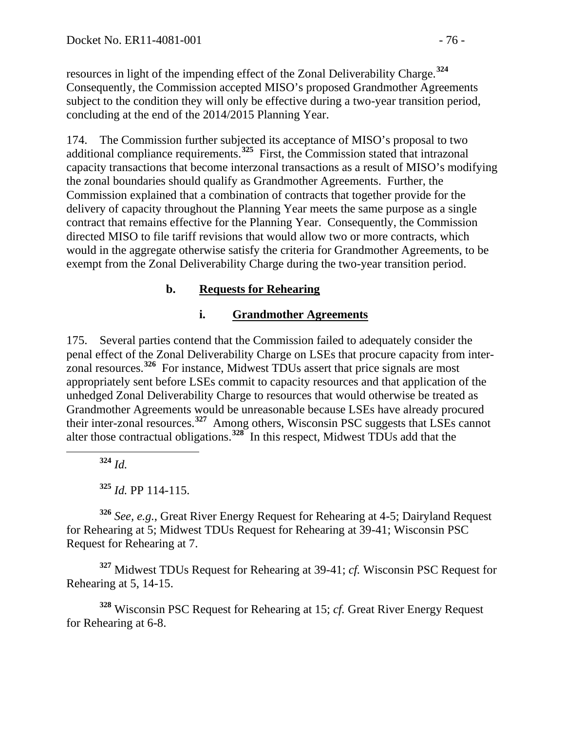resources in light of the impending effect of the Zonal Deliverability Charge.**[324](#page-75-0)** Consequently, the Commission accepted MISO's proposed Grandmother Agreements subject to the condition they will only be effective during a two-year transition period, concluding at the end of the 2014/2015 Planning Year.

174. The Commission further subjected its acceptance of MISO's proposal to two additional compliance requirements.<sup>[325](#page-75-1)</sup> First, the Commission stated that intrazonal capacity transactions that become interzonal transactions as a result of MISO's modifying the zonal boundaries should qualify as Grandmother Agreements. Further, the Commission explained that a combination of contracts that together provide for the delivery of capacity throughout the Planning Year meets the same purpose as a single contract that remains effective for the Planning Year. Consequently, the Commission directed MISO to file tariff revisions that would allow two or more contracts, which would in the aggregate otherwise satisfy the criteria for Grandmother Agreements, to be exempt from the Zonal Deliverability Charge during the two-year transition period.

### **b. Requests for Rehearing**

### **i. Grandmother Agreements**

175. Several parties contend that the Commission failed to adequately consider the penal effect of the Zonal Deliverability Charge on LSEs that procure capacity from interzonal resources.**[326](#page-75-2)** For instance, Midwest TDUs assert that price signals are most appropriately sent before LSEs commit to capacity resources and that application of the unhedged Zonal Deliverability Charge to resources that would otherwise be treated as Grandmother Agreements would be unreasonable because LSEs have already procured their inter-zonal resources.**[327](#page-75-3)** Among others, Wisconsin PSC suggests that LSEs cannot alter those contractual obligations.**[328](#page-75-4)** In this respect, Midwest TDUs add that the

**<sup>324</sup>** *Id.*

**<sup>325</sup>** *Id.* PP 114-115.

<span id="page-75-2"></span><span id="page-75-1"></span><span id="page-75-0"></span>**<sup>326</sup>** *See, e.g.*, Great River Energy Request for Rehearing at 4-5; Dairyland Request for Rehearing at 5; Midwest TDUs Request for Rehearing at 39-41; Wisconsin PSC Request for Rehearing at 7.

<span id="page-75-3"></span>**<sup>327</sup>** Midwest TDUs Request for Rehearing at 39-41; *cf.* Wisconsin PSC Request for Rehearing at 5, 14-15.

<span id="page-75-4"></span>**<sup>328</sup>** Wisconsin PSC Request for Rehearing at 15; *cf.* Great River Energy Request for Rehearing at 6-8.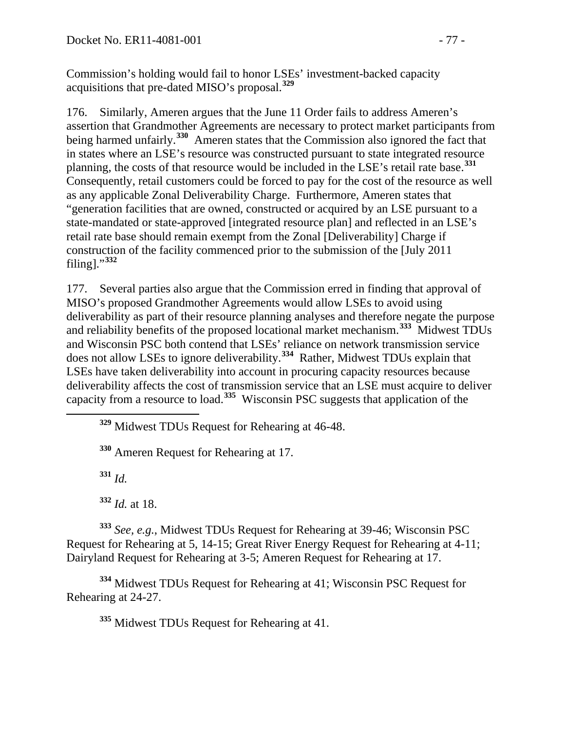Commission's holding would fail to honor LSEs' investment-backed capacity acquisitions that pre-dated MISO's proposal.**[329](#page-76-0)**

176. Similarly, Ameren argues that the June 11 Order fails to address Ameren's assertion that Grandmother Agreements are necessary to protect market participants from being harmed unfairly.**[330](#page-76-1)** Ameren states that the Commission also ignored the fact that in states where an LSE's resource was constructed pursuant to state integrated resource planning, the costs of that resource would be included in the LSE's retail rate base. **[331](#page-76-2)** Consequently, retail customers could be forced to pay for the cost of the resource as well as any applicable Zonal Deliverability Charge. Furthermore, Ameren states that "generation facilities that are owned, constructed or acquired by an LSE pursuant to a state-mandated or state-approved [integrated resource plan] and reflected in an LSE's retail rate base should remain exempt from the Zonal [Deliverability] Charge if construction of the facility commenced prior to the submission of the [July 2011 filing]."<sup>[332](#page-76-3)</sup>

177. Several parties also argue that the Commission erred in finding that approval of MISO's proposed Grandmother Agreements would allow LSEs to avoid using deliverability as part of their resource planning analyses and therefore negate the purpose and reliability benefits of the proposed locational market mechanism.**[333](#page-76-4)** Midwest TDUs and Wisconsin PSC both contend that LSEs' reliance on network transmission service does not allow LSEs to ignore deliverability.**[334](#page-76-5)** Rather, Midwest TDUs explain that LSEs have taken deliverability into account in procuring capacity resources because deliverability affects the cost of transmission service that an LSE must acquire to deliver capacity from a resource to load.**[335](#page-76-6)** Wisconsin PSC suggests that application of the

<span id="page-76-0"></span>**<sup>329</sup>** Midwest TDUs Request for Rehearing at 46-48.

<span id="page-76-1"></span>**<sup>330</sup>** Ameren Request for Rehearing at 17.

**<sup>331</sup>** *Id.*

**<sup>332</sup>** *Id.* at 18.

<span id="page-76-4"></span><span id="page-76-3"></span><span id="page-76-2"></span>**<sup>333</sup>** *See, e.g.*, Midwest TDUs Request for Rehearing at 39-46; Wisconsin PSC Request for Rehearing at 5, 14-15; Great River Energy Request for Rehearing at 4-11; Dairyland Request for Rehearing at 3-5; Ameren Request for Rehearing at 17.

<span id="page-76-6"></span><span id="page-76-5"></span>**<sup>334</sup>** Midwest TDUs Request for Rehearing at 41; Wisconsin PSC Request for Rehearing at 24-27.

**<sup>335</sup>** Midwest TDUs Request for Rehearing at 41.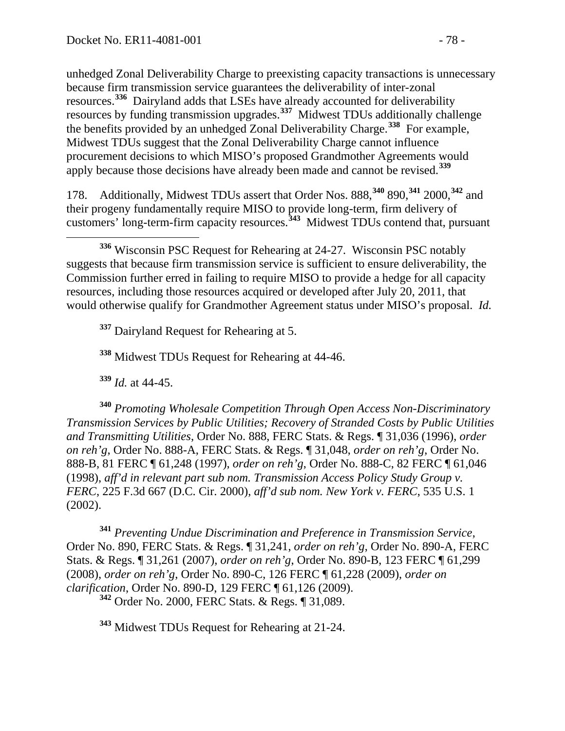unhedged Zonal Deliverability Charge to preexisting capacity transactions is unnecessary because firm transmission service guarantees the deliverability of inter-zonal resources.**[336](#page-77-0)** Dairyland adds that LSEs have already accounted for deliverability resources by funding transmission upgrades.**[337](#page-77-1)** Midwest TDUs additionally challenge the benefits provided by an unhedged Zonal Deliverability Charge.**[338](#page-77-2)** For example, Midwest TDUs suggest that the Zonal Deliverability Charge cannot influence procurement decisions to which MISO's proposed Grandmother Agreements would apply because those decisions have already been made and cannot be revised.**[339](#page-77-3)**

178. Additionally, Midwest TDUs assert that Order Nos. 888,**[340](#page-77-4)** 890,**[341](#page-77-5)** 2000,**[342](#page-77-6)** and their progeny fundamentally require MISO to provide long-term, firm delivery of customers' long-term-firm capacity resources.**[343](#page-77-7)** Midwest TDUs contend that, pursuant

<span id="page-77-1"></span><sup>337</sup> Dairyland Request for Rehearing at 5.

**<sup>338</sup>** Midwest TDUs Request for Rehearing at 44-46.

**<sup>339</sup>** *Id.* at 44-45.

<span id="page-77-4"></span><span id="page-77-3"></span><span id="page-77-2"></span>**<sup>340</sup>** *Promoting Wholesale Competition Through Open Access Non-Discriminatory Transmission Services by Public Utilities; Recovery of Stranded Costs by Public Utilities and Transmitting Utilities*, Order No. 888, FERC Stats. & Regs. ¶ 31,036 (1996), *order on reh'g*, Order No. 888-A, FERC Stats. & Regs. ¶ 31,048, *order on reh'g*, Order No. 888-B, 81 FERC ¶ 61,248 (1997), *order on reh'g*, Order No. 888-C, 82 FERC ¶ 61,046 (1998), *aff'd in relevant part sub nom. Transmission Access Policy Study Group v. FERC*, 225 F.3d 667 (D.C. Cir. 2000), *aff'd sub nom. New York v. FERC*, 535 U.S. 1 (2002).

<span id="page-77-6"></span><span id="page-77-5"></span>**<sup>341</sup>** *Preventing Undue Discrimination and Preference in Transmission Service*, Order No. 890, FERC Stats. & Regs. ¶ 31,241, *order on reh'g*, Order No. 890-A, FERC Stats. & Regs. ¶ 31,261 (2007), *order on reh'g*, Order No. 890-B, 123 FERC ¶ 61,299 (2008), *order on reh'g*, Order No. 890-C, 126 FERC ¶ 61,228 (2009), *order on* 

<sup>342</sup> Order No. 2000, FERC Stats. & Regs. ¶ 31,089.

<span id="page-77-7"></span>**<sup>343</sup>** Midwest TDUs Request for Rehearing at 21-24.

<span id="page-77-0"></span>**<sup>336</sup>** Wisconsin PSC Request for Rehearing at 24-27. Wisconsin PSC notably suggests that because firm transmission service is sufficient to ensure deliverability, the Commission further erred in failing to require MISO to provide a hedge for all capacity resources, including those resources acquired or developed after July 20, 2011, that would otherwise qualify for Grandmother Agreement status under MISO's proposal. *Id.*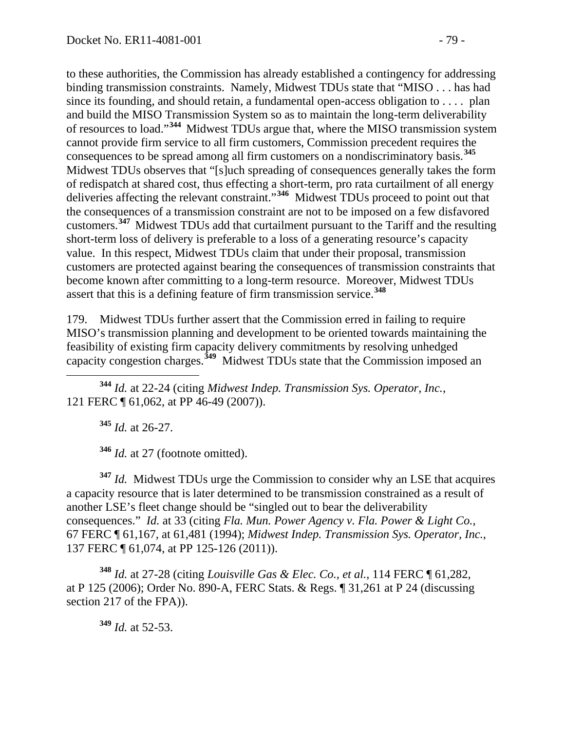to these authorities, the Commission has already established a contingency for addressing binding transmission constraints. Namely, Midwest TDUs state that "MISO . . . has had since its founding, and should retain, a fundamental open-access obligation to  $\dots$  plan and build the MISO Transmission System so as to maintain the long-term deliverability of resources to load."**[344](#page-78-0)** Midwest TDUs argue that, where the MISO transmission system cannot provide firm service to all firm customers, Commission precedent requires the consequences to be spread among all firm customers on a nondiscriminatory basis.**[345](#page-78-1)** Midwest TDUs observes that "[s]uch spreading of consequences generally takes the form of redispatch at shared cost, thus effecting a short-term, pro rata curtailment of all energy deliveries affecting the relevant constraint."<sup>[346](#page-78-2)</sup> Midwest TDUs proceed to point out that the consequences of a transmission constraint are not to be imposed on a few disfavored customers.**[347](#page-78-3)** Midwest TDUs add that curtailment pursuant to the Tariff and the resulting short-term loss of delivery is preferable to a loss of a generating resource's capacity value. In this respect, Midwest TDUs claim that under their proposal, transmission customers are protected against bearing the consequences of transmission constraints that become known after committing to a long-term resource. Moreover, Midwest TDUs assert that this is a defining feature of firm transmission service.**[348](#page-78-4)**

179. Midwest TDUs further assert that the Commission erred in failing to require MISO's transmission planning and development to be oriented towards maintaining the feasibility of existing firm capacity delivery commitments by resolving unhedged capacity congestion charges.**[349](#page-78-5)** Midwest TDUs state that the Commission imposed an

<span id="page-78-1"></span><span id="page-78-0"></span> **<sup>344</sup>** *Id.* at 22-24 (citing *Midwest Indep. Transmission Sys. Operator, Inc.*, 121 FERC ¶ 61,062, at PP 46-49 (2007)).

**<sup>345</sup>** *Id.* at 26-27.

**<sup>346</sup>** *Id.* at 27 (footnote omitted).

<span id="page-78-3"></span><span id="page-78-2"></span>**<sup>347</sup>** *Id.* Midwest TDUs urge the Commission to consider why an LSE that acquires a capacity resource that is later determined to be transmission constrained as a result of another LSE's fleet change should be "singled out to bear the deliverability consequences." *Id.* at 33 (citing *Fla. Mun. Power Agency v. Fla. Power & Light Co.*, 67 FERC ¶ 61,167, at 61,481 (1994); *Midwest Indep. Transmission Sys. Operator, Inc.*, 137 FERC ¶ 61,074, at PP 125-126 (2011)).

<span id="page-78-5"></span><span id="page-78-4"></span>**<sup>348</sup>** *Id.* at 27-28 (citing *Louisville Gas & Elec. Co., et al.*, 114 FERC ¶ 61,282, at P 125 (2006); Order No. 890-A, FERC Stats. & Regs. ¶ 31,261 at P 24 (discussing section 217 of the FPA)).

**<sup>349</sup>** *Id.* at 52-53.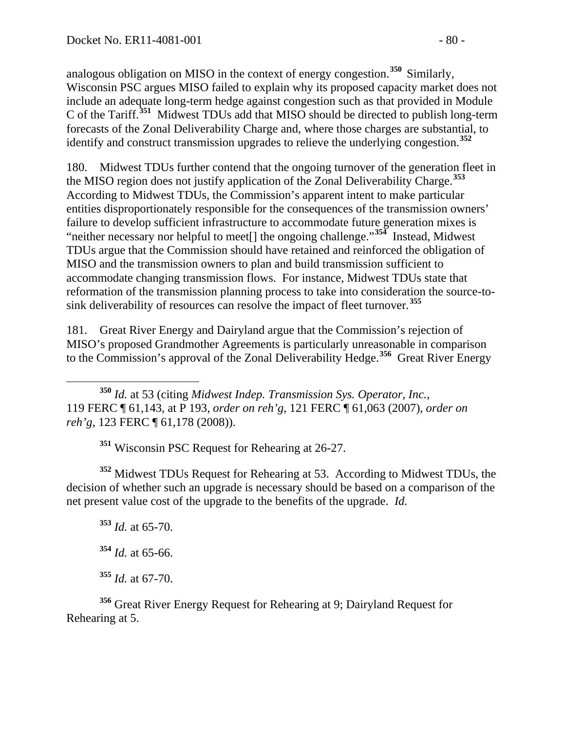analogous obligation on MISO in the context of energy congestion.**[350](#page-79-0)** Similarly, Wisconsin PSC argues MISO failed to explain why its proposed capacity market does not include an adequate long-term hedge against congestion such as that provided in Module C of the Tariff.**[351](#page-79-1)** Midwest TDUs add that MISO should be directed to publish long-term forecasts of the Zonal Deliverability Charge and, where those charges are substantial, to identify and construct transmission upgrades to relieve the underlying congestion.**[352](#page-79-2)**

180. Midwest TDUs further contend that the ongoing turnover of the generation fleet in the MISO region does not justify application of the Zonal Deliverability Charge.**[353](#page-79-3)** According to Midwest TDUs, the Commission's apparent intent to make particular entities disproportionately responsible for the consequences of the transmission owners' failure to develop sufficient infrastructure to accommodate future generation mixes is "neither necessary nor helpful to meet[] the ongoing challenge."**[354](#page-79-4)** Instead, Midwest TDUs argue that the Commission should have retained and reinforced the obligation of MISO and the transmission owners to plan and build transmission sufficient to accommodate changing transmission flows. For instance, Midwest TDUs state that reformation of the transmission planning process to take into consideration the source-tosink deliverability of resources can resolve the impact of fleet turnover.**[355](#page-79-5)**

181. Great River Energy and Dairyland argue that the Commission's rejection of MISO's proposed Grandmother Agreements is particularly unreasonable in comparison to the Commission's approval of the Zonal Deliverability Hedge.**[356](#page-79-6)** Great River Energy

<span id="page-79-0"></span> **<sup>350</sup>** *Id.* at 53 (citing *Midwest Indep. Transmission Sys. Operator, Inc.*, 119 FERC ¶ 61,143, at P 193, *order on reh'g*, 121 FERC ¶ 61,063 (2007), *order on reh'g*, 123 FERC ¶ 61,178 (2008)).

**<sup>351</sup>** Wisconsin PSC Request for Rehearing at 26-27.

<span id="page-79-3"></span><span id="page-79-2"></span><span id="page-79-1"></span>**<sup>352</sup>** Midwest TDUs Request for Rehearing at 53. According to Midwest TDUs, the decision of whether such an upgrade is necessary should be based on a comparison of the net present value cost of the upgrade to the benefits of the upgrade. *Id.*

**<sup>353</sup>** *Id.* at 65-70. **<sup>354</sup>** *Id.* at 65-66. **<sup>355</sup>** *Id.* at 67-70.

<span id="page-79-6"></span><span id="page-79-5"></span><span id="page-79-4"></span>**<sup>356</sup>** Great River Energy Request for Rehearing at 9; Dairyland Request for Rehearing at 5.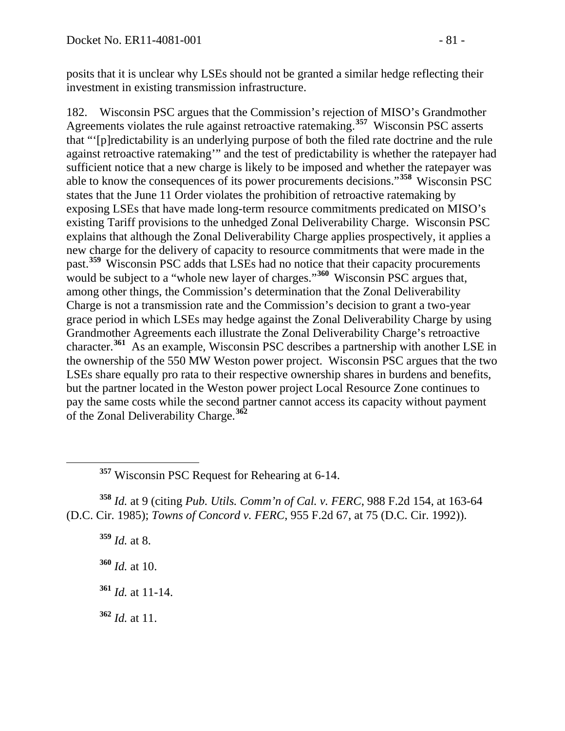posits that it is unclear why LSEs should not be granted a similar hedge reflecting their investment in existing transmission infrastructure.

182. Wisconsin PSC argues that the Commission's rejection of MISO's Grandmother Agreements violates the rule against retroactive ratemaking.<sup>[357](#page-80-0)</sup> Wisconsin PSC asserts that "'[p]redictability is an underlying purpose of both the filed rate doctrine and the rule against retroactive ratemaking'" and the test of predictability is whether the ratepayer had sufficient notice that a new charge is likely to be imposed and whether the ratepayer was able to know the consequences of its power procurements decisions."**[358](#page-80-1)** Wisconsin PSC states that the June 11 Order violates the prohibition of retroactive ratemaking by exposing LSEs that have made long-term resource commitments predicated on MISO's existing Tariff provisions to the unhedged Zonal Deliverability Charge. Wisconsin PSC explains that although the Zonal Deliverability Charge applies prospectively, it applies a new charge for the delivery of capacity to resource commitments that were made in the past.**[359](#page-80-2)** Wisconsin PSC adds that LSEs had no notice that their capacity procurements would be subject to a "whole new layer of charges."**[360](#page-80-3)** Wisconsin PSC argues that, among other things, the Commission's determination that the Zonal Deliverability Charge is not a transmission rate and the Commission's decision to grant a two-year grace period in which LSEs may hedge against the Zonal Deliverability Charge by using Grandmother Agreements each illustrate the Zonal Deliverability Charge's retroactive character.**[361](#page-80-4)** As an example, Wisconsin PSC describes a partnership with another LSE in the ownership of the 550 MW Weston power project. Wisconsin PSC argues that the two LSEs share equally pro rata to their respective ownership shares in burdens and benefits, but the partner located in the Weston power project Local Resource Zone continues to pay the same costs while the second partner cannot access its capacity without payment of the Zonal Deliverability Charge.**[362](#page-80-5)**

<span id="page-80-3"></span><span id="page-80-2"></span><span id="page-80-1"></span><span id="page-80-0"></span>**<sup>358</sup>** *Id.* at 9 (citing *Pub. Utils. Comm'n of Cal. v. FERC*, 988 F.2d 154, at 163-64 (D.C. Cir. 1985); *Towns of Concord v. FERC*, 955 F.2d 67, at 75 (D.C. Cir. 1992)).

**<sup>359</sup>** *Id.* at 8. **<sup>360</sup>** *Id.* at 10.

<span id="page-80-4"></span>**<sup>361</sup>** *Id.* at 11-14.

<span id="page-80-5"></span>**<sup>362</sup>** *Id.* at 11.

**<sup>357</sup>** Wisconsin PSC Request for Rehearing at 6-14.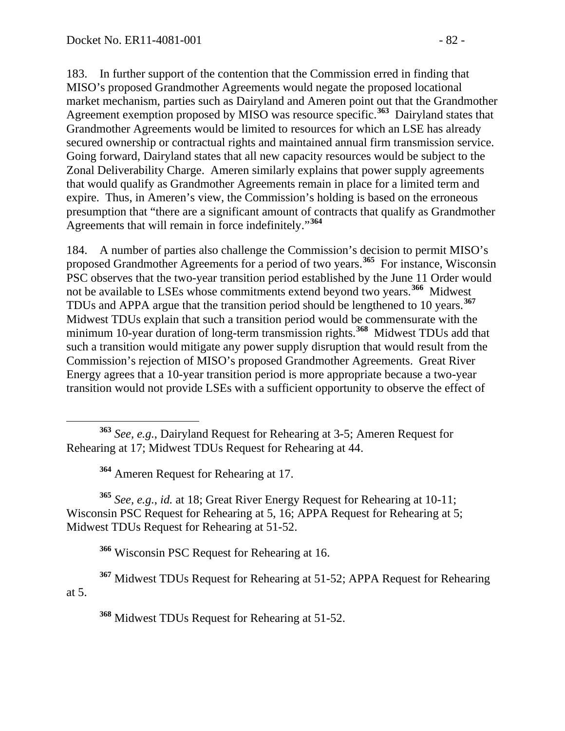183. In further support of the contention that the Commission erred in finding that MISO's proposed Grandmother Agreements would negate the proposed locational market mechanism, parties such as Dairyland and Ameren point out that the Grandmother Agreement exemption proposed by MISO was resource specific.**[363](#page-81-0)** Dairyland states that Grandmother Agreements would be limited to resources for which an LSE has already secured ownership or contractual rights and maintained annual firm transmission service. Going forward, Dairyland states that all new capacity resources would be subject to the Zonal Deliverability Charge. Ameren similarly explains that power supply agreements that would qualify as Grandmother Agreements remain in place for a limited term and expire. Thus, in Ameren's view, the Commission's holding is based on the erroneous presumption that "there are a significant amount of contracts that qualify as Grandmother Agreements that will remain in force indefinitely."**[364](#page-81-1)**

184. A number of parties also challenge the Commission's decision to permit MISO's proposed Grandmother Agreements for a period of two years.**[365](#page-81-2)** For instance, Wisconsin PSC observes that the two-year transition period established by the June 11 Order would not be available to LSEs whose commitments extend beyond two years.**[366](#page-81-3)** Midwest TDUs and APPA argue that the transition period should be lengthened to 10 years.**[367](#page-81-4)** Midwest TDUs explain that such a transition period would be commensurate with the minimum 10-year duration of long-term transmission rights.**[368](#page-81-5)** Midwest TDUs add that such a transition would mitigate any power supply disruption that would result from the Commission's rejection of MISO's proposed Grandmother Agreements. Great River Energy agrees that a 10-year transition period is more appropriate because a two-year transition would not provide LSEs with a sufficient opportunity to observe the effect of

<span id="page-81-2"></span><span id="page-81-1"></span>**<sup>365</sup>** *See, e.g.*, *id.* at 18; Great River Energy Request for Rehearing at 10-11; Wisconsin PSC Request for Rehearing at 5, 16; APPA Request for Rehearing at 5; Midwest TDUs Request for Rehearing at 51-52.

**<sup>366</sup>** Wisconsin PSC Request for Rehearing at 16.

<span id="page-81-5"></span><span id="page-81-4"></span><span id="page-81-3"></span>**<sup>367</sup>** Midwest TDUs Request for Rehearing at 51-52; APPA Request for Rehearing at 5.

**<sup>368</sup>** Midwest TDUs Request for Rehearing at 51-52.

<span id="page-81-0"></span>**<sup>363</sup>** *See, e.g.*, Dairyland Request for Rehearing at 3-5; Ameren Request for Rehearing at 17; Midwest TDUs Request for Rehearing at 44.

**<sup>364</sup>** Ameren Request for Rehearing at 17.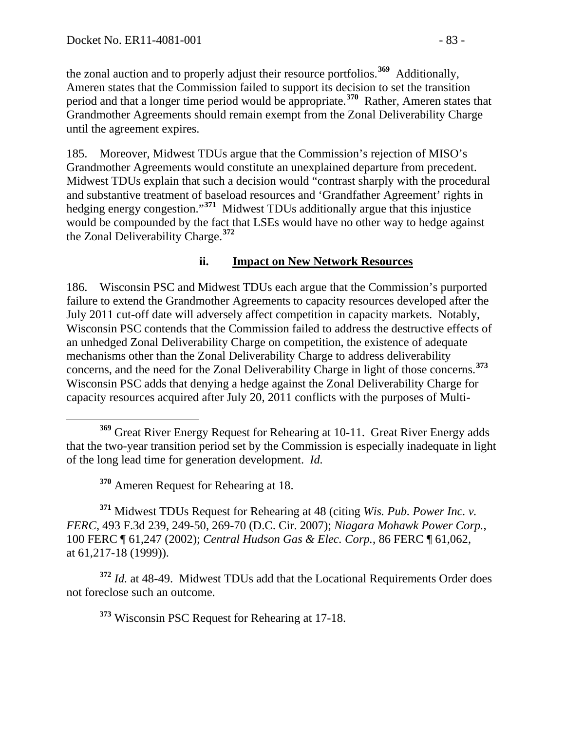the zonal auction and to properly adjust their resource portfolios.**[369](#page-82-0)** Additionally, Ameren states that the Commission failed to support its decision to set the transition period and that a longer time period would be appropriate.**[370](#page-82-1)** Rather, Ameren states that Grandmother Agreements should remain exempt from the Zonal Deliverability Charge until the agreement expires.

185. Moreover, Midwest TDUs argue that the Commission's rejection of MISO's Grandmother Agreements would constitute an unexplained departure from precedent. Midwest TDUs explain that such a decision would "contrast sharply with the procedural and substantive treatment of baseload resources and 'Grandfather Agreement' rights in hedging energy congestion."**[371](#page-82-2)** Midwest TDUs additionally argue that this injustice would be compounded by the fact that LSEs would have no other way to hedge against the Zonal Deliverability Charge.**[372](#page-82-3)**

#### **ii. Impact on New Network Resources**

186. Wisconsin PSC and Midwest TDUs each argue that the Commission's purported failure to extend the Grandmother Agreements to capacity resources developed after the July 2011 cut-off date will adversely affect competition in capacity markets. Notably, Wisconsin PSC contends that the Commission failed to address the destructive effects of an unhedged Zonal Deliverability Charge on competition, the existence of adequate mechanisms other than the Zonal Deliverability Charge to address deliverability concerns, and the need for the Zonal Deliverability Charge in light of those concerns.**[373](#page-82-4)** Wisconsin PSC adds that denying a hedge against the Zonal Deliverability Charge for capacity resources acquired after July 20, 2011 conflicts with the purposes of Multi-

<span id="page-82-2"></span><span id="page-82-1"></span>**<sup>371</sup>** Midwest TDUs Request for Rehearing at 48 (citing *Wis. Pub. Power Inc. v. FERC*, 493 F.3d 239, 249-50, 269-70 (D.C. Cir. 2007); *Niagara Mohawk Power Corp.*, 100 FERC ¶ 61,247 (2002); *Central Hudson Gas & Elec. Corp.*, 86 FERC ¶ 61,062, at 61,217-18 (1999)).

<span id="page-82-4"></span><span id="page-82-3"></span>**<sup>372</sup>** *Id.* at 48-49. Midwest TDUs add that the Locational Requirements Order does not foreclose such an outcome.

**<sup>373</sup>** Wisconsin PSC Request for Rehearing at 17-18.

<span id="page-82-0"></span>**<sup>369</sup>** Great River Energy Request for Rehearing at 10-11. Great River Energy adds that the two-year transition period set by the Commission is especially inadequate in light of the long lead time for generation development. *Id.*

**<sup>370</sup>** Ameren Request for Rehearing at 18.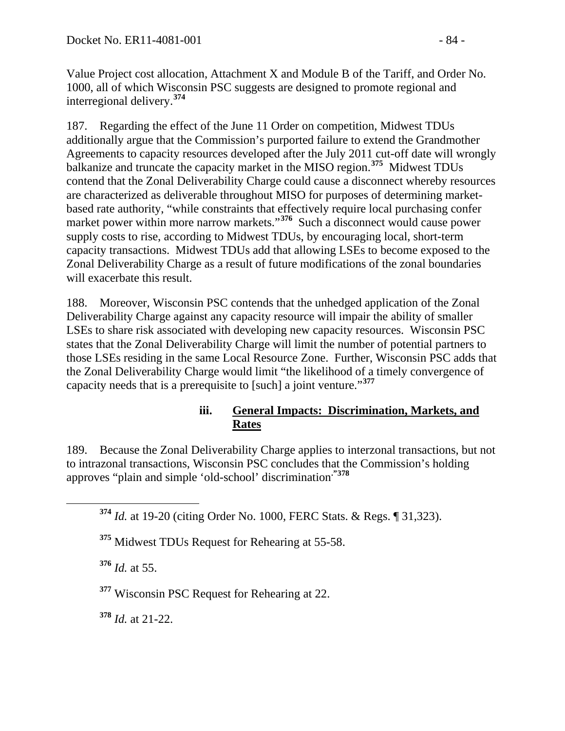Value Project cost allocation, Attachment X and Module B of the Tariff, and Order No. 1000, all of which Wisconsin PSC suggests are designed to promote regional and interregional delivery.**[374](#page-83-0)**

187. Regarding the effect of the June 11 Order on competition, Midwest TDUs additionally argue that the Commission's purported failure to extend the Grandmother Agreements to capacity resources developed after the July 2011 cut-off date will wrongly balkanize and truncate the capacity market in the MISO region.**[375](#page-83-1)** Midwest TDUs contend that the Zonal Deliverability Charge could cause a disconnect whereby resources are characterized as deliverable throughout MISO for purposes of determining marketbased rate authority, "while constraints that effectively require local purchasing confer market power within more narrow markets."<sup>[376](#page-83-2)</sup> Such a disconnect would cause power supply costs to rise, according to Midwest TDUs, by encouraging local, short-term capacity transactions. Midwest TDUs add that allowing LSEs to become exposed to the Zonal Deliverability Charge as a result of future modifications of the zonal boundaries will exacerbate this result.

188. Moreover, Wisconsin PSC contends that the unhedged application of the Zonal Deliverability Charge against any capacity resource will impair the ability of smaller LSEs to share risk associated with developing new capacity resources. Wisconsin PSC states that the Zonal Deliverability Charge will limit the number of potential partners to those LSEs residing in the same Local Resource Zone. Further, Wisconsin PSC adds that the Zonal Deliverability Charge would limit "the likelihood of a timely convergence of capacity needs that is a prerequisite to [such] a joint venture."**[377](#page-83-3)**

#### **iii. General Impacts: Discrimination, Markets, and Rates**

<span id="page-83-0"></span>189. Because the Zonal Deliverability Charge applies to interzonal transactions, but not to intrazonal transactions, Wisconsin PSC concludes that the Commission's holding approves "plain and simple 'old-school' discrimination**."[378](#page-83-4)**

**<sup>374</sup>** *Id.* at 19-20 (citing Order No. 1000, FERC Stats. & Regs. ¶ 31,323).

<span id="page-83-1"></span>**<sup>375</sup>** Midwest TDUs Request for Rehearing at 55-58.

<span id="page-83-2"></span>**<sup>376</sup>** *Id.* at 55.

<span id="page-83-3"></span>**<sup>377</sup>** Wisconsin PSC Request for Rehearing at 22.

<span id="page-83-4"></span>**<sup>378</sup>** *Id.* at 21-22.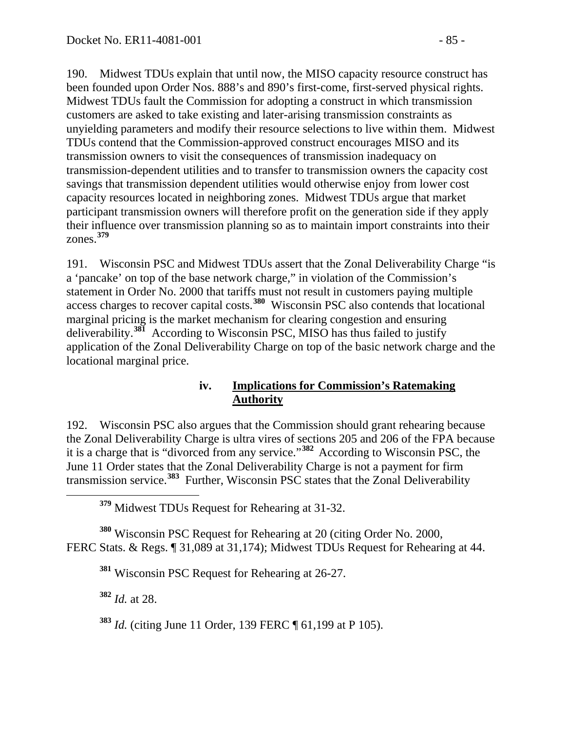190. Midwest TDUs explain that until now, the MISO capacity resource construct has been founded upon Order Nos. 888's and 890's first-come, first-served physical rights. Midwest TDUs fault the Commission for adopting a construct in which transmission customers are asked to take existing and later-arising transmission constraints as unyielding parameters and modify their resource selections to live within them. Midwest TDUs contend that the Commission-approved construct encourages MISO and its transmission owners to visit the consequences of transmission inadequacy on transmission-dependent utilities and to transfer to transmission owners the capacity cost savings that transmission dependent utilities would otherwise enjoy from lower cost capacity resources located in neighboring zones. Midwest TDUs argue that market participant transmission owners will therefore profit on the generation side if they apply their influence over transmission planning so as to maintain import constraints into their zones.**[379](#page-84-0)**

191. Wisconsin PSC and Midwest TDUs assert that the Zonal Deliverability Charge "is a 'pancake' on top of the base network charge," in violation of the Commission's statement in Order No. 2000 that tariffs must not result in customers paying multiple access charges to recover capital costs.**[380](#page-84-1)** Wisconsin PSC also contends that locational marginal pricing is the market mechanism for clearing congestion and ensuring deliverability.**[381](#page-84-2)** According to Wisconsin PSC, MISO has thus failed to justify application of the Zonal Deliverability Charge on top of the basic network charge and the locational marginal price.

#### **iv. Implications for Commission's Ratemaking Authority**

192. Wisconsin PSC also argues that the Commission should grant rehearing because the Zonal Deliverability Charge is ultra vires of sections 205 and 206 of the FPA because it is a charge that is "divorced from any service."**[382](#page-84-3)** According to Wisconsin PSC, the June 11 Order states that the Zonal Deliverability Charge is not a payment for firm transmission service.**[383](#page-84-4)** Further, Wisconsin PSC states that the Zonal Deliverability

**<sup>379</sup>** Midwest TDUs Request for Rehearing at 31-32.

<span id="page-84-3"></span><span id="page-84-2"></span><span id="page-84-1"></span><span id="page-84-0"></span>**<sup>380</sup>** Wisconsin PSC Request for Rehearing at 20 (citing Order No. 2000, FERC Stats. & Regs. ¶ 31,089 at 31,174); Midwest TDUs Request for Rehearing at 44.

**<sup>381</sup>** Wisconsin PSC Request for Rehearing at 26-27.

**<sup>382</sup>** *Id.* at 28.

<span id="page-84-4"></span>**<sup>383</sup>** *Id.* (citing June 11 Order, 139 FERC ¶ 61,199 at P 105).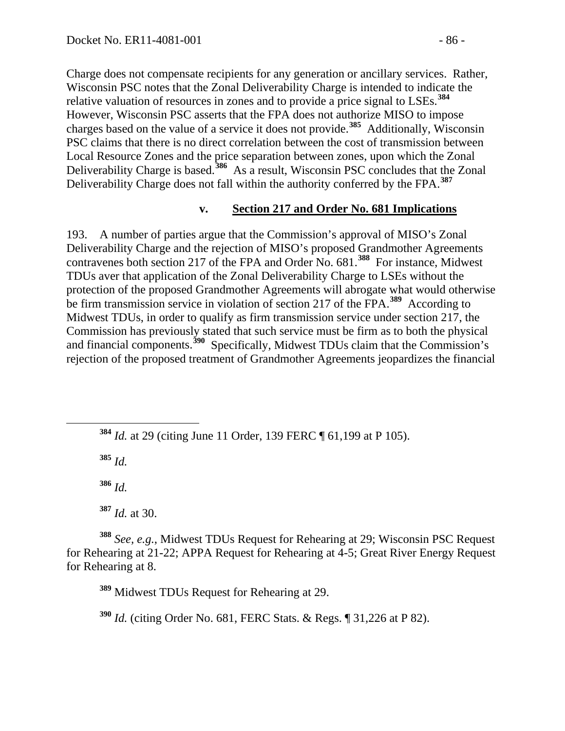Charge does not compensate recipients for any generation or ancillary services. Rather, Wisconsin PSC notes that the Zonal Deliverability Charge is intended to indicate the relative valuation of resources in zones and to provide a price signal to LSEs.**[384](#page-85-0)** However, Wisconsin PSC asserts that the FPA does not authorize MISO to impose charges based on the value of a service it does not provide.**[385](#page-85-1)** Additionally, Wisconsin PSC claims that there is no direct correlation between the cost of transmission between Local Resource Zones and the price separation between zones, upon which the Zonal Deliverability Charge is based.**[386](#page-85-2)** As a result, Wisconsin PSC concludes that the Zonal Deliverability Charge does not fall within the authority conferred by the FPA.**[387](#page-85-3)**

#### **v. Section 217 and Order No. 681 Implications**

193. A number of parties argue that the Commission's approval of MISO's Zonal Deliverability Charge and the rejection of MISO's proposed Grandmother Agreements contravenes both section 217 of the FPA and Order No. 681.**[388](#page-85-4)** For instance, Midwest TDUs aver that application of the Zonal Deliverability Charge to LSEs without the protection of the proposed Grandmother Agreements will abrogate what would otherwise be firm transmission service in violation of section 217 of the FPA.**[389](#page-85-5)** According to Midwest TDUs, in order to qualify as firm transmission service under section 217, the Commission has previously stated that such service must be firm as to both the physical and financial components.**[390](#page-85-6)** Specifically, Midwest TDUs claim that the Commission's rejection of the proposed treatment of Grandmother Agreements jeopardizes the financial

<span id="page-85-1"></span>**<sup>385</sup>** *Id.*

**<sup>386</sup>** *Id.*

**<sup>387</sup>** *Id.* at 30.

<span id="page-85-5"></span><span id="page-85-4"></span><span id="page-85-3"></span><span id="page-85-2"></span>**<sup>388</sup>** *See, e.g.*, Midwest TDUs Request for Rehearing at 29; Wisconsin PSC Request for Rehearing at 21-22; APPA Request for Rehearing at 4-5; Great River Energy Request for Rehearing at 8.

**<sup>389</sup>** Midwest TDUs Request for Rehearing at 29.

<span id="page-85-6"></span>**<sup>390</sup>** *Id.* (citing Order No. 681, FERC Stats. & Regs. ¶ 31,226 at P 82).

<span id="page-85-0"></span>**<sup>384</sup>** *Id.* at 29 (citing June 11 Order, 139 FERC ¶ 61,199 at P 105).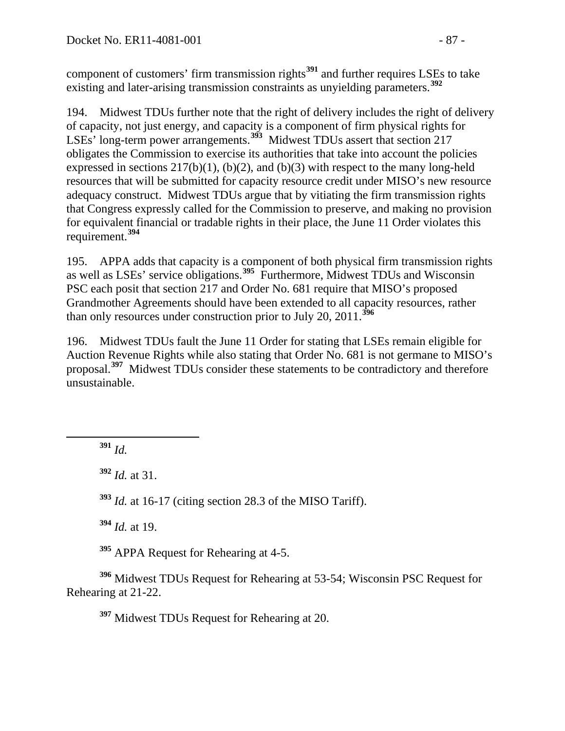component of customers' firm transmission rights**[391](#page-86-0)** and further requires LSEs to take existing and later-arising transmission constraints as unyielding parameters.**[392](#page-86-1)**

194. Midwest TDUs further note that the right of delivery includes the right of delivery of capacity, not just energy, and capacity is a component of firm physical rights for LSEs' long-term power arrangements.**[393](#page-86-2)** Midwest TDUs assert that section 217 obligates the Commission to exercise its authorities that take into account the policies expressed in sections  $217(b)(1)$ ,  $(b)(2)$ , and  $(b)(3)$  with respect to the many long-held resources that will be submitted for capacity resource credit under MISO's new resource adequacy construct. Midwest TDUs argue that by vitiating the firm transmission rights that Congress expressly called for the Commission to preserve, and making no provision for equivalent financial or tradable rights in their place, the June 11 Order violates this requirement.**[394](#page-86-3)**

195. APPA adds that capacity is a component of both physical firm transmission rights as well as LSEs' service obligations.**[395](#page-86-4)** Furthermore, Midwest TDUs and Wisconsin PSC each posit that section 217 and Order No. 681 require that MISO's proposed Grandmother Agreements should have been extended to all capacity resources, rather than only resources under construction prior to July 20, 2011.**[396](#page-86-5)**

196. Midwest TDUs fault the June 11 Order for stating that LSEs remain eligible for Auction Revenue Rights while also stating that Order No. 681 is not germane to MISO's proposal.**[397](#page-86-6)** Midwest TDUs consider these statements to be contradictory and therefore unsustainable.

<span id="page-86-0"></span>**<sup>391</sup>** *Id.*

<span id="page-86-1"></span>**<sup>392</sup>** *Id.* at 31.

<span id="page-86-2"></span>**<sup>393</sup>** *Id.* at 16-17 (citing section 28.3 of the MISO Tariff).

**<sup>394</sup>** *Id.* at 19.

**<sup>395</sup>** APPA Request for Rehearing at 4-5.

<span id="page-86-6"></span><span id="page-86-5"></span><span id="page-86-4"></span><span id="page-86-3"></span>**<sup>396</sup>** Midwest TDUs Request for Rehearing at 53-54; Wisconsin PSC Request for Rehearing at 21-22.

**<sup>397</sup>** Midwest TDUs Request for Rehearing at 20.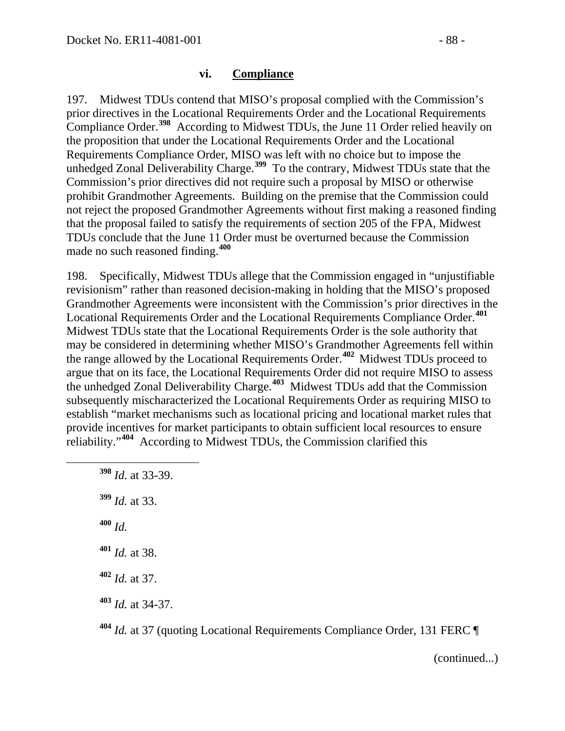#### **vi. Compliance**

197. Midwest TDUs contend that MISO's proposal complied with the Commission's prior directives in the Locational Requirements Order and the Locational Requirements Compliance Order.**[398](#page-87-0)** According to Midwest TDUs, the June 11 Order relied heavily on the proposition that under the Locational Requirements Order and the Locational Requirements Compliance Order, MISO was left with no choice but to impose the unhedged Zonal Deliverability Charge.<sup>[399](#page-87-1)</sup> To the contrary, Midwest TDUs state that the Commission's prior directives did not require such a proposal by MISO or otherwise prohibit Grandmother Agreements. Building on the premise that the Commission could not reject the proposed Grandmother Agreements without first making a reasoned finding that the proposal failed to satisfy the requirements of section 205 of the FPA, Midwest TDUs conclude that the June 11 Order must be overturned because the Commission made no such reasoned finding.**[400](#page-87-2)**

198. Specifically, Midwest TDUs allege that the Commission engaged in "unjustifiable revisionism" rather than reasoned decision-making in holding that the MISO's proposed Grandmother Agreements were inconsistent with the Commission's prior directives in the Locational Requirements Order and the Locational Requirements Compliance Order.**[401](#page-87-3)** Midwest TDUs state that the Locational Requirements Order is the sole authority that may be considered in determining whether MISO's Grandmother Agreements fell within the range allowed by the Locational Requirements Order.**[402](#page-87-4)** Midwest TDUs proceed to argue that on its face, the Locational Requirements Order did not require MISO to assess the unhedged Zonal Deliverability Charge.**[403](#page-87-5)** Midwest TDUs add that the Commission subsequently mischaracterized the Locational Requirements Order as requiring MISO to establish "market mechanisms such as locational pricing and locational market rules that provide incentives for market participants to obtain sufficient local resources to ensure reliability."**[404](#page-87-6)** According to Midwest TDUs, the Commission clarified this

<span id="page-87-2"></span><span id="page-87-1"></span><span id="page-87-0"></span> **<sup>398</sup>** *Id*. at 33-39. *Id.* at 33. **<sup>400</sup>** *Id. Id.* at 38. *Id.* at 37. *Id.* at 34-37.

(continued...)

<span id="page-87-6"></span><span id="page-87-5"></span><span id="page-87-4"></span><span id="page-87-3"></span>**<sup>404</sup>** *Id.* at 37 (quoting Locational Requirements Compliance Order, 131 FERC ¶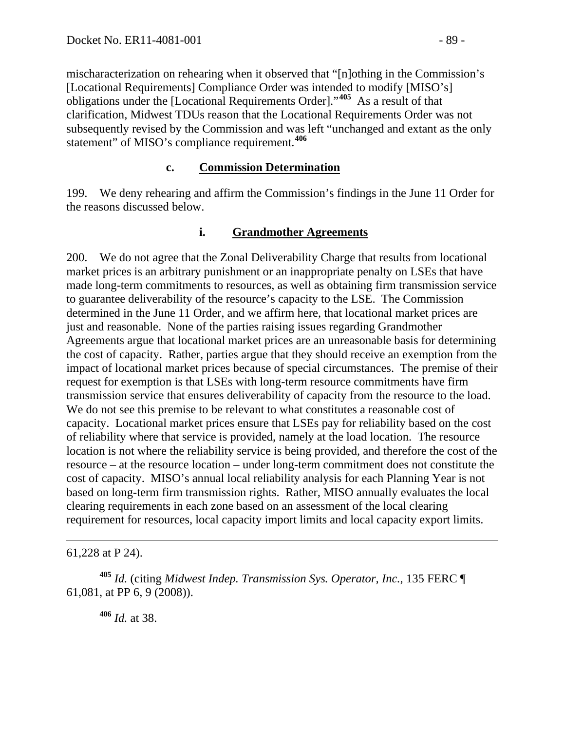mischaracterization on rehearing when it observed that "[n]othing in the Commission's [Locational Requirements] Compliance Order was intended to modify [MISO's] obligations under the [Locational Requirements Order]."**[405](#page-88-0)** As a result of that clarification, Midwest TDUs reason that the Locational Requirements Order was not subsequently revised by the Commission and was left "unchanged and extant as the only statement" of MISO's compliance requirement.**[406](#page-88-1)**

#### **c. Commission Determination**

199. We deny rehearing and affirm the Commission's findings in the June 11 Order for the reasons discussed below.

#### **i. Grandmother Agreements**

200. We do not agree that the Zonal Deliverability Charge that results from locational market prices is an arbitrary punishment or an inappropriate penalty on LSEs that have made long-term commitments to resources, as well as obtaining firm transmission service to guarantee deliverability of the resource's capacity to the LSE. The Commission determined in the June 11 Order, and we affirm here, that locational market prices are just and reasonable. None of the parties raising issues regarding Grandmother Agreements argue that locational market prices are an unreasonable basis for determining the cost of capacity. Rather, parties argue that they should receive an exemption from the impact of locational market prices because of special circumstances. The premise of their request for exemption is that LSEs with long-term resource commitments have firm transmission service that ensures deliverability of capacity from the resource to the load. We do not see this premise to be relevant to what constitutes a reasonable cost of capacity. Locational market prices ensure that LSEs pay for reliability based on the cost of reliability where that service is provided, namely at the load location. The resource location is not where the reliability service is being provided, and therefore the cost of the resource – at the resource location – under long-term commitment does not constitute the cost of capacity. MISO's annual local reliability analysis for each Planning Year is not based on long-term firm transmission rights. Rather, MISO annually evaluates the local clearing requirements in each zone based on an assessment of the local clearing requirement for resources, local capacity import limits and local capacity export limits.

61,228 at P 24).

 $\overline{a}$ 

<span id="page-88-1"></span><span id="page-88-0"></span>**<sup>405</sup>** *Id.* (citing *Midwest Indep. Transmission Sys. Operator, Inc.*, 135 FERC ¶ 61,081, at PP 6, 9 (2008)).

**<sup>406</sup>** *Id.* at 38.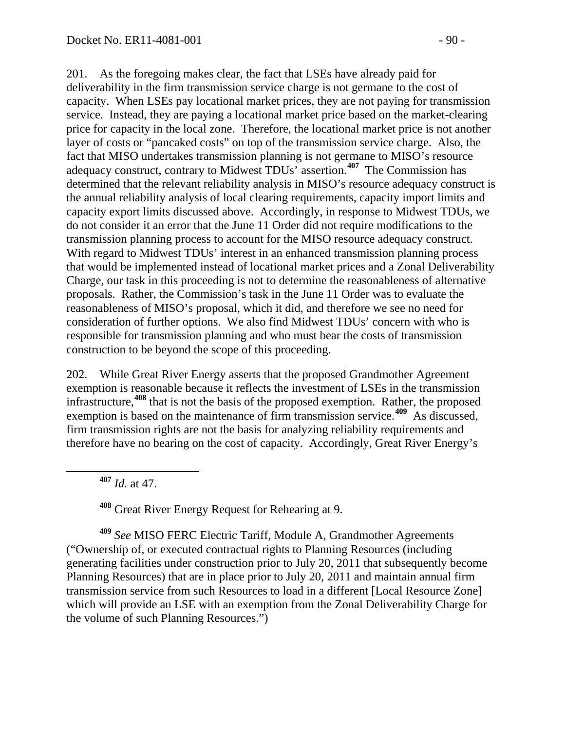201. As the foregoing makes clear, the fact that LSEs have already paid for deliverability in the firm transmission service charge is not germane to the cost of capacity. When LSEs pay locational market prices, they are not paying for transmission service. Instead, they are paying a locational market price based on the market-clearing price for capacity in the local zone. Therefore, the locational market price is not another layer of costs or "pancaked costs" on top of the transmission service charge. Also, the fact that MISO undertakes transmission planning is not germane to MISO's resource adequacy construct, contrary to Midwest TDUs' assertion.**[407](#page-89-0)** The Commission has determined that the relevant reliability analysis in MISO's resource adequacy construct is the annual reliability analysis of local clearing requirements, capacity import limits and capacity export limits discussed above. Accordingly, in response to Midwest TDUs, we do not consider it an error that the June 11 Order did not require modifications to the transmission planning process to account for the MISO resource adequacy construct. With regard to Midwest TDUs' interest in an enhanced transmission planning process that would be implemented instead of locational market prices and a Zonal Deliverability Charge, our task in this proceeding is not to determine the reasonableness of alternative proposals. Rather, the Commission's task in the June 11 Order was to evaluate the reasonableness of MISO's proposal, which it did, and therefore we see no need for consideration of further options. We also find Midwest TDUs' concern with who is responsible for transmission planning and who must bear the costs of transmission construction to be beyond the scope of this proceeding.

202. While Great River Energy asserts that the proposed Grandmother Agreement exemption is reasonable because it reflects the investment of LSEs in the transmission infrastructure,**[408](#page-89-1)** that is not the basis of the proposed exemption. Rather, the proposed exemption is based on the maintenance of firm transmission service.<sup>[409](#page-89-2)</sup> As discussed, firm transmission rights are not the basis for analyzing reliability requirements and therefore have no bearing on the cost of capacity. Accordingly, Great River Energy's

**<sup>407</sup>** *Id.* at 47.

**<sup>408</sup>** Great River Energy Request for Rehearing at 9.

<span id="page-89-2"></span><span id="page-89-1"></span><span id="page-89-0"></span>**<sup>409</sup>** *See* MISO FERC Electric Tariff, Module A, Grandmother Agreements ("Ownership of, or executed contractual rights to Planning Resources (including generating facilities under construction prior to July 20, 2011 that subsequently become Planning Resources) that are in place prior to July 20, 2011 and maintain annual firm transmission service from such Resources to load in a different [Local Resource Zone] which will provide an LSE with an exemption from the Zonal Deliverability Charge for the volume of such Planning Resources.")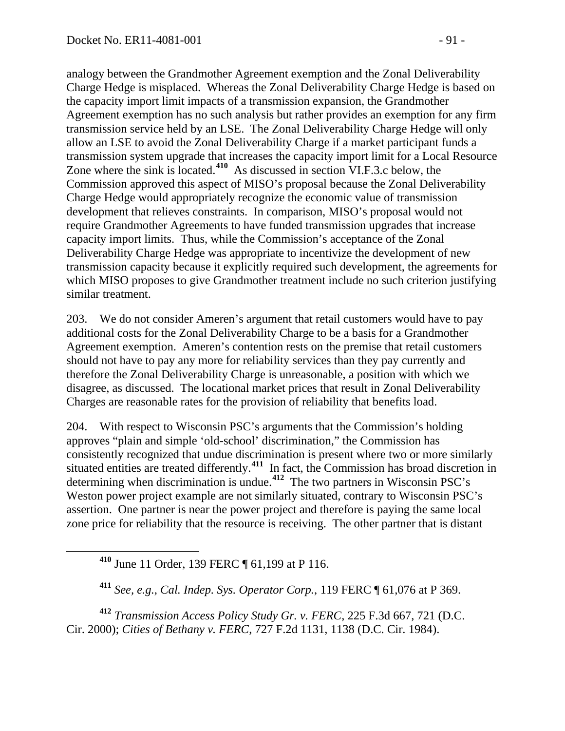analogy between the Grandmother Agreement exemption and the Zonal Deliverability Charge Hedge is misplaced. Whereas the Zonal Deliverability Charge Hedge is based on the capacity import limit impacts of a transmission expansion, the Grandmother Agreement exemption has no such analysis but rather provides an exemption for any firm transmission service held by an LSE. The Zonal Deliverability Charge Hedge will only allow an LSE to avoid the Zonal Deliverability Charge if a market participant funds a transmission system upgrade that increases the capacity import limit for a Local Resource Zone where the sink is located.<sup>[410](#page-90-0)</sup> As discussed in section VI.F.3.c below, the Commission approved this aspect of MISO's proposal because the Zonal Deliverability Charge Hedge would appropriately recognize the economic value of transmission development that relieves constraints. In comparison, MISO's proposal would not require Grandmother Agreements to have funded transmission upgrades that increase capacity import limits. Thus, while the Commission's acceptance of the Zonal Deliverability Charge Hedge was appropriate to incentivize the development of new transmission capacity because it explicitly required such development, the agreements for which MISO proposes to give Grandmother treatment include no such criterion justifying similar treatment.

203. We do not consider Ameren's argument that retail customers would have to pay additional costs for the Zonal Deliverability Charge to be a basis for a Grandmother Agreement exemption. Ameren's contention rests on the premise that retail customers should not have to pay any more for reliability services than they pay currently and therefore the Zonal Deliverability Charge is unreasonable, a position with which we disagree, as discussed. The locational market prices that result in Zonal Deliverability Charges are reasonable rates for the provision of reliability that benefits load.

204. With respect to Wisconsin PSC's arguments that the Commission's holding approves "plain and simple 'old-school' discrimination," the Commission has consistently recognized that undue discrimination is present where two or more similarly situated entities are treated differently.**[411](#page-90-1)** In fact, the Commission has broad discretion in determining when discrimination is undue.**[412](#page-90-2)** The two partners in Wisconsin PSC's Weston power project example are not similarly situated, contrary to Wisconsin PSC's assertion. One partner is near the power project and therefore is paying the same local zone price for reliability that the resource is receiving. The other partner that is distant

**<sup>410</sup>** June 11 Order, 139 FERC ¶ 61,199 at P 116.

**<sup>411</sup>** *See, e.g.*, *Cal. Indep. Sys. Operator Corp.*, 119 FERC ¶ 61,076 at P 369.

<span id="page-90-2"></span><span id="page-90-1"></span><span id="page-90-0"></span>**<sup>412</sup>** *Transmission Access Policy Study Gr. v. FERC*, 225 F.3d 667, 721 (D.C. Cir. 2000); *Cities of Bethany v. FERC*, 727 F.2d 1131, 1138 (D.C. Cir. 1984).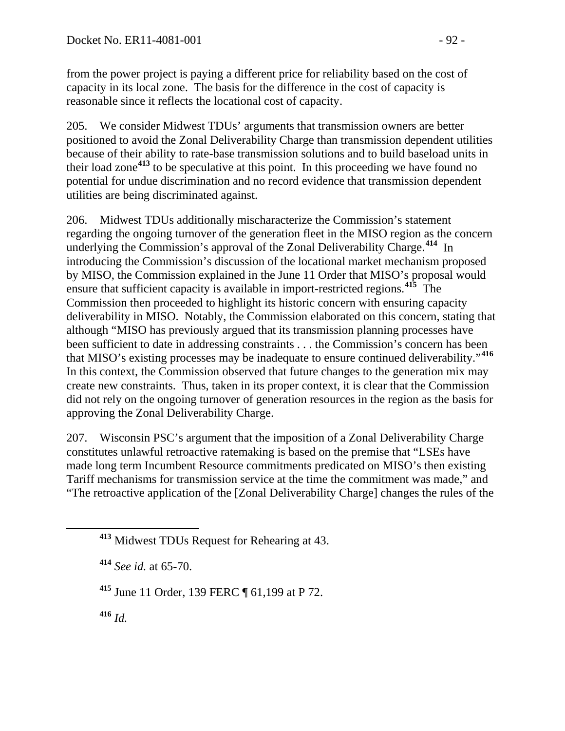from the power project is paying a different price for reliability based on the cost of capacity in its local zone. The basis for the difference in the cost of capacity is reasonable since it reflects the locational cost of capacity.

205. We consider Midwest TDUs' arguments that transmission owners are better positioned to avoid the Zonal Deliverability Charge than transmission dependent utilities because of their ability to rate-base transmission solutions and to build baseload units in their load zone**[413](#page-91-0)** to be speculative at this point. In this proceeding we have found no potential for undue discrimination and no record evidence that transmission dependent utilities are being discriminated against.

206. Midwest TDUs additionally mischaracterize the Commission's statement regarding the ongoing turnover of the generation fleet in the MISO region as the concern underlying the Commission's approval of the Zonal Deliverability Charge.**[414](#page-91-1)** In introducing the Commission's discussion of the locational market mechanism proposed by MISO, the Commission explained in the June 11 Order that MISO's proposal would ensure that sufficient capacity is available in import-restricted regions.**[415](#page-91-2)** The Commission then proceeded to highlight its historic concern with ensuring capacity deliverability in MISO. Notably, the Commission elaborated on this concern, stating that although "MISO has previously argued that its transmission planning processes have been sufficient to date in addressing constraints . . . the Commission's concern has been that MISO's existing processes may be inadequate to ensure continued deliverability."**[416](#page-91-3)** In this context, the Commission observed that future changes to the generation mix may create new constraints. Thus, taken in its proper context, it is clear that the Commission did not rely on the ongoing turnover of generation resources in the region as the basis for approving the Zonal Deliverability Charge.

207. Wisconsin PSC's argument that the imposition of a Zonal Deliverability Charge constitutes unlawful retroactive ratemaking is based on the premise that "LSEs have made long term Incumbent Resource commitments predicated on MISO's then existing Tariff mechanisms for transmission service at the time the commitment was made," and "The retroactive application of the [Zonal Deliverability Charge] changes the rules of the

<span id="page-91-2"></span>**<sup>415</sup>** June 11 Order, 139 FERC ¶ 61,199 at P 72.

<span id="page-91-3"></span>**<sup>416</sup>** *Id.*

<span id="page-91-0"></span>**<sup>413</sup>** Midwest TDUs Request for Rehearing at 43.

<span id="page-91-1"></span>**<sup>414</sup>** *See id.* at 65-70.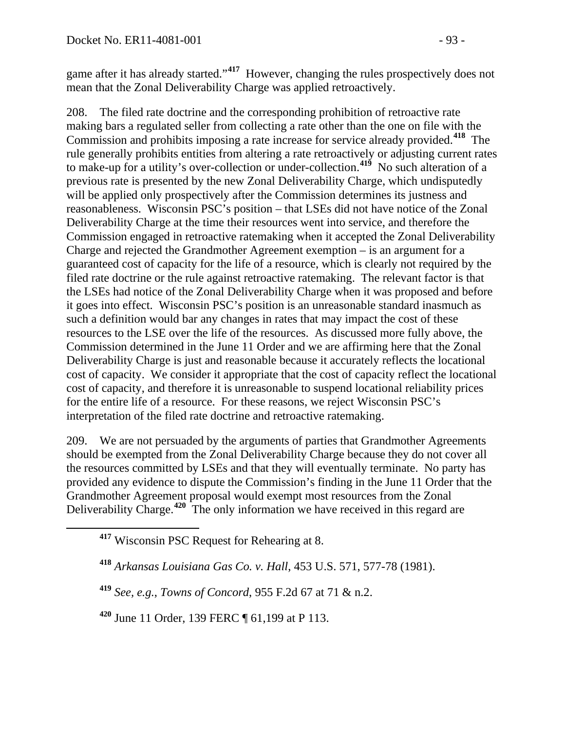game after it has already started."**[417](#page-92-0)** However, changing the rules prospectively does not mean that the Zonal Deliverability Charge was applied retroactively.

208. The filed rate doctrine and the corresponding prohibition of retroactive rate making bars a regulated seller from collecting a rate other than the one on file with the Commission and prohibits imposing a rate increase for service already provided.**[418](#page-92-1)** The rule generally prohibits entities from altering a rate retroactively or adjusting current rates to make-up for a utility's over-collection or under-collection.**[419](#page-92-2)** No such alteration of a previous rate is presented by the new Zonal Deliverability Charge, which undisputedly will be applied only prospectively after the Commission determines its justness and reasonableness. Wisconsin PSC's position – that LSEs did not have notice of the Zonal Deliverability Charge at the time their resources went into service, and therefore the Commission engaged in retroactive ratemaking when it accepted the Zonal Deliverability Charge and rejected the Grandmother Agreement exemption – is an argument for a guaranteed cost of capacity for the life of a resource, which is clearly not required by the filed rate doctrine or the rule against retroactive ratemaking. The relevant factor is that the LSEs had notice of the Zonal Deliverability Charge when it was proposed and before it goes into effect. Wisconsin PSC's position is an unreasonable standard inasmuch as such a definition would bar any changes in rates that may impact the cost of these resources to the LSE over the life of the resources. As discussed more fully above, the Commission determined in the June 11 Order and we are affirming here that the Zonal Deliverability Charge is just and reasonable because it accurately reflects the locational cost of capacity. We consider it appropriate that the cost of capacity reflect the locational cost of capacity, and therefore it is unreasonable to suspend locational reliability prices for the entire life of a resource. For these reasons, we reject Wisconsin PSC's interpretation of the filed rate doctrine and retroactive ratemaking.

209. We are not persuaded by the arguments of parties that Grandmother Agreements should be exempted from the Zonal Deliverability Charge because they do not cover all the resources committed by LSEs and that they will eventually terminate. No party has provided any evidence to dispute the Commission's finding in the June 11 Order that the Grandmother Agreement proposal would exempt most resources from the Zonal Deliverability Charge.**[420](#page-92-3)** The only information we have received in this regard are

<span id="page-92-2"></span>**<sup>419</sup>** *See, e.g.*, *Towns of Concord*, 955 F.2d 67 at 71 & n.2.

<span id="page-92-3"></span>**<sup>420</sup>** June 11 Order, 139 FERC ¶ 61,199 at P 113.

<span id="page-92-0"></span>**<sup>417</sup>** Wisconsin PSC Request for Rehearing at 8.

<span id="page-92-1"></span>**<sup>418</sup>** *Arkansas Louisiana Gas Co. v. Hall*, 453 U.S. 571, 577-78 (1981).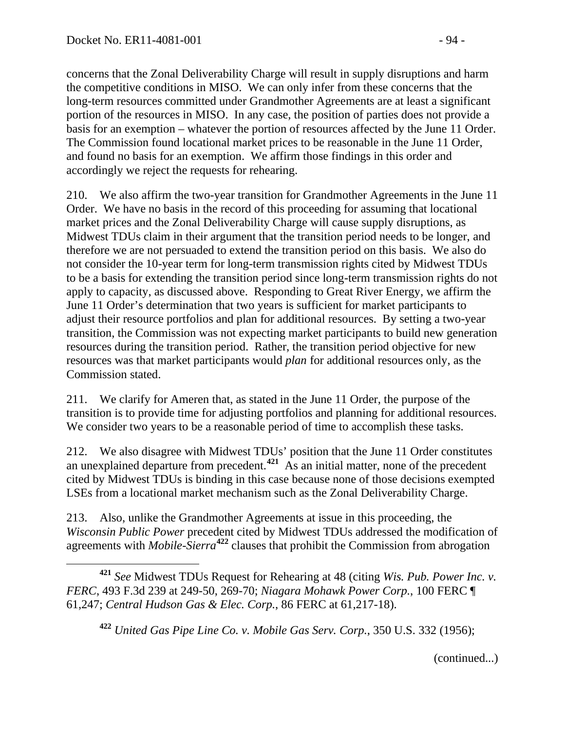concerns that the Zonal Deliverability Charge will result in supply disruptions and harm the competitive conditions in MISO. We can only infer from these concerns that the long-term resources committed under Grandmother Agreements are at least a significant portion of the resources in MISO. In any case, the position of parties does not provide a basis for an exemption – whatever the portion of resources affected by the June 11 Order. The Commission found locational market prices to be reasonable in the June 11 Order, and found no basis for an exemption. We affirm those findings in this order and accordingly we reject the requests for rehearing.

210. We also affirm the two-year transition for Grandmother Agreements in the June 11 Order. We have no basis in the record of this proceeding for assuming that locational market prices and the Zonal Deliverability Charge will cause supply disruptions, as Midwest TDUs claim in their argument that the transition period needs to be longer, and therefore we are not persuaded to extend the transition period on this basis. We also do not consider the 10-year term for long-term transmission rights cited by Midwest TDUs to be a basis for extending the transition period since long-term transmission rights do not apply to capacity, as discussed above. Responding to Great River Energy, we affirm the June 11 Order's determination that two years is sufficient for market participants to adjust their resource portfolios and plan for additional resources. By setting a two-year transition, the Commission was not expecting market participants to build new generation resources during the transition period. Rather, the transition period objective for new resources was that market participants would *plan* for additional resources only, as the Commission stated.

211. We clarify for Ameren that, as stated in the June 11 Order, the purpose of the transition is to provide time for adjusting portfolios and planning for additional resources. We consider two years to be a reasonable period of time to accomplish these tasks.

212. We also disagree with Midwest TDUs' position that the June 11 Order constitutes an unexplained departure from precedent.**[421](#page-93-0)** As an initial matter, none of the precedent cited by Midwest TDUs is binding in this case because none of those decisions exempted LSEs from a locational market mechanism such as the Zonal Deliverability Charge.

213. Also, unlike the Grandmother Agreements at issue in this proceeding, the *Wisconsin Public Power* precedent cited by Midwest TDUs addressed the modification of agreements with *Mobile-Sierra***[422](#page-93-1)** clauses that prohibit the Commission from abrogation

<span id="page-93-1"></span><span id="page-93-0"></span> **<sup>421</sup>** *See* Midwest TDUs Request for Rehearing at 48 (citing *Wis. Pub. Power Inc. v. FERC*, 493 F.3d 239 at 249-50, 269-70; *Niagara Mohawk Power Corp.*, 100 FERC ¶ 61,247; *Central Hudson Gas & Elec. Corp.*, 86 FERC at 61,217-18).

**<sup>422</sup>** *United Gas Pipe Line Co. v. Mobile Gas Serv. Corp.*, 350 U.S. 332 (1956);

(continued...)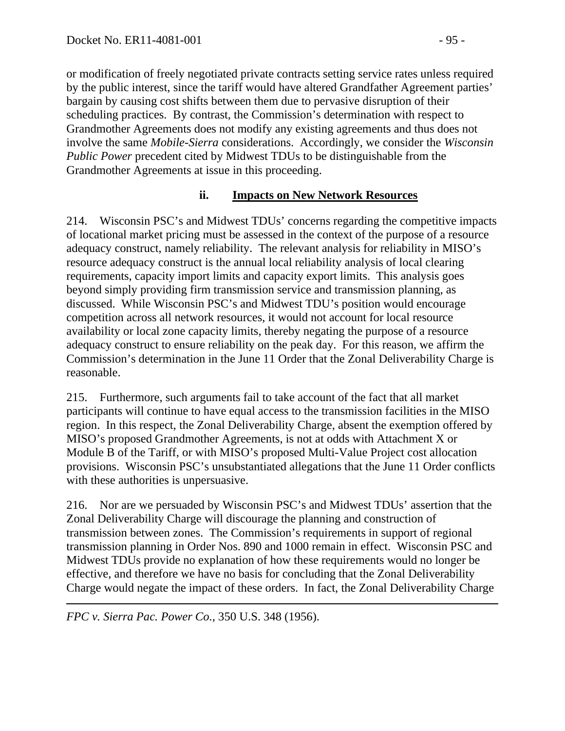or modification of freely negotiated private contracts setting service rates unless required by the public interest, since the tariff would have altered Grandfather Agreement parties' bargain by causing cost shifts between them due to pervasive disruption of their scheduling practices. By contrast, the Commission's determination with respect to Grandmother Agreements does not modify any existing agreements and thus does not involve the same *Mobile-Sierra* considerations. Accordingly, we consider the *Wisconsin Public Power* precedent cited by Midwest TDUs to be distinguishable from the Grandmother Agreements at issue in this proceeding.

#### **ii. Impacts on New Network Resources**

214. Wisconsin PSC's and Midwest TDUs' concerns regarding the competitive impacts of locational market pricing must be assessed in the context of the purpose of a resource adequacy construct, namely reliability. The relevant analysis for reliability in MISO's resource adequacy construct is the annual local reliability analysis of local clearing requirements, capacity import limits and capacity export limits. This analysis goes beyond simply providing firm transmission service and transmission planning, as discussed. While Wisconsin PSC's and Midwest TDU's position would encourage competition across all network resources, it would not account for local resource availability or local zone capacity limits, thereby negating the purpose of a resource adequacy construct to ensure reliability on the peak day. For this reason, we affirm the Commission's determination in the June 11 Order that the Zonal Deliverability Charge is reasonable.

215. Furthermore, such arguments fail to take account of the fact that all market participants will continue to have equal access to the transmission facilities in the MISO region. In this respect, the Zonal Deliverability Charge, absent the exemption offered by MISO's proposed Grandmother Agreements, is not at odds with Attachment X or Module B of the Tariff, or with MISO's proposed Multi-Value Project cost allocation provisions. Wisconsin PSC's unsubstantiated allegations that the June 11 Order conflicts with these authorities is unpersuasive.

216. Nor are we persuaded by Wisconsin PSC's and Midwest TDUs' assertion that the Zonal Deliverability Charge will discourage the planning and construction of transmission between zones. The Commission's requirements in support of regional transmission planning in Order Nos. 890 and 1000 remain in effect. Wisconsin PSC and Midwest TDUs provide no explanation of how these requirements would no longer be effective, and therefore we have no basis for concluding that the Zonal Deliverability Charge would negate the impact of these orders. In fact, the Zonal Deliverability Charge

 $\overline{a}$ *FPC v. Sierra Pac. Power Co.*, 350 U.S. 348 (1956).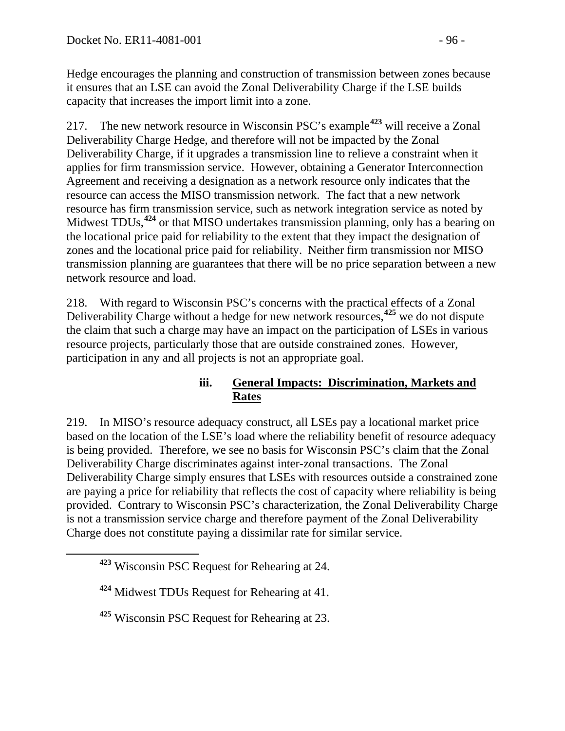Hedge encourages the planning and construction of transmission between zones because it ensures that an LSE can avoid the Zonal Deliverability Charge if the LSE builds capacity that increases the import limit into a zone.

217. The new network resource in Wisconsin PSC's example**[423](#page-95-0)** will receive a Zonal Deliverability Charge Hedge, and therefore will not be impacted by the Zonal Deliverability Charge, if it upgrades a transmission line to relieve a constraint when it applies for firm transmission service. However, obtaining a Generator Interconnection Agreement and receiving a designation as a network resource only indicates that the resource can access the MISO transmission network. The fact that a new network resource has firm transmission service, such as network integration service as noted by Midwest TDUs,**[424](#page-95-1)** or that MISO undertakes transmission planning, only has a bearing on the locational price paid for reliability to the extent that they impact the designation of zones and the locational price paid for reliability. Neither firm transmission nor MISO transmission planning are guarantees that there will be no price separation between a new network resource and load.

218. With regard to Wisconsin PSC's concerns with the practical effects of a Zonal Deliverability Charge without a hedge for new network resources,**[425](#page-95-2)** we do not dispute the claim that such a charge may have an impact on the participation of LSEs in various resource projects, particularly those that are outside constrained zones. However, participation in any and all projects is not an appropriate goal.

#### **iii. General Impacts: Discrimination, Markets and Rates**

219. In MISO's resource adequacy construct, all LSEs pay a locational market price based on the location of the LSE's load where the reliability benefit of resource adequacy is being provided. Therefore, we see no basis for Wisconsin PSC's claim that the Zonal Deliverability Charge discriminates against inter-zonal transactions. The Zonal Deliverability Charge simply ensures that LSEs with resources outside a constrained zone are paying a price for reliability that reflects the cost of capacity where reliability is being provided. Contrary to Wisconsin PSC's characterization, the Zonal Deliverability Charge is not a transmission service charge and therefore payment of the Zonal Deliverability Charge does not constitute paying a dissimilar rate for similar service.

<span id="page-95-0"></span>**<sup>423</sup>** Wisconsin PSC Request for Rehearing at 24.

<span id="page-95-1"></span>**<sup>424</sup>** Midwest TDUs Request for Rehearing at 41.

<span id="page-95-2"></span>**<sup>425</sup>** Wisconsin PSC Request for Rehearing at 23.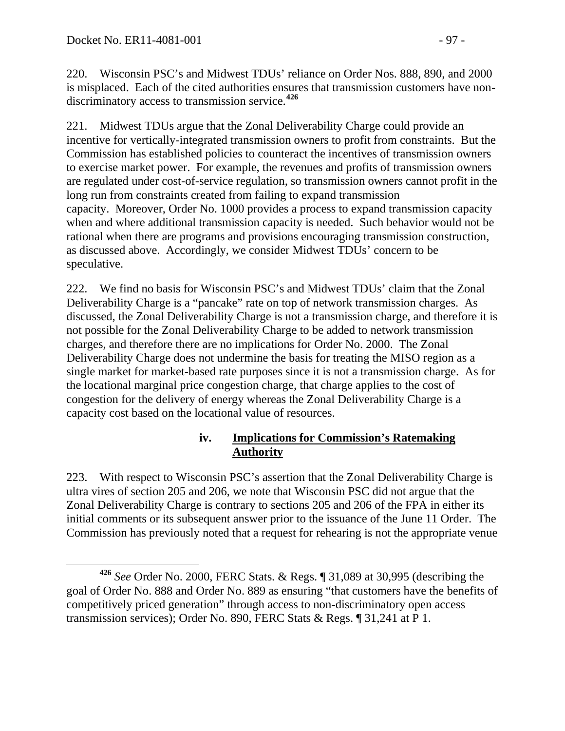220. Wisconsin PSC's and Midwest TDUs' reliance on Order Nos. 888, 890, and 2000 is misplaced. Each of the cited authorities ensures that transmission customers have nondiscriminatory access to transmission service.**[426](#page-96-0)**

221. Midwest TDUs argue that the Zonal Deliverability Charge could provide an incentive for vertically-integrated transmission owners to profit from constraints. But the Commission has established policies to counteract the incentives of transmission owners to exercise market power. For example, the revenues and profits of transmission owners are regulated under cost-of-service regulation, so transmission owners cannot profit in the long run from constraints created from failing to expand transmission capacity. Moreover, Order No. 1000 provides a process to expand transmission capacity when and where additional transmission capacity is needed. Such behavior would not be rational when there are programs and provisions encouraging transmission construction, as discussed above. Accordingly, we consider Midwest TDUs' concern to be speculative.

222. We find no basis for Wisconsin PSC's and Midwest TDUs' claim that the Zonal Deliverability Charge is a "pancake" rate on top of network transmission charges. As discussed, the Zonal Deliverability Charge is not a transmission charge, and therefore it is not possible for the Zonal Deliverability Charge to be added to network transmission charges, and therefore there are no implications for Order No. 2000. The Zonal Deliverability Charge does not undermine the basis for treating the MISO region as a single market for market-based rate purposes since it is not a transmission charge. As for the locational marginal price congestion charge, that charge applies to the cost of congestion for the delivery of energy whereas the Zonal Deliverability Charge is a capacity cost based on the locational value of resources.

### **iv. Implications for Commission's Ratemaking Authority**

223. With respect to Wisconsin PSC's assertion that the Zonal Deliverability Charge is ultra vires of section 205 and 206, we note that Wisconsin PSC did not argue that the Zonal Deliverability Charge is contrary to sections 205 and 206 of the FPA in either its initial comments or its subsequent answer prior to the issuance of the June 11 Order. The Commission has previously noted that a request for rehearing is not the appropriate venue

<span id="page-96-0"></span>**<sup>426</sup>** *See* Order No. 2000, FERC Stats. & Regs. ¶ 31,089 at 30,995 (describing the goal of Order No. 888 and Order No. 889 as ensuring "that customers have the benefits of competitively priced generation" through access to non-discriminatory open access transmission services); Order No. 890, FERC Stats & Regs. ¶ 31,241 at P 1.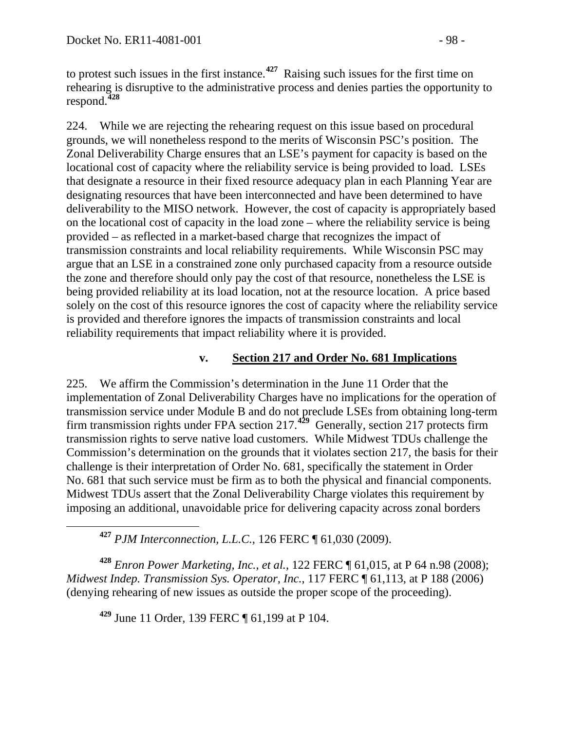to protest such issues in the first instance.**[427](#page-97-0)** Raising such issues for the first time on rehearing is disruptive to the administrative process and denies parties the opportunity to respond.**[428](#page-97-1)**

224. While we are rejecting the rehearing request on this issue based on procedural grounds, we will nonetheless respond to the merits of Wisconsin PSC's position. The Zonal Deliverability Charge ensures that an LSE's payment for capacity is based on the locational cost of capacity where the reliability service is being provided to load. LSEs that designate a resource in their fixed resource adequacy plan in each Planning Year are designating resources that have been interconnected and have been determined to have deliverability to the MISO network. However, the cost of capacity is appropriately based on the locational cost of capacity in the load zone – where the reliability service is being provided – as reflected in a market-based charge that recognizes the impact of transmission constraints and local reliability requirements. While Wisconsin PSC may argue that an LSE in a constrained zone only purchased capacity from a resource outside the zone and therefore should only pay the cost of that resource, nonetheless the LSE is being provided reliability at its load location, not at the resource location. A price based solely on the cost of this resource ignores the cost of capacity where the reliability service is provided and therefore ignores the impacts of transmission constraints and local reliability requirements that impact reliability where it is provided.

#### **v. Section 217 and Order No. 681 Implications**

225. We affirm the Commission's determination in the June 11 Order that the implementation of Zonal Deliverability Charges have no implications for the operation of transmission service under Module B and do not preclude LSEs from obtaining long-term firm transmission rights under FPA section 217.<sup>[429](#page-97-2)</sup> Generally, section 217 protects firm transmission rights to serve native load customers. While Midwest TDUs challenge the Commission's determination on the grounds that it violates section 217, the basis for their challenge is their interpretation of Order No. 681, specifically the statement in Order No. 681 that such service must be firm as to both the physical and financial components. Midwest TDUs assert that the Zonal Deliverability Charge violates this requirement by imposing an additional, unavoidable price for delivering capacity across zonal borders

**<sup>427</sup>** *PJM Interconnection, L.L.C.*, 126 FERC ¶ 61,030 (2009).

<span id="page-97-2"></span><span id="page-97-1"></span><span id="page-97-0"></span>**<sup>428</sup>** *Enron Power Marketing, Inc., et al.*, 122 FERC ¶ 61,015, at P 64 n.98 (2008); *Midwest Indep. Transmission Sys. Operator, Inc.*, 117 FERC ¶ 61,113, at P 188 (2006) (denying rehearing of new issues as outside the proper scope of the proceeding).

**<sup>429</sup>** June 11 Order, 139 FERC ¶ 61,199 at P 104.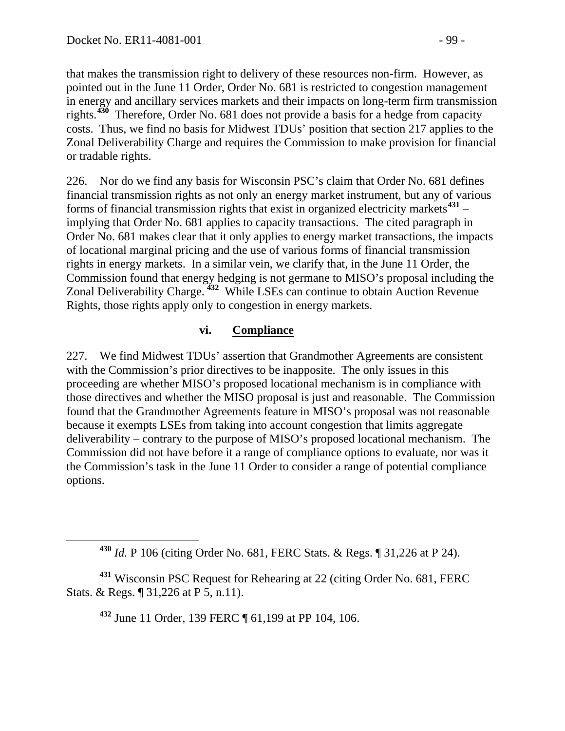that makes the transmission right to delivery of these resources non-firm. However, as pointed out in the June 11 Order, Order No. 681 is restricted to congestion management in energy and ancillary services markets and their impacts on long-term firm transmission rights.**[430](#page-98-0)** Therefore, Order No. 681 does not provide a basis for a hedge from capacity costs. Thus, we find no basis for Midwest TDUs' position that section 217 applies to the Zonal Deliverability Charge and requires the Commission to make provision for financial or tradable rights.

226. Nor do we find any basis for Wisconsin PSC's claim that Order No. 681 defines financial transmission rights as not only an energy market instrument, but any of various forms of financial transmission rights that exist in organized electricity markets**[431](#page-98-1)** – implying that Order No. 681 applies to capacity transactions. The cited paragraph in Order No. 681 makes clear that it only applies to energy market transactions, the impacts of locational marginal pricing and the use of various forms of financial transmission rights in energy markets. In a similar vein, we clarify that, in the June 11 Order, the Commission found that energy hedging is not germane to MISO's proposal including the Zonal Deliverability Charge. **[432](#page-98-2)** While LSEs can continue to obtain Auction Revenue Rights, those rights apply only to congestion in energy markets.

#### **vi. Compliance**

227. We find Midwest TDUs' assertion that Grandmother Agreements are consistent with the Commission's prior directives to be inapposite. The only issues in this proceeding are whether MISO's proposed locational mechanism is in compliance with those directives and whether the MISO proposal is just and reasonable. The Commission found that the Grandmother Agreements feature in MISO's proposal was not reasonable because it exempts LSEs from taking into account congestion that limits aggregate deliverability – contrary to the purpose of MISO's proposed locational mechanism. The Commission did not have before it a range of compliance options to evaluate, nor was it the Commission's task in the June 11 Order to consider a range of potential compliance options.

**<sup>432</sup>** June 11 Order, 139 FERC ¶ 61,199 at PP 104, 106.

**<sup>430</sup>** *Id.* P 106 (citing Order No. 681, FERC Stats. & Regs. ¶ 31,226 at P 24).

<span id="page-98-2"></span><span id="page-98-1"></span><span id="page-98-0"></span>**<sup>431</sup>** Wisconsin PSC Request for Rehearing at 22 (citing Order No. 681, FERC Stats. & Regs. ¶ 31,226 at P 5, n.11).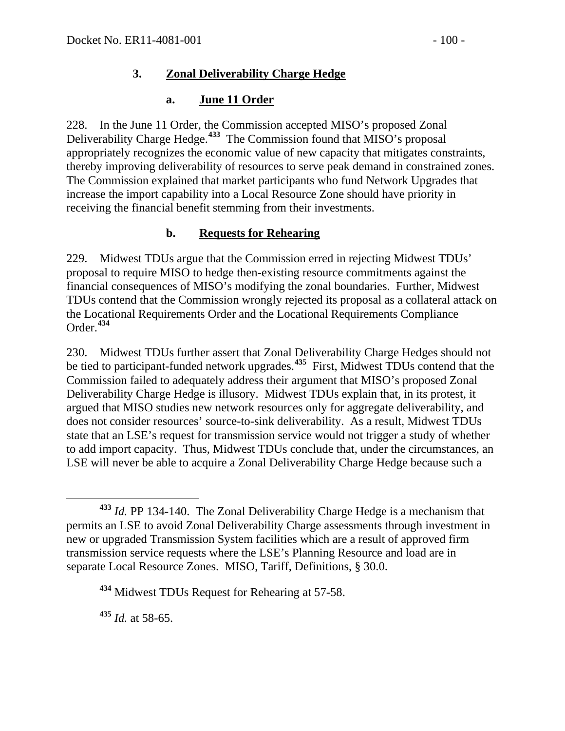#### **3. Zonal Deliverability Charge Hedge**

### **a. June 11 Order**

228. In the June 11 Order, the Commission accepted MISO's proposed Zonal Deliverability Charge Hedge.**[433](#page-99-0)** The Commission found that MISO's proposal appropriately recognizes the economic value of new capacity that mitigates constraints, thereby improving deliverability of resources to serve peak demand in constrained zones. The Commission explained that market participants who fund Network Upgrades that increase the import capability into a Local Resource Zone should have priority in receiving the financial benefit stemming from their investments.

### **b. Requests for Rehearing**

229. Midwest TDUs argue that the Commission erred in rejecting Midwest TDUs' proposal to require MISO to hedge then-existing resource commitments against the financial consequences of MISO's modifying the zonal boundaries. Further, Midwest TDUs contend that the Commission wrongly rejected its proposal as a collateral attack on the Locational Requirements Order and the Locational Requirements Compliance Order.**[434](#page-99-1)**

230. Midwest TDUs further assert that Zonal Deliverability Charge Hedges should not be tied to participant-funded network upgrades.**[435](#page-99-2)** First, Midwest TDUs contend that the Commission failed to adequately address their argument that MISO's proposed Zonal Deliverability Charge Hedge is illusory. Midwest TDUs explain that, in its protest, it argued that MISO studies new network resources only for aggregate deliverability, and does not consider resources' source-to-sink deliverability. As a result, Midwest TDUs state that an LSE's request for transmission service would not trigger a study of whether to add import capacity. Thus, Midwest TDUs conclude that, under the circumstances, an LSE will never be able to acquire a Zonal Deliverability Charge Hedge because such a

<span id="page-99-2"></span>**<sup>435</sup>** *Id.* at 58-65.

<span id="page-99-0"></span>**<sup>433</sup>** *Id.* PP 134-140. The Zonal Deliverability Charge Hedge is a mechanism that permits an LSE to avoid Zonal Deliverability Charge assessments through investment in new or upgraded Transmission System facilities which are a result of approved firm transmission service requests where the LSE's Planning Resource and load are in separate Local Resource Zones. MISO, Tariff, Definitions, § 30.0.

<span id="page-99-1"></span>**<sup>434</sup>** Midwest TDUs Request for Rehearing at 57-58.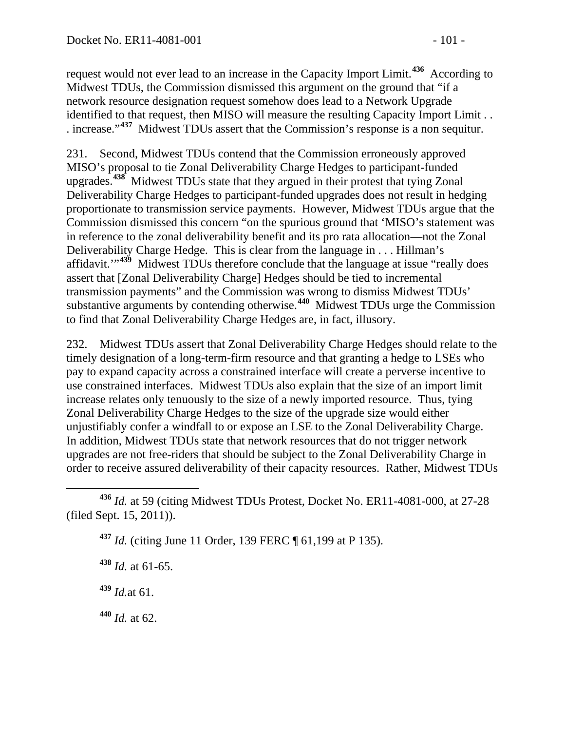request would not ever lead to an increase in the Capacity Import Limit.**[436](#page-100-0)** According to Midwest TDUs, the Commission dismissed this argument on the ground that "if a network resource designation request somehow does lead to a Network Upgrade identified to that request, then MISO will measure the resulting Capacity Import Limit . . . increase."**[437](#page-100-1)** Midwest TDUs assert that the Commission's response is a non sequitur.

231. Second, Midwest TDUs contend that the Commission erroneously approved MISO's proposal to tie Zonal Deliverability Charge Hedges to participant-funded upgrades.**[438](#page-100-2)** Midwest TDUs state that they argued in their protest that tying Zonal Deliverability Charge Hedges to participant-funded upgrades does not result in hedging proportionate to transmission service payments. However, Midwest TDUs argue that the Commission dismissed this concern "on the spurious ground that 'MISO's statement was in reference to the zonal deliverability benefit and its pro rata allocation—not the Zonal Deliverability Charge Hedge. This is clear from the language in . . . Hillman's affidavit."<sup>[439](#page-100-3)</sup> Midwest TDUs therefore conclude that the language at issue "really does assert that [Zonal Deliverability Charge] Hedges should be tied to incremental transmission payments" and the Commission was wrong to dismiss Midwest TDUs' substantive arguments by contending otherwise.**[440](#page-100-4)** Midwest TDUs urge the Commission to find that Zonal Deliverability Charge Hedges are, in fact, illusory.

232. Midwest TDUs assert that Zonal Deliverability Charge Hedges should relate to the timely designation of a long-term-firm resource and that granting a hedge to LSEs who pay to expand capacity across a constrained interface will create a perverse incentive to use constrained interfaces. Midwest TDUs also explain that the size of an import limit increase relates only tenuously to the size of a newly imported resource. Thus, tying Zonal Deliverability Charge Hedges to the size of the upgrade size would either unjustifiably confer a windfall to or expose an LSE to the Zonal Deliverability Charge. In addition, Midwest TDUs state that network resources that do not trigger network upgrades are not free-riders that should be subject to the Zonal Deliverability Charge in order to receive assured deliverability of their capacity resources. Rather, Midwest TDUs

<span id="page-100-3"></span>**<sup>439</sup>** *Id.*at 61.

<span id="page-100-4"></span>**<sup>440</sup>** *Id.* at 62.

<span id="page-100-2"></span><span id="page-100-1"></span><span id="page-100-0"></span>**<sup>436</sup>** *Id.* at 59 (citing Midwest TDUs Protest, Docket No. ER11-4081-000, at 27-28 (filed Sept. 15, 2011)).

**<sup>437</sup>** *Id.* (citing June 11 Order, 139 FERC ¶ 61,199 at P 135).

**<sup>438</sup>** *Id.* at 61-65.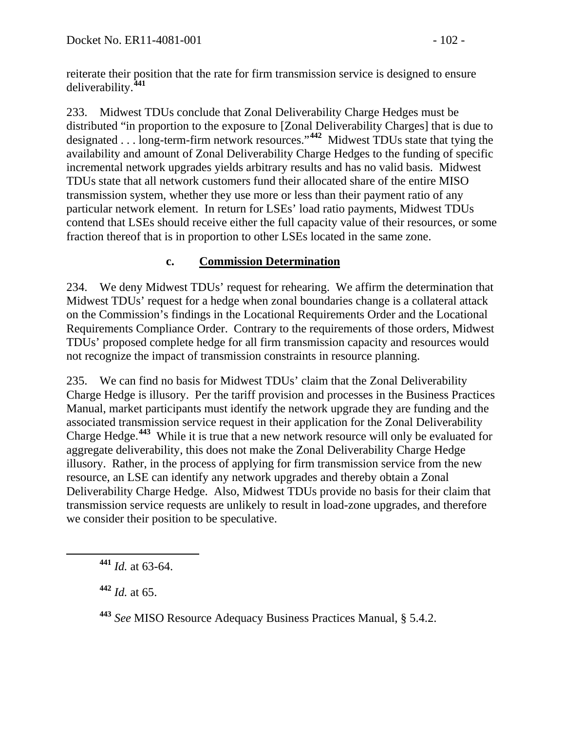reiterate their position that the rate for firm transmission service is designed to ensure deliverability.**[441](#page-101-0)**

233. Midwest TDUs conclude that Zonal Deliverability Charge Hedges must be distributed "in proportion to the exposure to [Zonal Deliverability Charges] that is due to designated . . . long-term-firm network resources."**[442](#page-101-1)** Midwest TDUs state that tying the availability and amount of Zonal Deliverability Charge Hedges to the funding of specific incremental network upgrades yields arbitrary results and has no valid basis. Midwest TDUs state that all network customers fund their allocated share of the entire MISO transmission system, whether they use more or less than their payment ratio of any particular network element. In return for LSEs' load ratio payments, Midwest TDUs contend that LSEs should receive either the full capacity value of their resources, or some fraction thereof that is in proportion to other LSEs located in the same zone.

### **c. Commission Determination**

234. We deny Midwest TDUs' request for rehearing. We affirm the determination that Midwest TDUs' request for a hedge when zonal boundaries change is a collateral attack on the Commission's findings in the Locational Requirements Order and the Locational Requirements Compliance Order. Contrary to the requirements of those orders, Midwest TDUs' proposed complete hedge for all firm transmission capacity and resources would not recognize the impact of transmission constraints in resource planning.

235. We can find no basis for Midwest TDUs' claim that the Zonal Deliverability Charge Hedge is illusory. Per the tariff provision and processes in the Business Practices Manual, market participants must identify the network upgrade they are funding and the associated transmission service request in their application for the Zonal Deliverability Charge Hedge.**[443](#page-101-2)** While it is true that a new network resource will only be evaluated for aggregate deliverability, this does not make the Zonal Deliverability Charge Hedge illusory. Rather, in the process of applying for firm transmission service from the new resource, an LSE can identify any network upgrades and thereby obtain a Zonal Deliverability Charge Hedge. Also, Midwest TDUs provide no basis for their claim that transmission service requests are unlikely to result in load-zone upgrades, and therefore we consider their position to be speculative.

<span id="page-101-0"></span>**<sup>441</sup>** *Id.* at 63-64.

<span id="page-101-1"></span>**<sup>442</sup>** *Id.* at 65.

<span id="page-101-2"></span>**<sup>443</sup>** *See* MISO Resource Adequacy Business Practices Manual, § 5.4.2.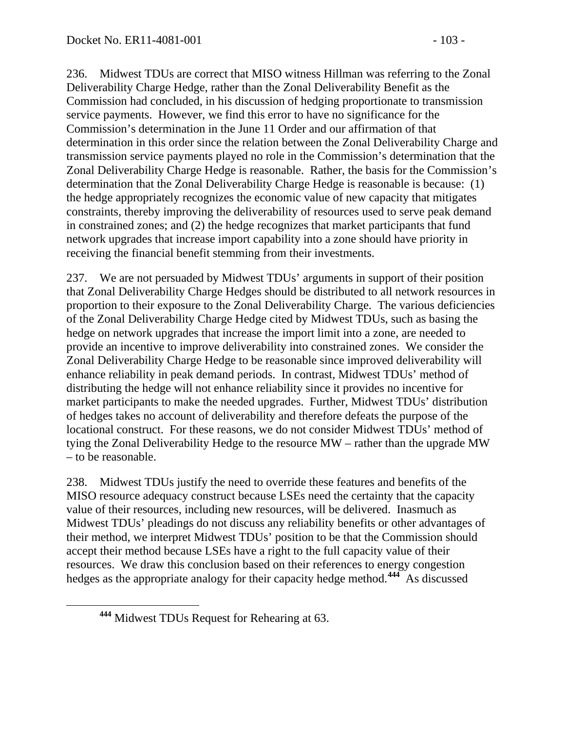236. Midwest TDUs are correct that MISO witness Hillman was referring to the Zonal Deliverability Charge Hedge, rather than the Zonal Deliverability Benefit as the Commission had concluded, in his discussion of hedging proportionate to transmission service payments. However, we find this error to have no significance for the Commission's determination in the June 11 Order and our affirmation of that determination in this order since the relation between the Zonal Deliverability Charge and transmission service payments played no role in the Commission's determination that the Zonal Deliverability Charge Hedge is reasonable. Rather, the basis for the Commission's determination that the Zonal Deliverability Charge Hedge is reasonable is because: (1) the hedge appropriately recognizes the economic value of new capacity that mitigates constraints, thereby improving the deliverability of resources used to serve peak demand in constrained zones; and (2) the hedge recognizes that market participants that fund network upgrades that increase import capability into a zone should have priority in receiving the financial benefit stemming from their investments.

237. We are not persuaded by Midwest TDUs' arguments in support of their position that Zonal Deliverability Charge Hedges should be distributed to all network resources in proportion to their exposure to the Zonal Deliverability Charge. The various deficiencies of the Zonal Deliverability Charge Hedge cited by Midwest TDUs, such as basing the hedge on network upgrades that increase the import limit into a zone, are needed to provide an incentive to improve deliverability into constrained zones. We consider the Zonal Deliverability Charge Hedge to be reasonable since improved deliverability will enhance reliability in peak demand periods. In contrast, Midwest TDUs' method of distributing the hedge will not enhance reliability since it provides no incentive for market participants to make the needed upgrades. Further, Midwest TDUs' distribution of hedges takes no account of deliverability and therefore defeats the purpose of the locational construct. For these reasons, we do not consider Midwest TDUs' method of tying the Zonal Deliverability Hedge to the resource MW – rather than the upgrade MW – to be reasonable.

238. Midwest TDUs justify the need to override these features and benefits of the MISO resource adequacy construct because LSEs need the certainty that the capacity value of their resources, including new resources, will be delivered. Inasmuch as Midwest TDUs' pleadings do not discuss any reliability benefits or other advantages of their method, we interpret Midwest TDUs' position to be that the Commission should accept their method because LSEs have a right to the full capacity value of their resources. We draw this conclusion based on their references to energy congestion hedges as the appropriate analogy for their capacity hedge method.**[444](#page-102-0)** As discussed

<span id="page-102-0"></span>**<sup>444</sup>** Midwest TDUs Request for Rehearing at 63.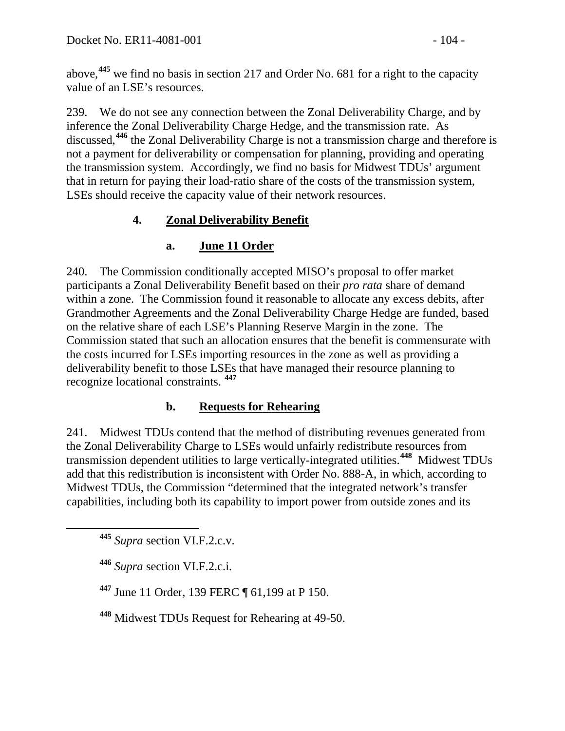above,**[445](#page-103-0)** we find no basis in section 217 and Order No. 681 for a right to the capacity value of an LSE's resources.

239. We do not see any connection between the Zonal Deliverability Charge, and by inference the Zonal Deliverability Charge Hedge, and the transmission rate. As discussed,**[446](#page-103-1)** the Zonal Deliverability Charge is not a transmission charge and therefore is not a payment for deliverability or compensation for planning, providing and operating the transmission system. Accordingly, we find no basis for Midwest TDUs' argument that in return for paying their load-ratio share of the costs of the transmission system, LSEs should receive the capacity value of their network resources.

## **4. Zonal Deliverability Benefit**

## **a. June 11 Order**

240. The Commission conditionally accepted MISO's proposal to offer market participants a Zonal Deliverability Benefit based on their *pro rata* share of demand within a zone. The Commission found it reasonable to allocate any excess debits, after Grandmother Agreements and the Zonal Deliverability Charge Hedge are funded, based on the relative share of each LSE's Planning Reserve Margin in the zone. The Commission stated that such an allocation ensures that the benefit is commensurate with the costs incurred for LSEs importing resources in the zone as well as providing a deliverability benefit to those LSEs that have managed their resource planning to recognize locational constraints. **[447](#page-103-2)**

### **b. Requests for Rehearing**

241. Midwest TDUs contend that the method of distributing revenues generated from the Zonal Deliverability Charge to LSEs would unfairly redistribute resources from transmission dependent utilities to large vertically-integrated utilities.**[448](#page-103-3)** Midwest TDUs add that this redistribution is inconsistent with Order No. 888-A, in which, according to Midwest TDUs, the Commission "determined that the integrated network's transfer capabilities, including both its capability to import power from outside zones and its

<span id="page-103-0"></span>**<sup>445</sup>** *Supra* section VI.F.2.c.v.

<span id="page-103-1"></span>**<sup>446</sup>** *Supra* section VI.F.2.c.i.

<span id="page-103-2"></span>**<sup>447</sup>** June 11 Order, 139 FERC ¶ 61,199 at P 150.

<span id="page-103-3"></span>**<sup>448</sup>** Midwest TDUs Request for Rehearing at 49-50.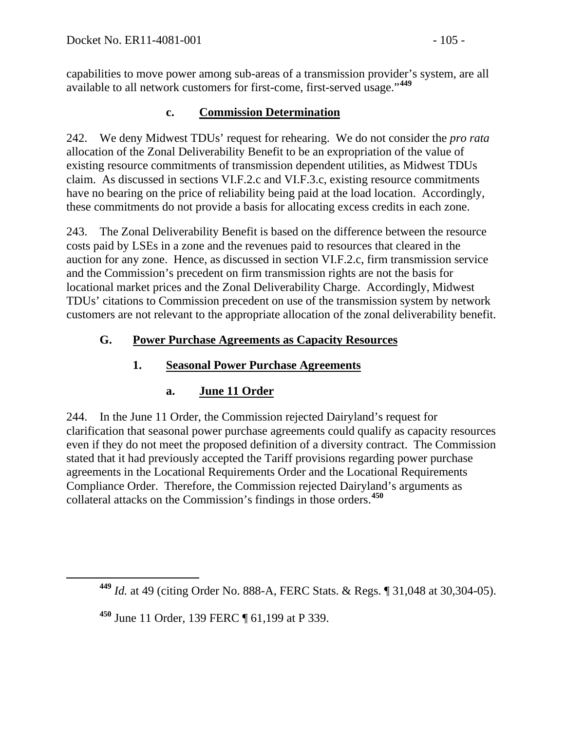capabilities to move power among sub-areas of a transmission provider's system, are all available to all network customers for first-come, first-served usage."**[449](#page-104-0)**

### **c. Commission Determination**

242. We deny Midwest TDUs' request for rehearing. We do not consider the *pro rata* allocation of the Zonal Deliverability Benefit to be an expropriation of the value of existing resource commitments of transmission dependent utilities, as Midwest TDUs claim. As discussed in sections VI.F.2.c and VI.F.3.c, existing resource commitments have no bearing on the price of reliability being paid at the load location. Accordingly, these commitments do not provide a basis for allocating excess credits in each zone.

243. The Zonal Deliverability Benefit is based on the difference between the resource costs paid by LSEs in a zone and the revenues paid to resources that cleared in the auction for any zone. Hence, as discussed in section VI.F.2.c, firm transmission service and the Commission's precedent on firm transmission rights are not the basis for locational market prices and the Zonal Deliverability Charge. Accordingly, Midwest TDUs' citations to Commission precedent on use of the transmission system by network customers are not relevant to the appropriate allocation of the zonal deliverability benefit.

### **G. Power Purchase Agreements as Capacity Resources**

### **1. Seasonal Power Purchase Agreements**

### **a. June 11 Order**

244. In the June 11 Order, the Commission rejected Dairyland's request for clarification that seasonal power purchase agreements could qualify as capacity resources even if they do not meet the proposed definition of a diversity contract. The Commission stated that it had previously accepted the Tariff provisions regarding power purchase agreements in the Locational Requirements Order and the Locational Requirements Compliance Order. Therefore, the Commission rejected Dairyland's arguments as collateral attacks on the Commission's findings in those orders.**[450](#page-104-1)**

<span id="page-104-1"></span>**<sup>450</sup>** June 11 Order, 139 FERC ¶ 61,199 at P 339.

<span id="page-104-0"></span>**<sup>449</sup>** *Id.* at 49 (citing Order No. 888-A, FERC Stats. & Regs. ¶ 31,048 at 30,304-05).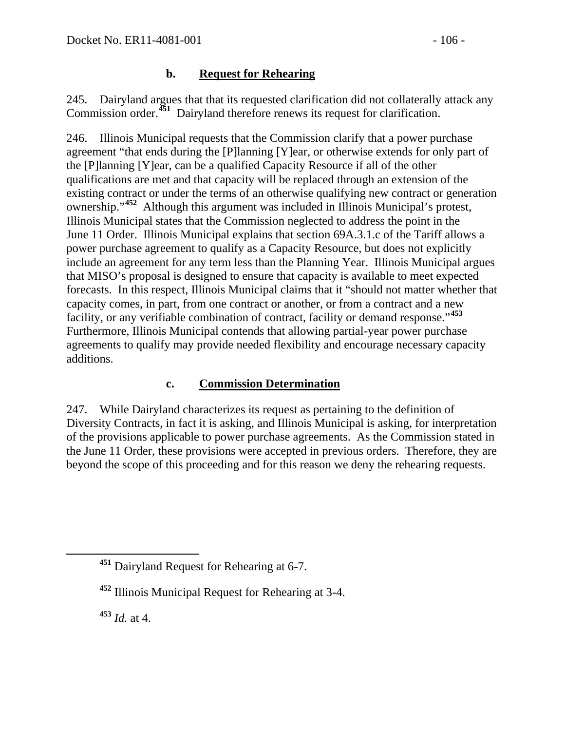### **b. Request for Rehearing**

245. Dairyland argues that that its requested clarification did not collaterally attack any Commission order.**[451](#page-105-0)** Dairyland therefore renews its request for clarification.

246. Illinois Municipal requests that the Commission clarify that a power purchase agreement "that ends during the [P]lanning [Y]ear, or otherwise extends for only part of the [P]lanning [Y]ear, can be a qualified Capacity Resource if all of the other qualifications are met and that capacity will be replaced through an extension of the existing contract or under the terms of an otherwise qualifying new contract or generation ownership."**[452](#page-105-1)** Although this argument was included in Illinois Municipal's protest, Illinois Municipal states that the Commission neglected to address the point in the June 11 Order. Illinois Municipal explains that section 69A.3.1.c of the Tariff allows a power purchase agreement to qualify as a Capacity Resource, but does not explicitly include an agreement for any term less than the Planning Year. Illinois Municipal argues that MISO's proposal is designed to ensure that capacity is available to meet expected forecasts. In this respect, Illinois Municipal claims that it "should not matter whether that capacity comes, in part, from one contract or another, or from a contract and a new facility, or any verifiable combination of contract, facility or demand response."**[453](#page-105-2)** Furthermore, Illinois Municipal contends that allowing partial-year power purchase agreements to qualify may provide needed flexibility and encourage necessary capacity additions.

### **c. Commission Determination**

247. While Dairyland characterizes its request as pertaining to the definition of Diversity Contracts, in fact it is asking, and Illinois Municipal is asking, for interpretation of the provisions applicable to power purchase agreements. As the Commission stated in the June 11 Order, these provisions were accepted in previous orders. Therefore, they are beyond the scope of this proceeding and for this reason we deny the rehearing requests.

<span id="page-105-2"></span>**<sup>453</sup>** *Id.* at 4.

<span id="page-105-0"></span>**<sup>451</sup>** Dairyland Request for Rehearing at 6-7.

<span id="page-105-1"></span>**<sup>452</sup>** Illinois Municipal Request for Rehearing at 3-4.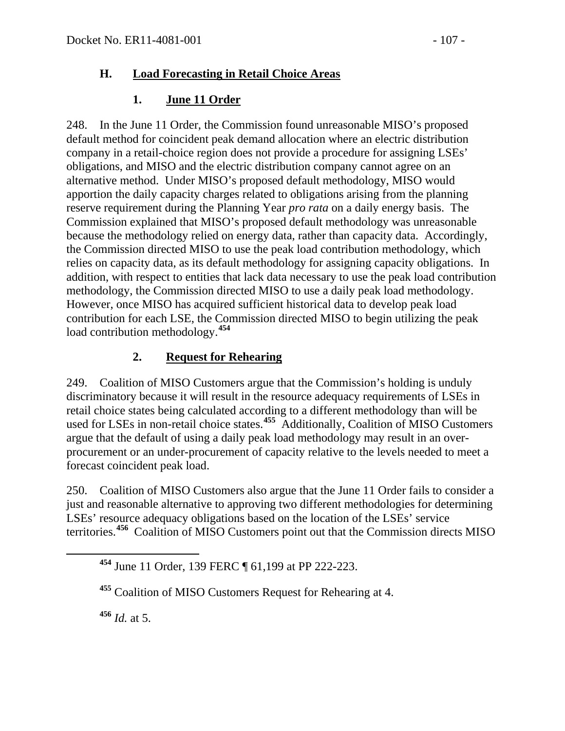### **H. Load Forecasting in Retail Choice Areas**

## **1. June 11 Order**

248. In the June 11 Order, the Commission found unreasonable MISO's proposed default method for coincident peak demand allocation where an electric distribution company in a retail-choice region does not provide a procedure for assigning LSEs' obligations, and MISO and the electric distribution company cannot agree on an alternative method. Under MISO's proposed default methodology, MISO would apportion the daily capacity charges related to obligations arising from the planning reserve requirement during the Planning Year *pro rata* on a daily energy basis. The Commission explained that MISO's proposed default methodology was unreasonable because the methodology relied on energy data, rather than capacity data. Accordingly, the Commission directed MISO to use the peak load contribution methodology, which relies on capacity data, as its default methodology for assigning capacity obligations. In addition, with respect to entities that lack data necessary to use the peak load contribution methodology, the Commission directed MISO to use a daily peak load methodology. However, once MISO has acquired sufficient historical data to develop peak load contribution for each LSE, the Commission directed MISO to begin utilizing the peak load contribution methodology.**[454](#page-106-0)**

## **2. Request for Rehearing**

249. Coalition of MISO Customers argue that the Commission's holding is unduly discriminatory because it will result in the resource adequacy requirements of LSEs in retail choice states being calculated according to a different methodology than will be used for LSEs in non-retail choice states.**[455](#page-106-1)** Additionally, Coalition of MISO Customers argue that the default of using a daily peak load methodology may result in an overprocurement or an under-procurement of capacity relative to the levels needed to meet a forecast coincident peak load.

250. Coalition of MISO Customers also argue that the June 11 Order fails to consider a just and reasonable alternative to approving two different methodologies for determining LSEs' resource adequacy obligations based on the location of the LSEs' service territories.**[456](#page-106-2)** Coalition of MISO Customers point out that the Commission directs MISO

<span id="page-106-2"></span>**<sup>456</sup>** *Id.* at 5.

<span id="page-106-0"></span>**<sup>454</sup>** June 11 Order, 139 FERC ¶ 61,199 at PP 222-223.

<span id="page-106-1"></span>**<sup>455</sup>** Coalition of MISO Customers Request for Rehearing at 4.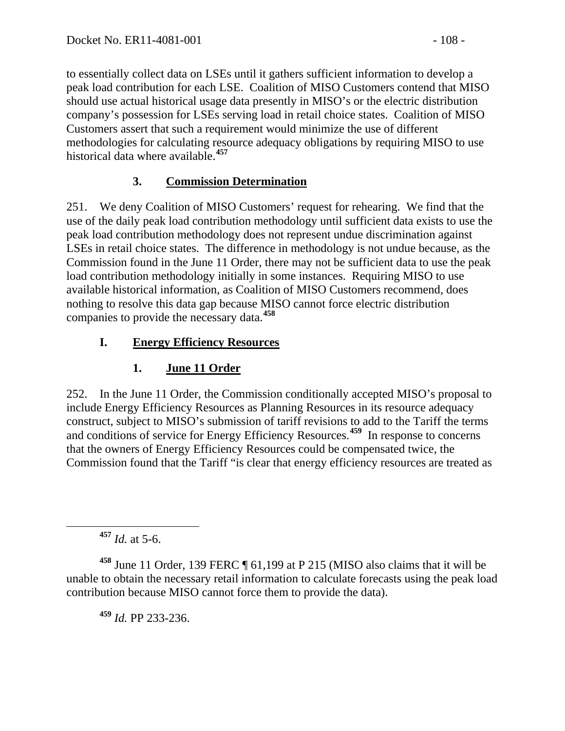to essentially collect data on LSEs until it gathers sufficient information to develop a peak load contribution for each LSE. Coalition of MISO Customers contend that MISO should use actual historical usage data presently in MISO's or the electric distribution company's possession for LSEs serving load in retail choice states. Coalition of MISO Customers assert that such a requirement would minimize the use of different methodologies for calculating resource adequacy obligations by requiring MISO to use historical data where available. **[457](#page-107-0)**

## **3. Commission Determination**

251. We deny Coalition of MISO Customers' request for rehearing. We find that the use of the daily peak load contribution methodology until sufficient data exists to use the peak load contribution methodology does not represent undue discrimination against LSEs in retail choice states. The difference in methodology is not undue because, as the Commission found in the June 11 Order, there may not be sufficient data to use the peak load contribution methodology initially in some instances. Requiring MISO to use available historical information, as Coalition of MISO Customers recommend, does nothing to resolve this data gap because MISO cannot force electric distribution companies to provide the necessary data.**[458](#page-107-1)**

## **I. Energy Efficiency Resources**

# **1. June 11 Order**

252. In the June 11 Order, the Commission conditionally accepted MISO's proposal to include Energy Efficiency Resources as Planning Resources in its resource adequacy construct, subject to MISO's submission of tariff revisions to add to the Tariff the terms and conditions of service for Energy Efficiency Resources.**[459](#page-107-2)** In response to concerns that the owners of Energy Efficiency Resources could be compensated twice, the Commission found that the Tariff "is clear that energy efficiency resources are treated as

**<sup>457</sup>** *Id.* at 5-6.

<span id="page-107-2"></span><span id="page-107-1"></span><span id="page-107-0"></span>**<sup>458</sup>** June 11 Order, 139 FERC ¶ 61,199 at P 215 (MISO also claims that it will be unable to obtain the necessary retail information to calculate forecasts using the peak load contribution because MISO cannot force them to provide the data).

**<sup>459</sup>** *Id.* PP 233-236.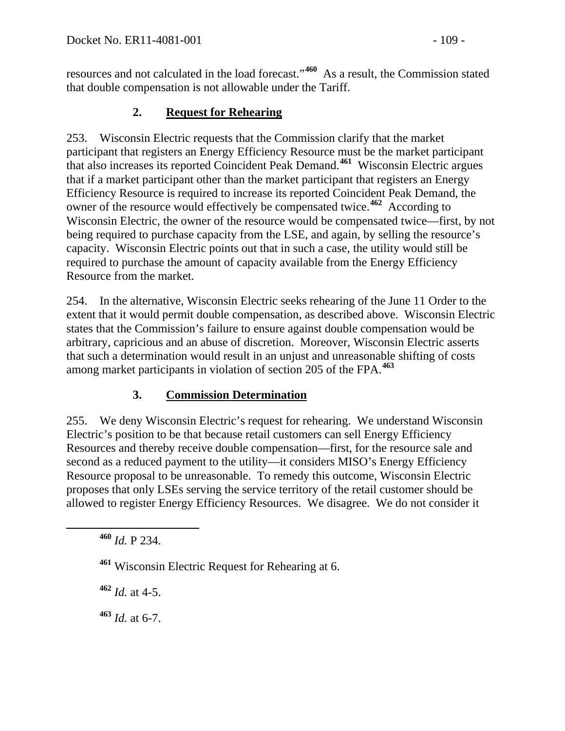resources and not calculated in the load forecast."**[460](#page-108-0)** As a result, the Commission stated that double compensation is not allowable under the Tariff.

#### **2. Request for Rehearing**

253. Wisconsin Electric requests that the Commission clarify that the market participant that registers an Energy Efficiency Resource must be the market participant that also increases its reported Coincident Peak Demand.**[461](#page-108-1)** Wisconsin Electric argues that if a market participant other than the market participant that registers an Energy Efficiency Resource is required to increase its reported Coincident Peak Demand, the owner of the resource would effectively be compensated twice.**[462](#page-108-2)** According to Wisconsin Electric, the owner of the resource would be compensated twice—first, by not being required to purchase capacity from the LSE, and again, by selling the resource's capacity. Wisconsin Electric points out that in such a case, the utility would still be required to purchase the amount of capacity available from the Energy Efficiency Resource from the market.

254. In the alternative, Wisconsin Electric seeks rehearing of the June 11 Order to the extent that it would permit double compensation, as described above. Wisconsin Electric states that the Commission's failure to ensure against double compensation would be arbitrary, capricious and an abuse of discretion. Moreover, Wisconsin Electric asserts that such a determination would result in an unjust and unreasonable shifting of costs among market participants in violation of section 205 of the FPA.**[463](#page-108-3)**

# **3. Commission Determination**

255. We deny Wisconsin Electric's request for rehearing. We understand Wisconsin Electric's position to be that because retail customers can sell Energy Efficiency Resources and thereby receive double compensation—first, for the resource sale and second as a reduced payment to the utility—it considers MISO's Energy Efficiency Resource proposal to be unreasonable. To remedy this outcome, Wisconsin Electric proposes that only LSEs serving the service territory of the retail customer should be allowed to register Energy Efficiency Resources. We disagree. We do not consider it

<span id="page-108-2"></span>**<sup>462</sup>** *Id.* at 4-5.

<span id="page-108-3"></span>**<sup>463</sup>** *Id.* at 6-7.

<span id="page-108-0"></span>**<sup>460</sup>** *Id.* P 234.

<span id="page-108-1"></span>**<sup>461</sup>** Wisconsin Electric Request for Rehearing at 6.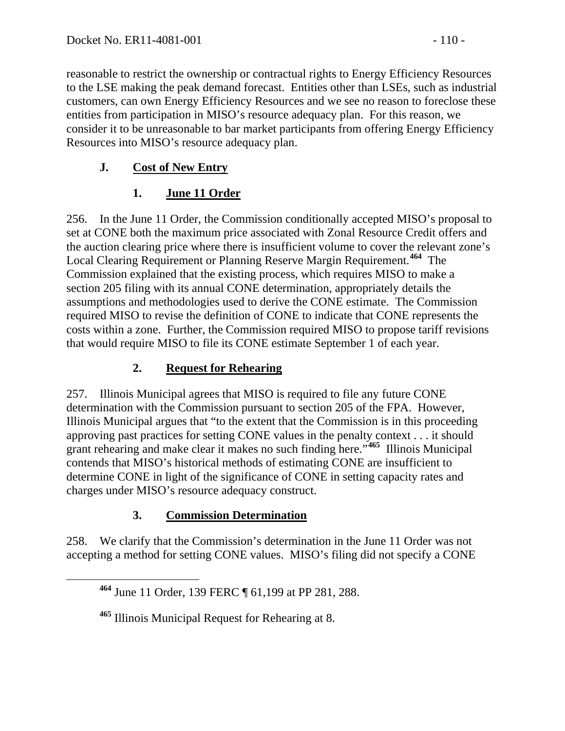reasonable to restrict the ownership or contractual rights to Energy Efficiency Resources to the LSE making the peak demand forecast. Entities other than LSEs, such as industrial customers, can own Energy Efficiency Resources and we see no reason to foreclose these entities from participation in MISO's resource adequacy plan. For this reason, we consider it to be unreasonable to bar market participants from offering Energy Efficiency Resources into MISO's resource adequacy plan.

## **J. Cost of New Entry**

# **1. June 11 Order**

256. In the June 11 Order, the Commission conditionally accepted MISO's proposal to set at CONE both the maximum price associated with Zonal Resource Credit offers and the auction clearing price where there is insufficient volume to cover the relevant zone's Local Clearing Requirement or Planning Reserve Margin Requirement.**[464](#page-109-0)** The Commission explained that the existing process, which requires MISO to make a section 205 filing with its annual CONE determination, appropriately details the assumptions and methodologies used to derive the CONE estimate. The Commission required MISO to revise the definition of CONE to indicate that CONE represents the costs within a zone. Further, the Commission required MISO to propose tariff revisions that would require MISO to file its CONE estimate September 1 of each year.

## **2. Request for Rehearing**

257. Illinois Municipal agrees that MISO is required to file any future CONE determination with the Commission pursuant to section 205 of the FPA. However, Illinois Municipal argues that "to the extent that the Commission is in this proceeding approving past practices for setting CONE values in the penalty context . . . it should grant rehearing and make clear it makes no such finding here."**[465](#page-109-1)** Illinois Municipal contends that MISO's historical methods of estimating CONE are insufficient to determine CONE in light of the significance of CONE in setting capacity rates and charges under MISO's resource adequacy construct.

# **3. Commission Determination**

<span id="page-109-0"></span>258. We clarify that the Commission's determination in the June 11 Order was not accepting a method for setting CONE values. MISO's filing did not specify a CONE

**<sup>464</sup>** June 11 Order, 139 FERC ¶ 61,199 at PP 281, 288.

<span id="page-109-1"></span>**<sup>465</sup>** Illinois Municipal Request for Rehearing at 8.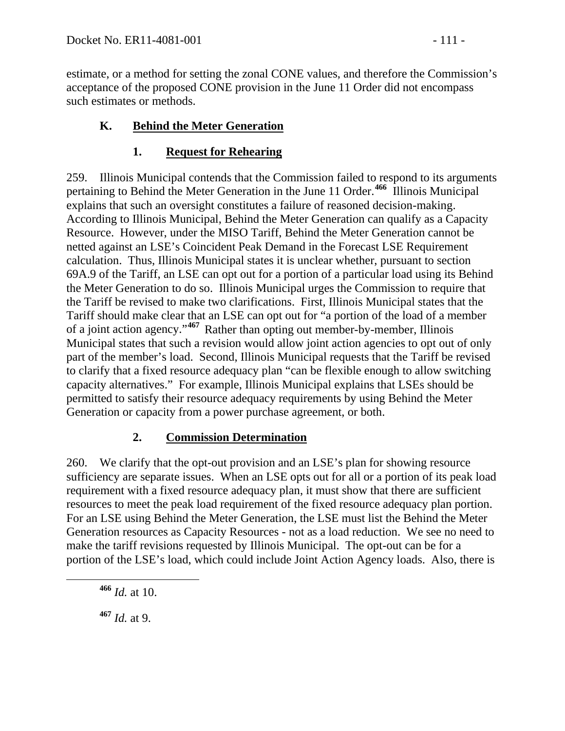estimate, or a method for setting the zonal CONE values, and therefore the Commission's acceptance of the proposed CONE provision in the June 11 Order did not encompass such estimates or methods.

## **K. Behind the Meter Generation**

### **1. Request for Rehearing**

259. Illinois Municipal contends that the Commission failed to respond to its arguments pertaining to Behind the Meter Generation in the June 11 Order.**[466](#page-110-0)** Illinois Municipal explains that such an oversight constitutes a failure of reasoned decision-making. According to Illinois Municipal, Behind the Meter Generation can qualify as a Capacity Resource. However, under the MISO Tariff, Behind the Meter Generation cannot be netted against an LSE's Coincident Peak Demand in the Forecast LSE Requirement calculation. Thus, Illinois Municipal states it is unclear whether, pursuant to section 69A.9 of the Tariff, an LSE can opt out for a portion of a particular load using its Behind the Meter Generation to do so. Illinois Municipal urges the Commission to require that the Tariff be revised to make two clarifications. First, Illinois Municipal states that the Tariff should make clear that an LSE can opt out for "a portion of the load of a member of a joint action agency."**[467](#page-110-1)** Rather than opting out member-by-member, Illinois Municipal states that such a revision would allow joint action agencies to opt out of only part of the member's load. Second, Illinois Municipal requests that the Tariff be revised to clarify that a fixed resource adequacy plan "can be flexible enough to allow switching capacity alternatives." For example, Illinois Municipal explains that LSEs should be permitted to satisfy their resource adequacy requirements by using Behind the Meter Generation or capacity from a power purchase agreement, or both.

#### **2. Commission Determination**

260. We clarify that the opt-out provision and an LSE's plan for showing resource sufficiency are separate issues. When an LSE opts out for all or a portion of its peak load requirement with a fixed resource adequacy plan, it must show that there are sufficient resources to meet the peak load requirement of the fixed resource adequacy plan portion. For an LSE using Behind the Meter Generation, the LSE must list the Behind the Meter Generation resources as Capacity Resources - not as a load reduction. We see no need to make the tariff revisions requested by Illinois Municipal. The opt-out can be for a portion of the LSE's load, which could include Joint Action Agency loads. Also, there is

<span id="page-110-0"></span>**<sup>466</sup>** *Id.* at 10.

<span id="page-110-1"></span>**<sup>467</sup>** *Id.* at 9.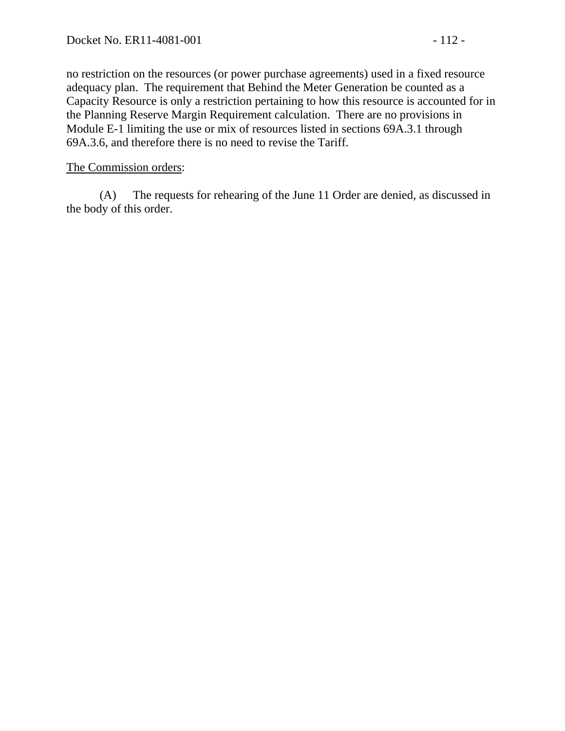no restriction on the resources (or power purchase agreements) used in a fixed resource adequacy plan. The requirement that Behind the Meter Generation be counted as a Capacity Resource is only a restriction pertaining to how this resource is accounted for in the Planning Reserve Margin Requirement calculation. There are no provisions in Module E-1 limiting the use or mix of resources listed in sections 69A.3.1 through 69A.3.6, and therefore there is no need to revise the Tariff.

#### The Commission orders:

(A) The requests for rehearing of the June 11 Order are denied, as discussed in the body of this order.